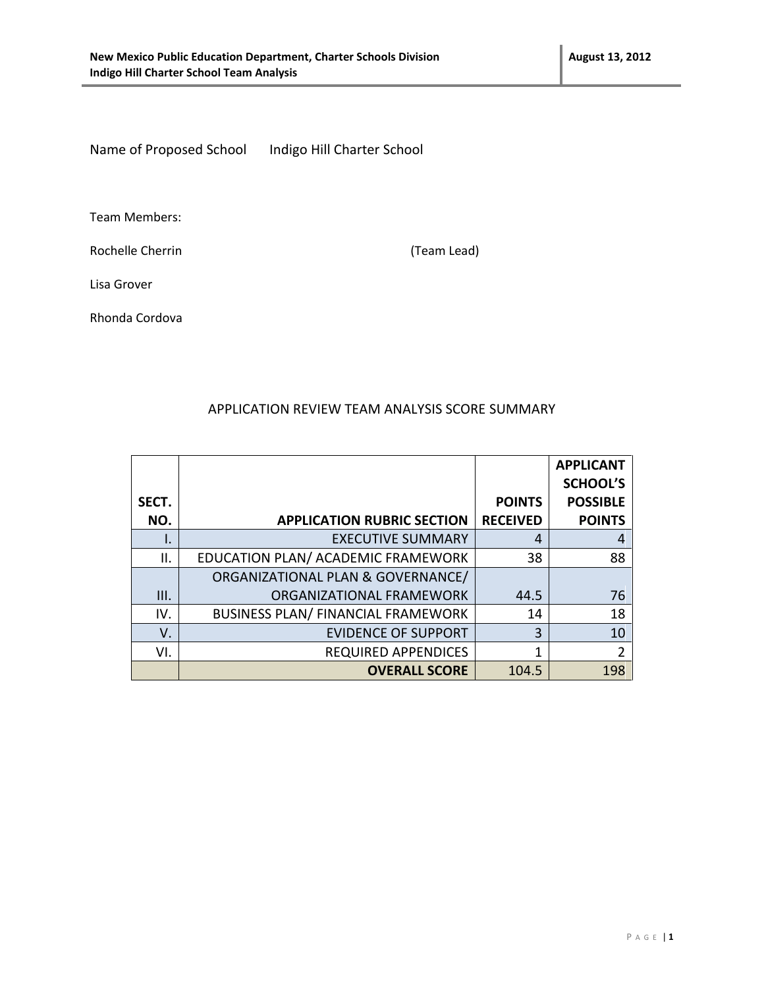Name of Proposed School Indigo Hill Charter School

Team Members:

Rochelle Cherrin (Team Lead)

Lisa Grover

Rhonda Cordova

#### APPLICATION REVIEW TEAM ANALYSIS SCORE SUMMARY

|       |                                           |                 | <b>APPLICANT</b> |
|-------|-------------------------------------------|-----------------|------------------|
|       |                                           |                 | <b>SCHOOL'S</b>  |
| SECT. |                                           | <b>POINTS</b>   | <b>POSSIBLE</b>  |
| NO.   | <b>APPLICATION RUBRIC SECTION</b>         | <b>RECEIVED</b> | <b>POINTS</b>    |
| ۱.    | <b>EXECUTIVE SUMMARY</b>                  | 4               | 4                |
| ΙΙ.   | EDUCATION PLAN/ ACADEMIC FRAMEWORK        | 38              | 88               |
|       | ORGANIZATIONAL PLAN & GOVERNANCE/         |                 |                  |
| III.  | ORGANIZATIONAL FRAMEWORK                  | 44.5            | 76               |
| IV.   | <b>BUSINESS PLAN/ FINANCIAL FRAMEWORK</b> | 14              | 18               |
| V.    | <b>EVIDENCE OF SUPPORT</b>                | 3               | 10               |
| VI.   | <b>REQUIRED APPENDICES</b>                | 1               | $\overline{2}$   |
|       | <b>OVERALL SCORE</b>                      | 104.5           | 198              |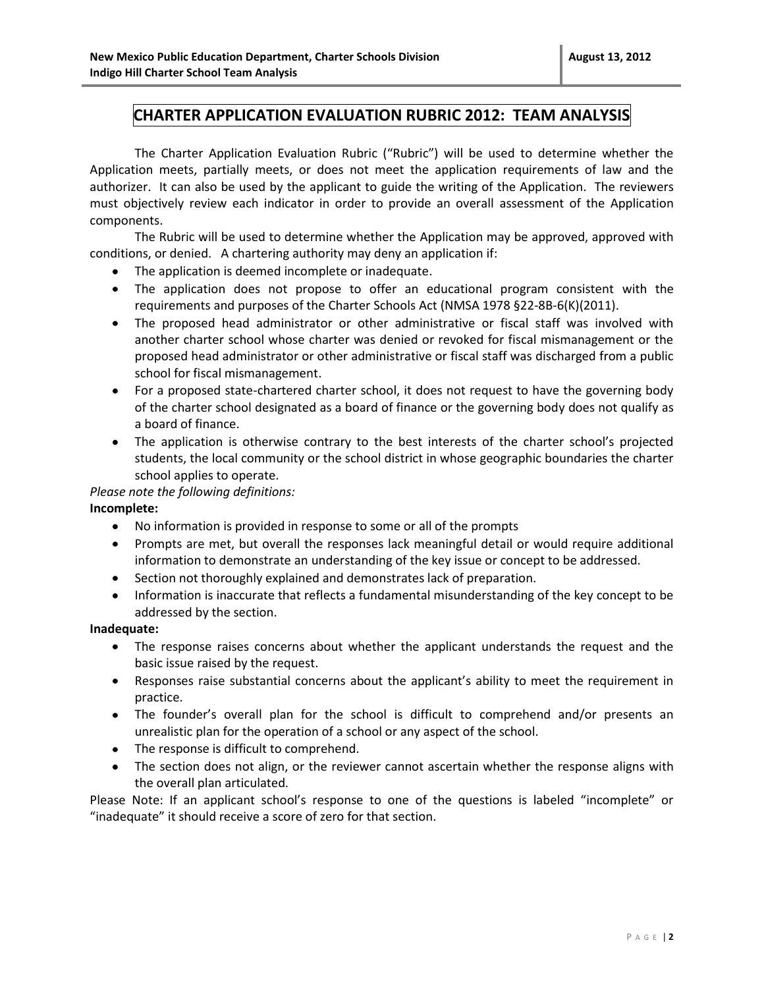### **CHARTER APPLICATION EVALUATION RUBRIC 2012: TEAM ANALYSIS**

The Charter Application Evaluation Rubric ("Rubric") will be used to determine whether the Application meets, partially meets, or does not meet the application requirements of law and the authorizer. It can also be used by the applicant to guide the writing of the Application. The reviewers must objectively review each indicator in order to provide an overall assessment of the Application components.

The Rubric will be used to determine whether the Application may be approved, approved with conditions, or denied. A chartering authority may deny an application if:

- The application is deemed incomplete or inadequate.
- The application does not propose to offer an educational program consistent with the requirements and purposes of the Charter Schools Act (NMSA 1978 §22-8B-6(K)(2011).
- The proposed head administrator or other administrative or fiscal staff was involved with another charter school whose charter was denied or revoked for fiscal mismanagement or the proposed head administrator or other administrative or fiscal staff was discharged from a public school for fiscal mismanagement.
- For a proposed state-chartered charter school, it does not request to have the governing body of the charter school designated as a board of finance or the governing body does not qualify as a board of finance.
- The application is otherwise contrary to the best interests of the charter school's projected students, the local community or the school district in whose geographic boundaries the charter school applies to operate.

#### *Please note the following definitions:*

#### **Incomplete:**

- No information is provided in response to some or all of the prompts
- Prompts are met, but overall the responses lack meaningful detail or would require additional information to demonstrate an understanding of the key issue or concept to be addressed.
- Section not thoroughly explained and demonstrates lack of preparation.
- Information is inaccurate that reflects a fundamental misunderstanding of the key concept to be addressed by the section.

#### **Inadequate:**

- The response raises concerns about whether the applicant understands the request and the basic issue raised by the request.
- Responses raise substantial concerns about the applicant's ability to meet the requirement in practice.
- The founder's overall plan for the school is difficult to comprehend and/or presents an unrealistic plan for the operation of a school or any aspect of the school.
- The response is difficult to comprehend.
- The section does not align, or the reviewer cannot ascertain whether the response aligns with the overall plan articulated.

Please Note: If an applicant school's response to one of the questions is labeled "incomplete" or "inadequate" it should receive a score of zero for that section.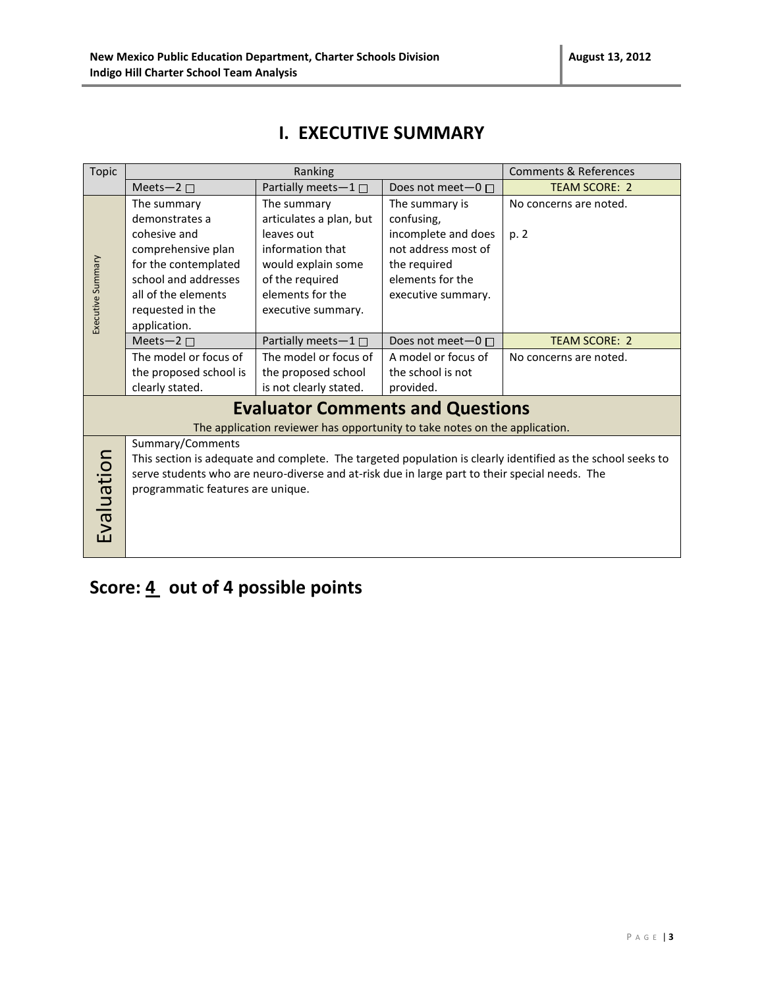### **I. EXECUTIVE SUMMARY**

| <b>Topic</b>                                                                                                                                                                                                                                                                         | Ranking                                                                                                                                                                        |                                                                                                                                                             | <b>Comments &amp; References</b>                                                                                                     |                                |  |
|--------------------------------------------------------------------------------------------------------------------------------------------------------------------------------------------------------------------------------------------------------------------------------------|--------------------------------------------------------------------------------------------------------------------------------------------------------------------------------|-------------------------------------------------------------------------------------------------------------------------------------------------------------|--------------------------------------------------------------------------------------------------------------------------------------|--------------------------------|--|
|                                                                                                                                                                                                                                                                                      | Meets-2 $\square$                                                                                                                                                              | Partially meets-1□                                                                                                                                          | Does not meet $-0$ $\Box$                                                                                                            | <b>TEAM SCORE: 2</b>           |  |
| Executive Summary                                                                                                                                                                                                                                                                    | The summary<br>demonstrates a<br>cohesive and<br>comprehensive plan<br>for the contemplated<br>school and addresses<br>all of the elements<br>requested in the<br>application. | The summary<br>articulates a plan, but<br>leaves out<br>information that<br>would explain some<br>of the required<br>elements for the<br>executive summary. | The summary is<br>confusing,<br>incomplete and does<br>not address most of<br>the required<br>elements for the<br>executive summary. | No concerns are noted.<br>p. 2 |  |
|                                                                                                                                                                                                                                                                                      | Meets-2 $\square$                                                                                                                                                              | Partially meets- $1 \Box$                                                                                                                                   | Does not meet $-0$ $\Box$                                                                                                            | <b>TEAM SCORE: 2</b>           |  |
|                                                                                                                                                                                                                                                                                      | The model or focus of<br>the proposed school is<br>clearly stated.                                                                                                             | The model or focus of<br>the proposed school<br>is not clearly stated.                                                                                      | A model or focus of<br>the school is not<br>provided.                                                                                | No concerns are noted.         |  |
|                                                                                                                                                                                                                                                                                      | <b>Evaluator Comments and Questions</b><br>The application reviewer has opportunity to take notes on the application.                                                          |                                                                                                                                                             |                                                                                                                                      |                                |  |
| Summary/Comments<br>Evaluation<br>This section is adequate and complete. The targeted population is clearly identified as the school seeks to<br>serve students who are neuro-diverse and at-risk due in large part to their special needs. The<br>programmatic features are unique. |                                                                                                                                                                                |                                                                                                                                                             |                                                                                                                                      |                                |  |

# Score: 4 out of 4 possible points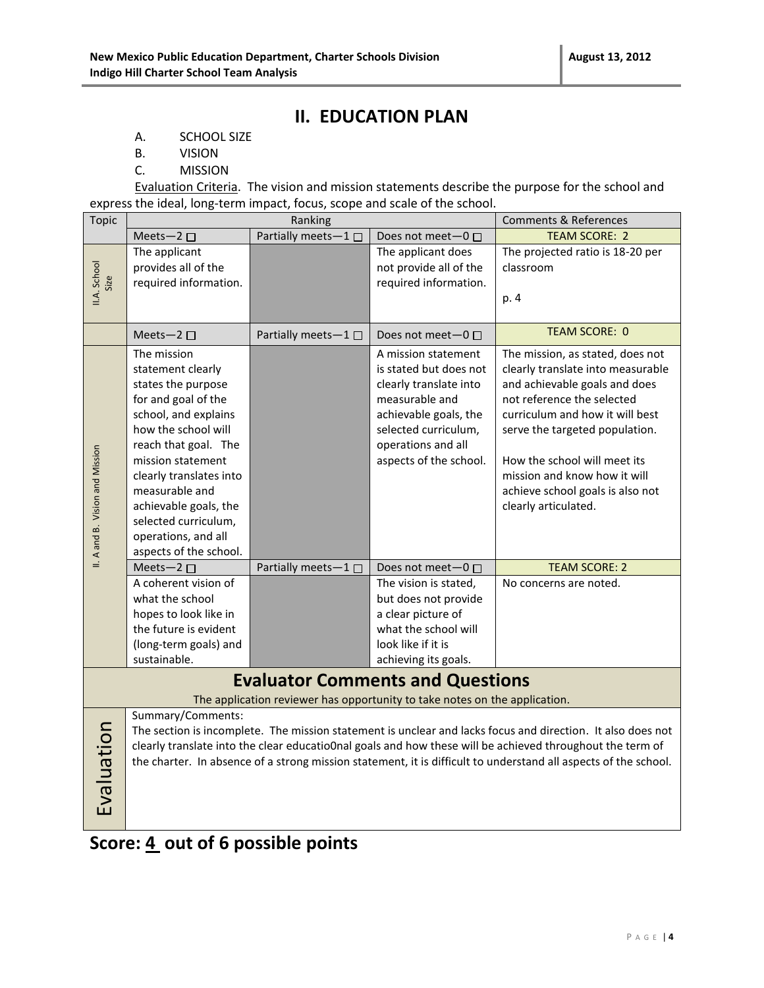### **II. EDUCATION PLAN**

- A. SCHOOL SIZE
- B. VISION
- C. MISSION

Evaluation Criteria. The vision and mission statements describe the purpose for the school and express the ideal, long-term impact, focus, scope and scale of the school.

| <b>Topic</b>                    |                                                                                                                                                                                                                                                                                                                          | Ranking             |                                                                                                                                                                                            | <b>Comments &amp; References</b>                                                                                                                                                                                                                                                                                                            |  |
|---------------------------------|--------------------------------------------------------------------------------------------------------------------------------------------------------------------------------------------------------------------------------------------------------------------------------------------------------------------------|---------------------|--------------------------------------------------------------------------------------------------------------------------------------------------------------------------------------------|---------------------------------------------------------------------------------------------------------------------------------------------------------------------------------------------------------------------------------------------------------------------------------------------------------------------------------------------|--|
|                                 | Meets-2 $\square$                                                                                                                                                                                                                                                                                                        | Partially meets-1   | Does not meet-0 □                                                                                                                                                                          | <b>TEAM SCORE: 2</b>                                                                                                                                                                                                                                                                                                                        |  |
| II.A. School<br>Size            | The applicant<br>provides all of the<br>required information.                                                                                                                                                                                                                                                            |                     | The applicant does<br>not provide all of the<br>required information.                                                                                                                      | The projected ratio is 18-20 per<br>classroom<br>p. 4                                                                                                                                                                                                                                                                                       |  |
|                                 | Meets-2 $\square$                                                                                                                                                                                                                                                                                                        | Partially meets-1 □ | Does not meet $-0$ $\Box$                                                                                                                                                                  | <b>TEAM SCORE: 0</b>                                                                                                                                                                                                                                                                                                                        |  |
| II. A and B. Vision and Mission | The mission<br>statement clearly<br>states the purpose<br>for and goal of the<br>school, and explains<br>how the school will<br>reach that goal. The<br>mission statement<br>clearly translates into<br>measurable and<br>achievable goals, the<br>selected curriculum,<br>operations, and all<br>aspects of the school. |                     | A mission statement<br>is stated but does not<br>clearly translate into<br>measurable and<br>achievable goals, the<br>selected curriculum,<br>operations and all<br>aspects of the school. | The mission, as stated, does not<br>clearly translate into measurable<br>and achievable goals and does<br>not reference the selected<br>curriculum and how it will best<br>serve the targeted population.<br>How the school will meet its<br>mission and know how it will<br>achieve school goals is also not<br>clearly articulated.       |  |
|                                 | Meets-2 $\square$                                                                                                                                                                                                                                                                                                        | Partially meets-1□  | Does not meet-0 □                                                                                                                                                                          | <b>TEAM SCORE: 2</b>                                                                                                                                                                                                                                                                                                                        |  |
|                                 | A coherent vision of<br>what the school<br>hopes to look like in<br>the future is evident<br>(long-term goals) and<br>sustainable.                                                                                                                                                                                       |                     | The vision is stated,<br>but does not provide<br>a clear picture of<br>what the school will<br>look like if it is<br>achieving its goals.                                                  | No concerns are noted.                                                                                                                                                                                                                                                                                                                      |  |
|                                 | <b>Evaluator Comments and Questions</b><br>The application reviewer has opportunity to take notes on the application.                                                                                                                                                                                                    |                     |                                                                                                                                                                                            |                                                                                                                                                                                                                                                                                                                                             |  |
| Evaluation                      | Summary/Comments:                                                                                                                                                                                                                                                                                                        |                     |                                                                                                                                                                                            | The section is incomplete. The mission statement is unclear and lacks focus and direction. It also does not<br>clearly translate into the clear educatio0nal goals and how these will be achieved throughout the term of<br>the charter. In absence of a strong mission statement, it is difficult to understand all aspects of the school. |  |

# **Score: 4 out of 6 possible points**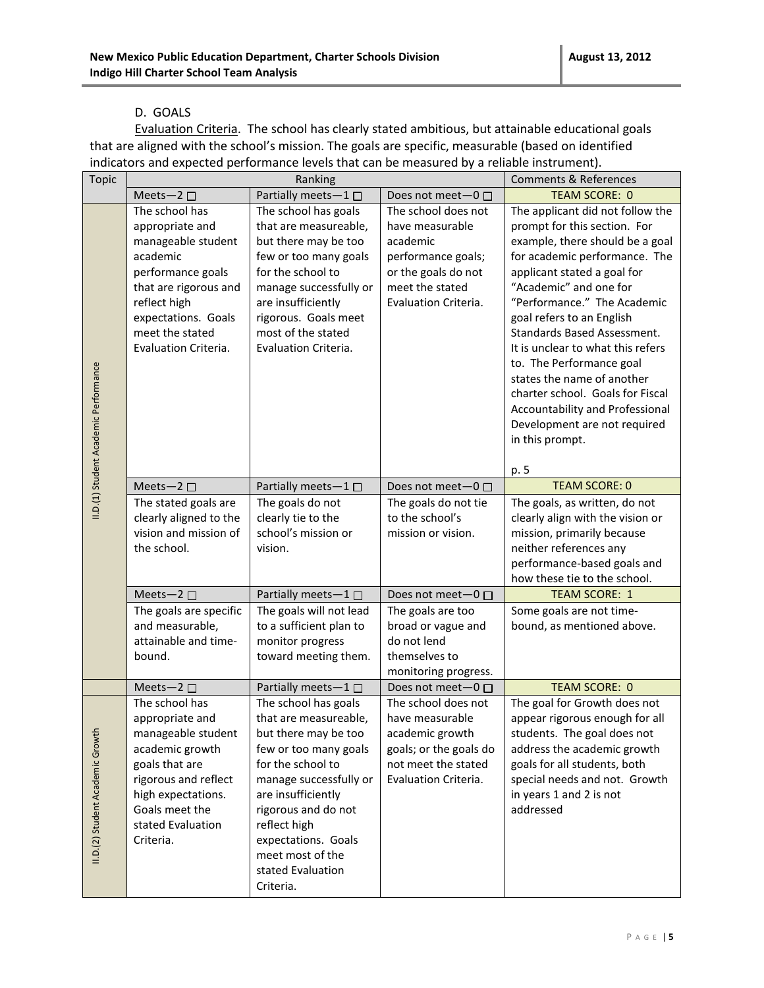#### D. GOALS

Evaluation Criteria. The school has clearly stated ambitious, but attainable educational goals that are aligned with the school's mission. The goals are specific, measurable (based on identified indicators and expected performance levels that can be measured by a reliable instrument).

| <b>Topic</b>                          | Ranking                                                                                                                                                                                             |                                                                                                                                                                                                                                                                                         |                                                                                                                                                                                             | <b>Comments &amp; References</b>                                                                                                                                                                                                                                                                                                                                                                                                                                                                                          |
|---------------------------------------|-----------------------------------------------------------------------------------------------------------------------------------------------------------------------------------------------------|-----------------------------------------------------------------------------------------------------------------------------------------------------------------------------------------------------------------------------------------------------------------------------------------|---------------------------------------------------------------------------------------------------------------------------------------------------------------------------------------------|---------------------------------------------------------------------------------------------------------------------------------------------------------------------------------------------------------------------------------------------------------------------------------------------------------------------------------------------------------------------------------------------------------------------------------------------------------------------------------------------------------------------------|
|                                       | Meets-2 $\square$                                                                                                                                                                                   | Partially meets-1□                                                                                                                                                                                                                                                                      | Does not meet-0 □                                                                                                                                                                           | <b>TEAM SCORE: 0</b>                                                                                                                                                                                                                                                                                                                                                                                                                                                                                                      |
| II.D.(1) Student Academic Performance | The school has<br>appropriate and<br>manageable student<br>academic<br>performance goals<br>that are rigorous and<br>reflect high<br>expectations. Goals<br>meet the stated<br>Evaluation Criteria. | The school has goals<br>that are measureable,<br>but there may be too<br>few or too many goals<br>for the school to<br>manage successfully or<br>are insufficiently<br>rigorous. Goals meet<br>most of the stated<br>Evaluation Criteria.                                               | The school does not<br>have measurable<br>academic<br>performance goals;<br>or the goals do not<br>meet the stated<br>Evaluation Criteria.                                                  | The applicant did not follow the<br>prompt for this section. For<br>example, there should be a goal<br>for academic performance. The<br>applicant stated a goal for<br>"Academic" and one for<br>"Performance." The Academic<br>goal refers to an English<br>Standards Based Assessment.<br>It is unclear to what this refers<br>to. The Performance goal<br>states the name of another<br>charter school. Goals for Fiscal<br>Accountability and Professional<br>Development are not required<br>in this prompt.<br>p. 5 |
|                                       | Meets-2 $\square$                                                                                                                                                                                   | Partially meets-1                                                                                                                                                                                                                                                                       | Does not meet $-0$ $\Box$                                                                                                                                                                   | <b>TEAM SCORE: 0</b>                                                                                                                                                                                                                                                                                                                                                                                                                                                                                                      |
|                                       | The stated goals are<br>clearly aligned to the<br>vision and mission of<br>the school.<br>Meets-2 $\square$<br>The goals are specific<br>and measurable,<br>attainable and time-<br>bound.          | The goals do not<br>clearly tie to the<br>school's mission or<br>vision.<br>Partially meets-1 $\square$<br>The goals will not lead<br>to a sufficient plan to<br>monitor progress<br>toward meeting them.                                                                               | The goals do not tie<br>to the school's<br>mission or vision.<br>Does not meet- $0 \Box$<br>The goals are too<br>broad or vague and<br>do not lend<br>themselves to<br>monitoring progress. | The goals, as written, do not<br>clearly align with the vision or<br>mission, primarily because<br>neither references any<br>performance-based goals and<br>how these tie to the school.<br><b>TEAM SCORE: 1</b><br>Some goals are not time-<br>bound, as mentioned above.                                                                                                                                                                                                                                                |
|                                       | Meets-2 $\square$                                                                                                                                                                                   | Partially meets-1□                                                                                                                                                                                                                                                                      | Does not meet-0 □                                                                                                                                                                           | <b>TEAM SCORE: 0</b>                                                                                                                                                                                                                                                                                                                                                                                                                                                                                                      |
| II.D.(2) Student Academic Growth      | The school has<br>appropriate and<br>manageable student<br>academic growth<br>goals that are<br>rigorous and reflect<br>high expectations.<br>Goals meet the<br>stated Evaluation<br>Criteria.      | The school has goals<br>that are measureable,<br>but there may be too<br>few or too many goals<br>for the school to<br>manage successfully or<br>are insufficiently<br>rigorous and do not<br>reflect high<br>expectations. Goals<br>meet most of the<br>stated Evaluation<br>Criteria. | The school does not<br>have measurable<br>academic growth<br>goals; or the goals do<br>not meet the stated<br>Evaluation Criteria.                                                          | The goal for Growth does not<br>appear rigorous enough for all<br>students. The goal does not<br>address the academic growth<br>goals for all students, both<br>special needs and not. Growth<br>in years 1 and 2 is not<br>addressed                                                                                                                                                                                                                                                                                     |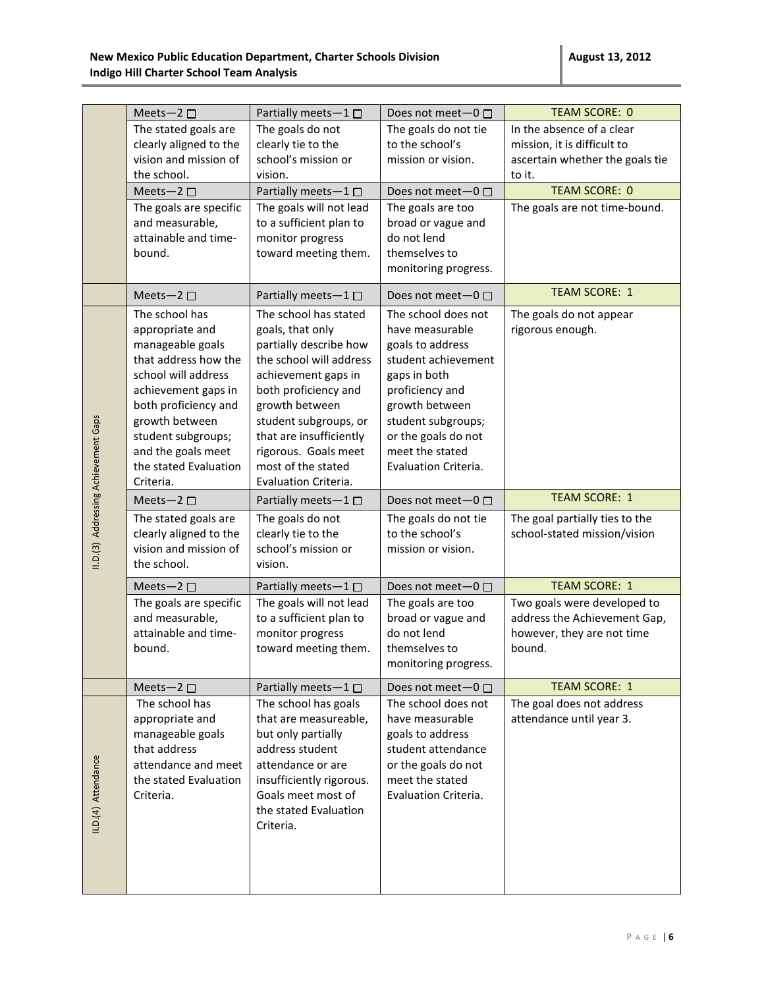|                                      | Meets-2 $\square$                                                                                                                                                                                                                                       | Partially meets-1□                                                                                                                                                                                                                                                                        | Does not meet-0 □                                                                                                                                                                                                              | <b>TEAM SCORE: 0</b>                                                                                  |
|--------------------------------------|---------------------------------------------------------------------------------------------------------------------------------------------------------------------------------------------------------------------------------------------------------|-------------------------------------------------------------------------------------------------------------------------------------------------------------------------------------------------------------------------------------------------------------------------------------------|--------------------------------------------------------------------------------------------------------------------------------------------------------------------------------------------------------------------------------|-------------------------------------------------------------------------------------------------------|
|                                      | The stated goals are<br>clearly aligned to the<br>vision and mission of<br>the school.                                                                                                                                                                  | The goals do not<br>clearly tie to the<br>school's mission or<br>vision.                                                                                                                                                                                                                  | The goals do not tie<br>to the school's<br>mission or vision.                                                                                                                                                                  | In the absence of a clear<br>mission, it is difficult to<br>ascertain whether the goals tie<br>to it. |
|                                      |                                                                                                                                                                                                                                                         | Partially meets-1 $\square$                                                                                                                                                                                                                                                               |                                                                                                                                                                                                                                | <b>TEAM SCORE: 0</b>                                                                                  |
|                                      | Meets-2 $\square$<br>The goals are specific<br>and measurable,<br>attainable and time-<br>bound.                                                                                                                                                        | The goals will not lead<br>to a sufficient plan to<br>monitor progress<br>toward meeting them.                                                                                                                                                                                            | Does not meet $-0$ $\Box$<br>The goals are too<br>broad or vague and<br>do not lend<br>themselves to<br>monitoring progress.                                                                                                   | The goals are not time-bound.                                                                         |
|                                      | Meets-2 $\square$                                                                                                                                                                                                                                       | Partially meets-1 $\square$                                                                                                                                                                                                                                                               | Does not meet-0 □                                                                                                                                                                                                              | <b>TEAM SCORE: 1</b>                                                                                  |
| II.D.(3) Addressing Achievement Gaps | The school has<br>appropriate and<br>manageable goals<br>that address how the<br>school will address<br>achievement gaps in<br>both proficiency and<br>growth between<br>student subgroups;<br>and the goals meet<br>the stated Evaluation<br>Criteria. | The school has stated<br>goals, that only<br>partially describe how<br>the school will address<br>achievement gaps in<br>both proficiency and<br>growth between<br>student subgroups, or<br>that are insufficiently<br>rigorous. Goals meet<br>most of the stated<br>Evaluation Criteria. | The school does not<br>have measurable<br>goals to address<br>student achievement<br>gaps in both<br>proficiency and<br>growth between<br>student subgroups;<br>or the goals do not<br>meet the stated<br>Evaluation Criteria. | The goals do not appear<br>rigorous enough.                                                           |
|                                      | Meets-2 $\square$                                                                                                                                                                                                                                       | Partially meets-1 $\square$                                                                                                                                                                                                                                                               | Does not meet-0 □                                                                                                                                                                                                              | <b>TEAM SCORE: 1</b>                                                                                  |
|                                      | The stated goals are<br>clearly aligned to the<br>vision and mission of<br>the school.                                                                                                                                                                  | The goals do not<br>clearly tie to the<br>school's mission or<br>vision.                                                                                                                                                                                                                  | The goals do not tie<br>to the school's<br>mission or vision.                                                                                                                                                                  | The goal partially ties to the<br>school-stated mission/vision                                        |
|                                      | Meets-2 $\square$                                                                                                                                                                                                                                       | Partially meets-1 $\square$                                                                                                                                                                                                                                                               | Does not meet $-0$ $\Box$                                                                                                                                                                                                      | <b>TEAM SCORE: 1</b>                                                                                  |
|                                      | The goals are specific<br>and measurable,<br>attainable and time-<br>bound.                                                                                                                                                                             | The goals will not lead<br>to a sufficient plan to<br>monitor progress<br>toward meeting them.                                                                                                                                                                                            | The goals are too<br>broad or vague and<br>do not lend<br>themselves to<br>monitoring progress.                                                                                                                                | Two goals were developed to<br>address the Achievement Gap,<br>however, they are not time<br>bound.   |
|                                      | Meets-2 $\square$                                                                                                                                                                                                                                       | Partially meets-1 $\square$                                                                                                                                                                                                                                                               | Does not meet-0 □                                                                                                                                                                                                              | <b>TEAM SCORE: 1</b>                                                                                  |
| II.D.(4) Attendance                  | The school has<br>appropriate and<br>manageable goals<br>that address<br>attendance and meet<br>the stated Evaluation<br>Criteria.                                                                                                                      | The school has goals<br>that are measureable,<br>but only partially<br>address student<br>attendance or are<br>insufficiently rigorous.<br>Goals meet most of<br>the stated Evaluation<br>Criteria.                                                                                       | The school does not<br>have measurable<br>goals to address<br>student attendance<br>or the goals do not<br>meet the stated<br>Evaluation Criteria.                                                                             | The goal does not address<br>attendance until year 3.                                                 |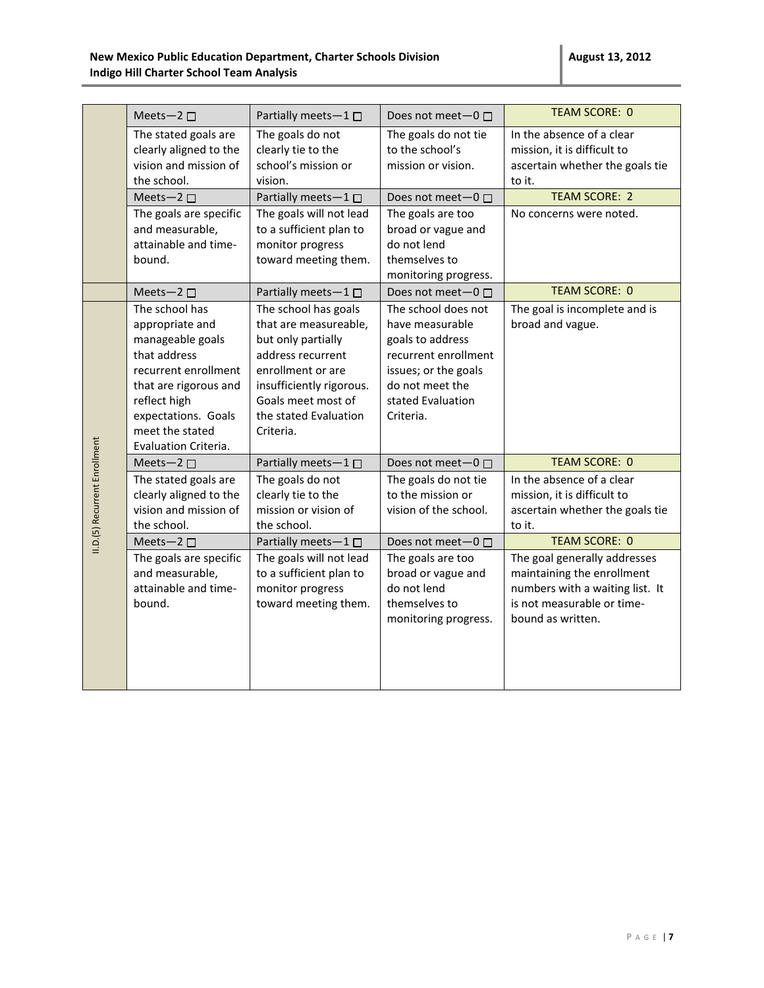|                               | Meets-2 $\square$                                                                                                                                                                                        | Partially meets-1 $\square$                                                                                                                                                                           | Does not meet $-0$ $\Box$                                                                                                                                       | <b>TEAM SCORE: 0</b>                                                                                                                             |
|-------------------------------|----------------------------------------------------------------------------------------------------------------------------------------------------------------------------------------------------------|-------------------------------------------------------------------------------------------------------------------------------------------------------------------------------------------------------|-----------------------------------------------------------------------------------------------------------------------------------------------------------------|--------------------------------------------------------------------------------------------------------------------------------------------------|
|                               | The stated goals are<br>clearly aligned to the<br>vision and mission of<br>the school.                                                                                                                   | The goals do not<br>clearly tie to the<br>school's mission or<br>vision.                                                                                                                              | The goals do not tie<br>to the school's<br>mission or vision.                                                                                                   | In the absence of a clear<br>mission, it is difficult to<br>ascertain whether the goals tie<br>to it.                                            |
|                               | Meets-2 $\square$                                                                                                                                                                                        | Partially meets-1□                                                                                                                                                                                    | Does not meet $-0$ $\Box$                                                                                                                                       | <b>TEAM SCORE: 2</b>                                                                                                                             |
|                               | The goals are specific<br>and measurable,<br>attainable and time-<br>bound.                                                                                                                              | The goals will not lead<br>to a sufficient plan to<br>monitor progress<br>toward meeting them.                                                                                                        | The goals are too<br>broad or vague and<br>do not lend<br>themselves to<br>monitoring progress.                                                                 | No concerns were noted.                                                                                                                          |
|                               | Meets-2 $\square$                                                                                                                                                                                        | Partially meets-1□                                                                                                                                                                                    | Does not meet-0 □                                                                                                                                               | <b>TEAM SCORE: 0</b>                                                                                                                             |
|                               | The school has<br>appropriate and<br>manageable goals<br>that address<br>recurrent enrollment<br>that are rigorous and<br>reflect high<br>expectations. Goals<br>meet the stated<br>Evaluation Criteria. | The school has goals<br>that are measureable,<br>but only partially<br>address recurrent<br>enrollment or are<br>insufficiently rigorous.<br>Goals meet most of<br>the stated Evaluation<br>Criteria. | The school does not<br>have measurable<br>goals to address<br>recurrent enrollment<br>issues; or the goals<br>do not meet the<br>stated Evaluation<br>Criteria. | The goal is incomplete and is<br>broad and vague.                                                                                                |
|                               | Meets-2 □                                                                                                                                                                                                | Partially meets-1                                                                                                                                                                                     | Does not meet-0 □                                                                                                                                               | <b>TEAM SCORE: 0</b>                                                                                                                             |
| II.D.(5) Recurrent Enrollment | The stated goals are<br>clearly aligned to the<br>vision and mission of<br>the school.                                                                                                                   | The goals do not<br>clearly tie to the<br>mission or vision of<br>the school.                                                                                                                         | The goals do not tie<br>to the mission or<br>vision of the school.                                                                                              | In the absence of a clear<br>mission, it is difficult to<br>ascertain whether the goals tie<br>to it.                                            |
|                               | Meets-2 $\square$                                                                                                                                                                                        | Partially meets-1□                                                                                                                                                                                    | Does not meet $-0$ $\Box$                                                                                                                                       | <b>TEAM SCORE: 0</b>                                                                                                                             |
|                               | The goals are specific<br>and measurable,<br>attainable and time-<br>bound.                                                                                                                              | The goals will not lead<br>to a sufficient plan to<br>monitor progress<br>toward meeting them.                                                                                                        | The goals are too<br>broad or vague and<br>do not lend<br>themselves to<br>monitoring progress.                                                                 | The goal generally addresses<br>maintaining the enrollment<br>numbers with a waiting list. It<br>is not measurable or time-<br>bound as written. |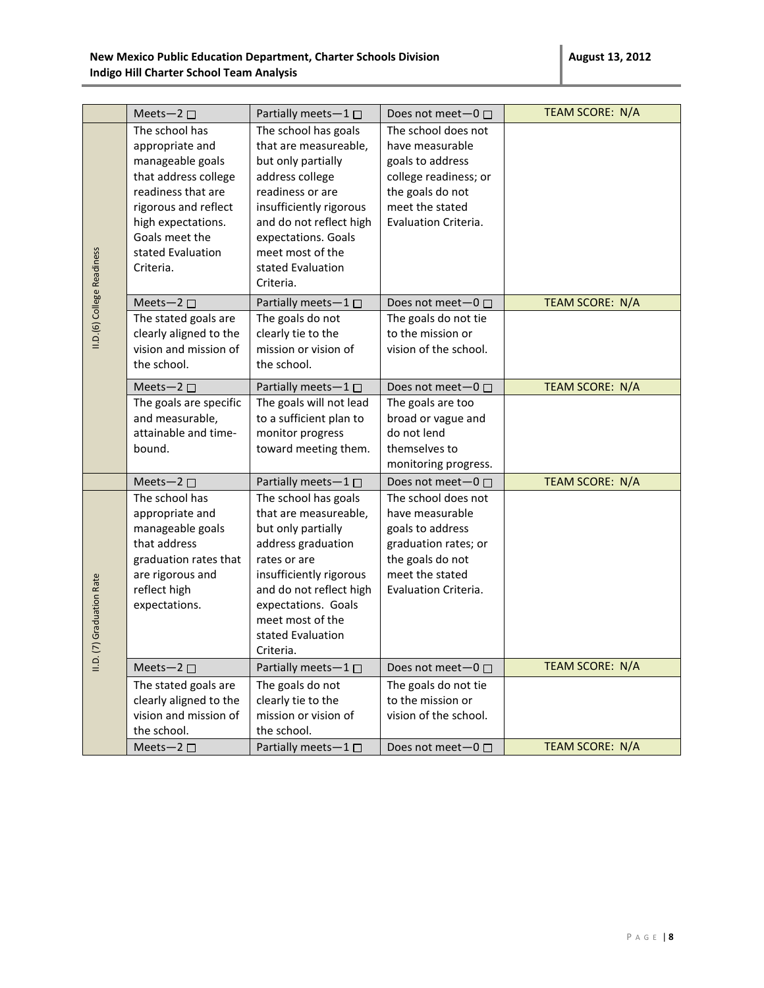|                             | Meets-2 $\square$                                                                                                                                                                                     | Partially meets-1□                                                                                                                                                                                                                            | Does not meet $-0$ $\Box$                                                                                                                          | TEAM SCORE: N/A        |
|-----------------------------|-------------------------------------------------------------------------------------------------------------------------------------------------------------------------------------------------------|-----------------------------------------------------------------------------------------------------------------------------------------------------------------------------------------------------------------------------------------------|----------------------------------------------------------------------------------------------------------------------------------------------------|------------------------|
| II.D. (6) College Readiness | The school has<br>appropriate and<br>manageable goals<br>that address college<br>readiness that are<br>rigorous and reflect<br>high expectations.<br>Goals meet the<br>stated Evaluation<br>Criteria. | The school has goals<br>that are measureable,<br>but only partially<br>address college<br>readiness or are<br>insufficiently rigorous<br>and do not reflect high<br>expectations. Goals<br>meet most of the<br>stated Evaluation<br>Criteria. | The school does not<br>have measurable<br>goals to address<br>college readiness; or<br>the goals do not<br>meet the stated<br>Evaluation Criteria. |                        |
|                             | Meets-2 $\square$                                                                                                                                                                                     | Partially meets-1□                                                                                                                                                                                                                            | Does not meet $-0$ $\Box$                                                                                                                          | TEAM SCORE: N/A        |
|                             | The stated goals are<br>clearly aligned to the<br>vision and mission of<br>the school.                                                                                                                | The goals do not<br>clearly tie to the<br>mission or vision of<br>the school.                                                                                                                                                                 | The goals do not tie<br>to the mission or<br>vision of the school.                                                                                 |                        |
|                             | Meets-2 $\square$                                                                                                                                                                                     | Partially meets-1 $\square$                                                                                                                                                                                                                   | Does not meet-0 □                                                                                                                                  | TEAM SCORE: N/A        |
|                             | The goals are specific<br>and measurable,<br>attainable and time-<br>bound.                                                                                                                           | The goals will not lead<br>to a sufficient plan to<br>monitor progress<br>toward meeting them.                                                                                                                                                | The goals are too<br>broad or vague and<br>do not lend<br>themselves to<br>monitoring progress.                                                    |                        |
|                             | Meets-2 $\square$                                                                                                                                                                                     | Partially meets-1 □                                                                                                                                                                                                                           | Does not meet $-0$ $\Box$                                                                                                                          | <b>TEAM SCORE: N/A</b> |
| II.D. (7) Graduation Rate   | The school has<br>appropriate and<br>manageable goals<br>that address<br>graduation rates that<br>are rigorous and<br>reflect high<br>expectations.                                                   | The school has goals<br>that are measureable,<br>but only partially<br>address graduation<br>rates or are<br>insufficiently rigorous<br>and do not reflect high<br>expectations. Goals<br>meet most of the<br>stated Evaluation<br>Criteria.  | The school does not<br>have measurable<br>goals to address<br>graduation rates; or<br>the goals do not<br>meet the stated<br>Evaluation Criteria.  |                        |
|                             | Meets-2 $\square$                                                                                                                                                                                     | Partially meets-1□                                                                                                                                                                                                                            | Does not meet-0 □                                                                                                                                  | <b>TEAM SCORE: N/A</b> |
|                             | The stated goals are<br>clearly aligned to the<br>vision and mission of<br>the school.                                                                                                                | The goals do not<br>clearly tie to the<br>mission or vision of<br>the school.                                                                                                                                                                 | The goals do not tie<br>to the mission or<br>vision of the school.                                                                                 |                        |
|                             | Meets-2 $\square$                                                                                                                                                                                     | Partially meets $-1$ $\Box$                                                                                                                                                                                                                   | Does not meet $-0$ $\Box$                                                                                                                          | TEAM SCORE: N/A        |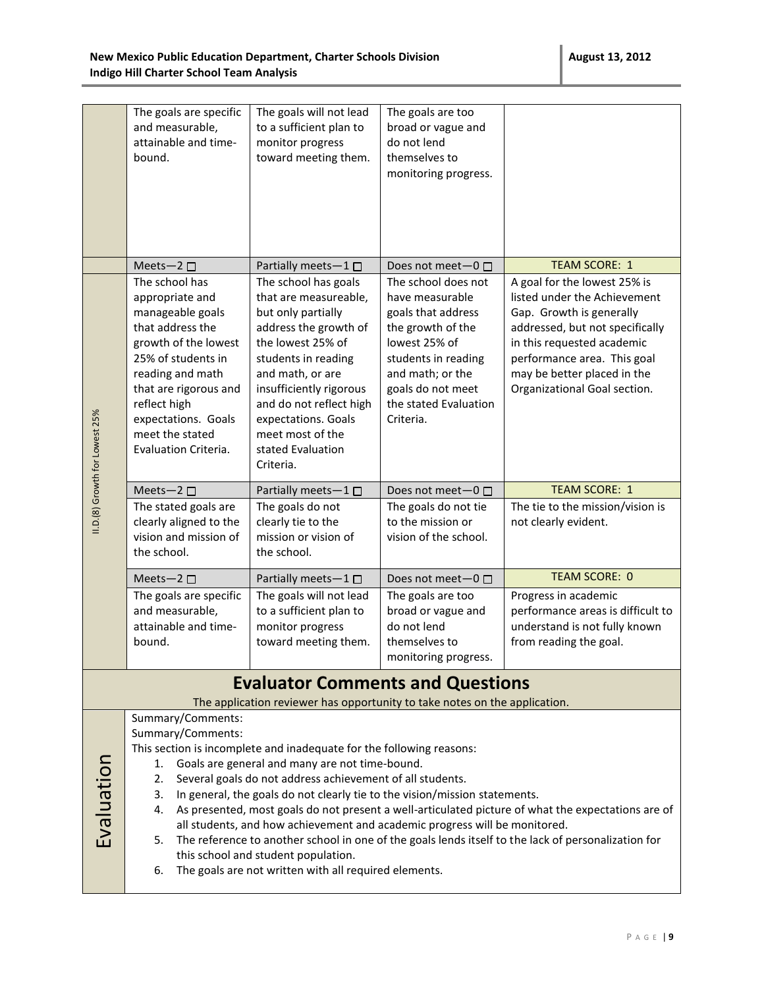|                                                                                                                                                                                                                                                                                                                                                                                                                                                                                                                                                                                                                                                                                                                                                                                                                                        | The goals are specific<br>and measurable,<br>attainable and time-<br>bound.                                                                                                                                                                            | The goals will not lead<br>to a sufficient plan to<br>monitor progress<br>toward meeting them.                                                                                                                                                                                                  | The goals are too<br>broad or vague and<br>do not lend<br>themselves to<br>monitoring progress.                                                                                                          |                                                                                                                                                                                                                                                         |
|----------------------------------------------------------------------------------------------------------------------------------------------------------------------------------------------------------------------------------------------------------------------------------------------------------------------------------------------------------------------------------------------------------------------------------------------------------------------------------------------------------------------------------------------------------------------------------------------------------------------------------------------------------------------------------------------------------------------------------------------------------------------------------------------------------------------------------------|--------------------------------------------------------------------------------------------------------------------------------------------------------------------------------------------------------------------------------------------------------|-------------------------------------------------------------------------------------------------------------------------------------------------------------------------------------------------------------------------------------------------------------------------------------------------|----------------------------------------------------------------------------------------------------------------------------------------------------------------------------------------------------------|---------------------------------------------------------------------------------------------------------------------------------------------------------------------------------------------------------------------------------------------------------|
|                                                                                                                                                                                                                                                                                                                                                                                                                                                                                                                                                                                                                                                                                                                                                                                                                                        | Meets-2 □                                                                                                                                                                                                                                              | Partially meets-1 □                                                                                                                                                                                                                                                                             | Does not meet $-0$ $\Box$                                                                                                                                                                                | <b>TEAM SCORE: 1</b>                                                                                                                                                                                                                                    |
| II.D.(8) Growth for Lowest 25%                                                                                                                                                                                                                                                                                                                                                                                                                                                                                                                                                                                                                                                                                                                                                                                                         | The school has<br>appropriate and<br>manageable goals<br>that address the<br>growth of the lowest<br>25% of students in<br>reading and math<br>that are rigorous and<br>reflect high<br>expectations. Goals<br>meet the stated<br>Evaluation Criteria. | The school has goals<br>that are measureable,<br>but only partially<br>address the growth of<br>the lowest 25% of<br>students in reading<br>and math, or are<br>insufficiently rigorous<br>and do not reflect high<br>expectations. Goals<br>meet most of the<br>stated Evaluation<br>Criteria. | The school does not<br>have measurable<br>goals that address<br>the growth of the<br>lowest 25% of<br>students in reading<br>and math; or the<br>goals do not meet<br>the stated Evaluation<br>Criteria. | A goal for the lowest 25% is<br>listed under the Achievement<br>Gap. Growth is generally<br>addressed, but not specifically<br>in this requested academic<br>performance area. This goal<br>may be better placed in the<br>Organizational Goal section. |
|                                                                                                                                                                                                                                                                                                                                                                                                                                                                                                                                                                                                                                                                                                                                                                                                                                        | Meets-2 □                                                                                                                                                                                                                                              | Partially meets-1                                                                                                                                                                                                                                                                               | Does not meet-0 □                                                                                                                                                                                        | <b>TEAM SCORE: 1</b>                                                                                                                                                                                                                                    |
|                                                                                                                                                                                                                                                                                                                                                                                                                                                                                                                                                                                                                                                                                                                                                                                                                                        | The stated goals are<br>clearly aligned to the<br>vision and mission of<br>the school.                                                                                                                                                                 | The goals do not<br>clearly tie to the<br>mission or vision of<br>the school.                                                                                                                                                                                                                   | The goals do not tie<br>to the mission or<br>vision of the school.                                                                                                                                       | The tie to the mission/vision is<br>not clearly evident.                                                                                                                                                                                                |
|                                                                                                                                                                                                                                                                                                                                                                                                                                                                                                                                                                                                                                                                                                                                                                                                                                        | Meets-2 $\square$                                                                                                                                                                                                                                      | Partially meets-1 □                                                                                                                                                                                                                                                                             | Does not meet $-0$ $\Box$                                                                                                                                                                                | <b>TEAM SCORE: 0</b>                                                                                                                                                                                                                                    |
|                                                                                                                                                                                                                                                                                                                                                                                                                                                                                                                                                                                                                                                                                                                                                                                                                                        | The goals are specific<br>and measurable,<br>attainable and time-<br>bound.                                                                                                                                                                            | The goals will not lead<br>to a sufficient plan to<br>monitor progress<br>toward meeting them.                                                                                                                                                                                                  | The goals are too<br>broad or vague and<br>do not lend<br>themselves to<br>monitoring progress.                                                                                                          | Progress in academic<br>performance areas is difficult to<br>understand is not fully known<br>from reading the goal.                                                                                                                                    |
| <b>Evaluator Comments and Questions</b>                                                                                                                                                                                                                                                                                                                                                                                                                                                                                                                                                                                                                                                                                                                                                                                                |                                                                                                                                                                                                                                                        |                                                                                                                                                                                                                                                                                                 |                                                                                                                                                                                                          |                                                                                                                                                                                                                                                         |
| The application reviewer has opportunity to take notes on the application.<br>Summary/Comments:<br>Summary/Comments:<br>This section is incomplete and inadequate for the following reasons:<br>Evaluation<br>Goals are general and many are not time-bound.<br>1.<br>Several goals do not address achievement of all students.<br>2.<br>In general, the goals do not clearly tie to the vision/mission statements.<br>3.<br>As presented, most goals do not present a well-articulated picture of what the expectations are of<br>4.<br>all students, and how achievement and academic progress will be monitored.<br>The reference to another school in one of the goals lends itself to the lack of personalization for<br>5.<br>this school and student population.<br>The goals are not written with all required elements.<br>6. |                                                                                                                                                                                                                                                        |                                                                                                                                                                                                                                                                                                 |                                                                                                                                                                                                          |                                                                                                                                                                                                                                                         |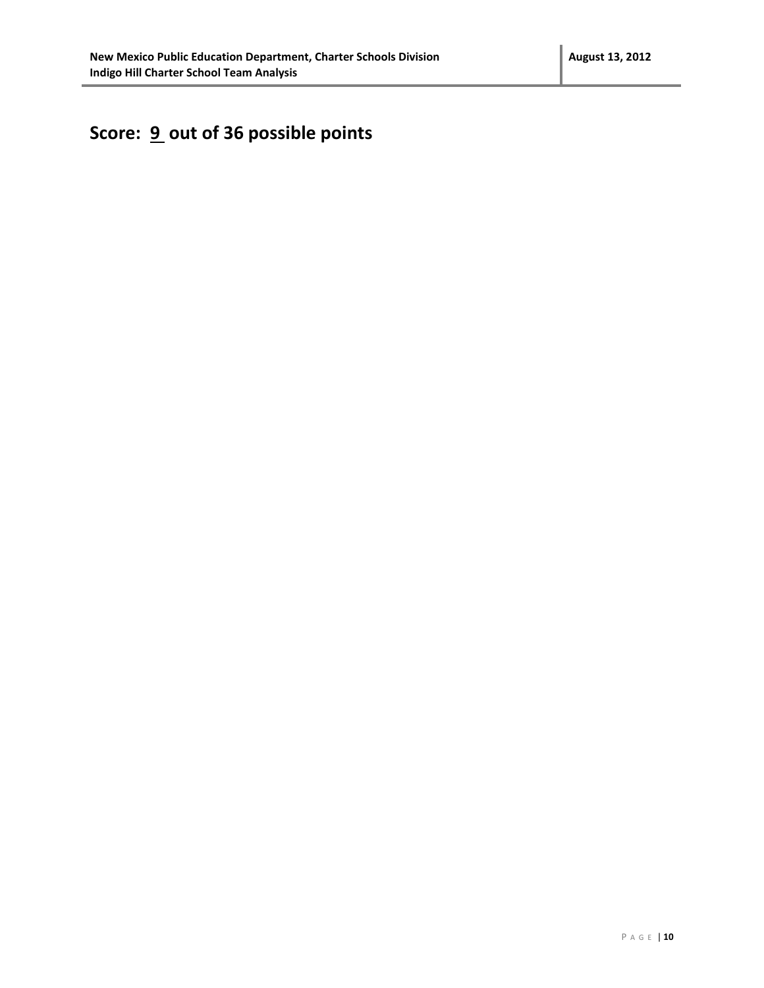# **Score: 9 out of 36 possible points**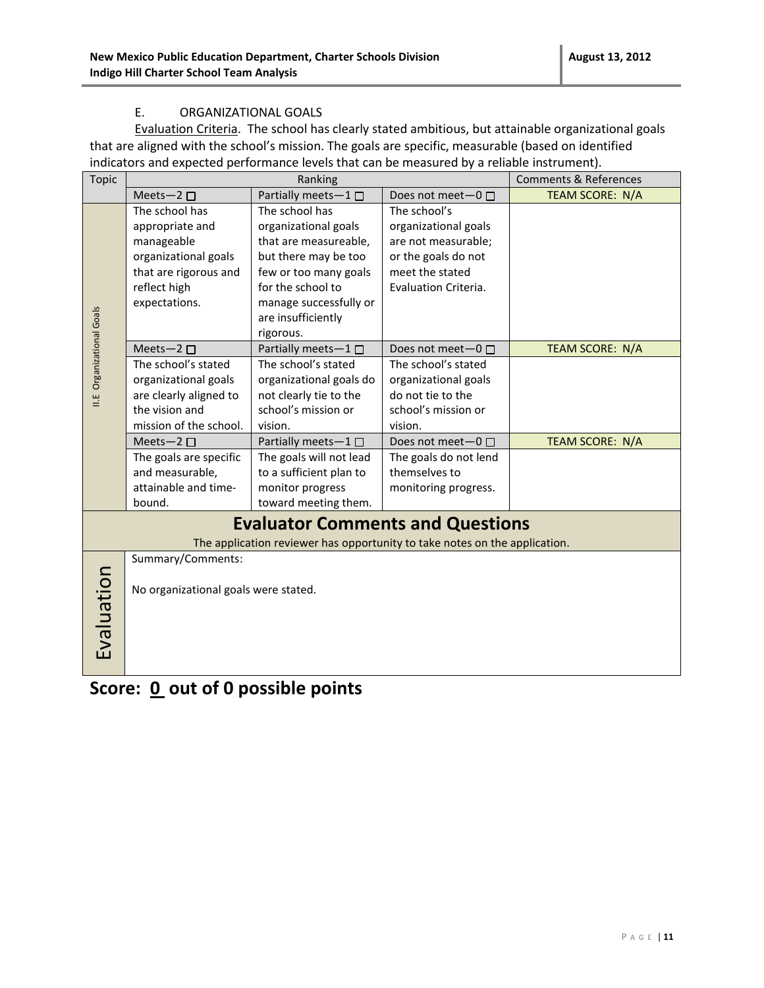#### E. ORGANIZATIONAL GOALS

Evaluation Criteria. The school has clearly stated ambitious, but attainable organizational goals that are aligned with the school's mission. The goals are specific, measurable (based on identified indicators and expected performance levels that can be measured by a reliable instrument).

| <b>Topic</b>                            | Ranking                                                                    |                             |                         | <b>Comments &amp; References</b> |  |
|-----------------------------------------|----------------------------------------------------------------------------|-----------------------------|-------------------------|----------------------------------|--|
|                                         | Meets-2 $\square$                                                          | Partially meets-1□          | Does not meet- $0 \Box$ | <b>TEAM SCORE: N/A</b>           |  |
|                                         | The school has                                                             | The school has              | The school's            |                                  |  |
|                                         | appropriate and                                                            | organizational goals        | organizational goals    |                                  |  |
|                                         | manageable                                                                 | that are measureable,       | are not measurable;     |                                  |  |
|                                         | organizational goals                                                       | but there may be too        | or the goals do not     |                                  |  |
|                                         | that are rigorous and                                                      | few or too many goals       | meet the stated         |                                  |  |
|                                         | reflect high                                                               | for the school to           | Evaluation Criteria.    |                                  |  |
|                                         | expectations.                                                              | manage successfully or      |                         |                                  |  |
|                                         |                                                                            | are insufficiently          |                         |                                  |  |
|                                         |                                                                            | rigorous.                   |                         |                                  |  |
| <b>II.E</b> Organizational Goals        | Meets-2 $\square$                                                          | Partially meets-1 □         | Does not meet- $0 \Box$ | TEAM SCORE: N/A                  |  |
|                                         | The school's stated                                                        | The school's stated         | The school's stated     |                                  |  |
|                                         | organizational goals                                                       | organizational goals do     | organizational goals    |                                  |  |
|                                         | are clearly aligned to                                                     | not clearly tie to the      | do not tie to the       |                                  |  |
|                                         | the vision and                                                             | school's mission or         | school's mission or     |                                  |  |
|                                         | mission of the school.                                                     | vision.                     | vision.                 |                                  |  |
|                                         | Meets-2 $\square$                                                          | Partially meets-1 $\square$ | Does not meet-0 □       | TEAM SCORE: N/A                  |  |
|                                         | The goals are specific                                                     | The goals will not lead     | The goals do not lend   |                                  |  |
|                                         | and measurable,                                                            | to a sufficient plan to     | themselves to           |                                  |  |
|                                         | attainable and time-                                                       | monitor progress            | monitoring progress.    |                                  |  |
|                                         | bound.                                                                     | toward meeting them.        |                         |                                  |  |
| <b>Evaluator Comments and Questions</b> |                                                                            |                             |                         |                                  |  |
|                                         | The application reviewer has opportunity to take notes on the application. |                             |                         |                                  |  |
|                                         | Summary/Comments:                                                          |                             |                         |                                  |  |
| Evaluation                              |                                                                            |                             |                         |                                  |  |
|                                         | No organizational goals were stated.                                       |                             |                         |                                  |  |
|                                         |                                                                            |                             |                         |                                  |  |
|                                         |                                                                            |                             |                         |                                  |  |
|                                         |                                                                            |                             |                         |                                  |  |
|                                         |                                                                            |                             |                         |                                  |  |
|                                         |                                                                            |                             |                         |                                  |  |

**Score: 0 out of 0 possible points**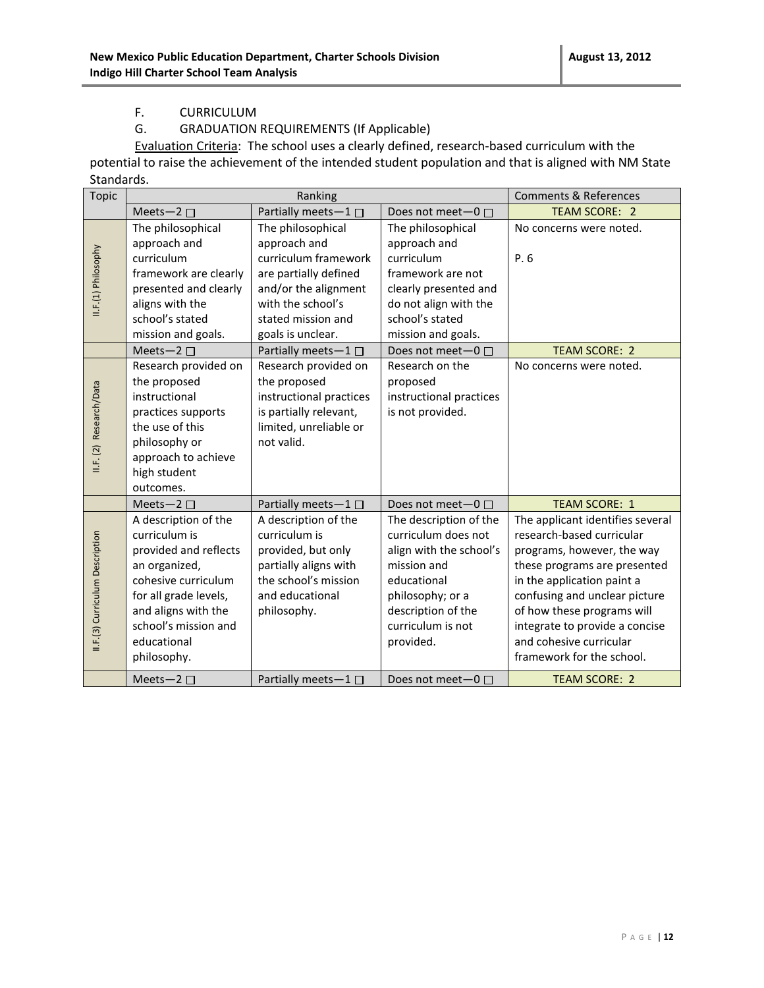#### F. CURRICULUM

#### G. GRADUATION REQUIREMENTS (If Applicable)

Evaluation Criteria: The school uses a clearly defined, research-based curriculum with the potential to raise the achievement of the intended student population and that is aligned with NM State Standards.

| <b>Topic</b>                    |                       | Ranking                     |                              | <b>Comments &amp; References</b> |
|---------------------------------|-----------------------|-----------------------------|------------------------------|----------------------------------|
|                                 | Meets-2 $\square$     | Partially meets-1           | Does not meet $-0$ $\square$ | <b>TEAM SCORE: 2</b>             |
|                                 | The philosophical     | The philosophical           | The philosophical            | No concerns were noted.          |
|                                 | approach and          | approach and                | approach and                 |                                  |
|                                 | curriculum            | curriculum framework        | curriculum                   | P.6                              |
|                                 | framework are clearly | are partially defined       | framework are not            |                                  |
|                                 | presented and clearly | and/or the alignment        | clearly presented and        |                                  |
| II.F.(1) Philosophy             | aligns with the       | with the school's           | do not align with the        |                                  |
|                                 | school's stated       | stated mission and          | school's stated              |                                  |
|                                 | mission and goals.    | goals is unclear.           | mission and goals.           |                                  |
|                                 | Meets-2 $\square$     | Partially meets $-1$ $\Box$ | Does not meet $-0$ $\Box$    | <b>TEAM SCORE: 2</b>             |
|                                 | Research provided on  | Research provided on        | Research on the              | No concerns were noted.          |
|                                 | the proposed          | the proposed                | proposed                     |                                  |
|                                 | instructional         | instructional practices     | instructional practices      |                                  |
|                                 | practices supports    | is partially relevant,      | is not provided.             |                                  |
|                                 | the use of this       | limited, unreliable or      |                              |                                  |
|                                 | philosophy or         | not valid.                  |                              |                                  |
| II.F. (2) Research/Data         | approach to achieve   |                             |                              |                                  |
|                                 | high student          |                             |                              |                                  |
|                                 | outcomes.             |                             |                              |                                  |
|                                 | Meets-2 $\square$     | Partially meets-1           | Does not meet-0 □            | <b>TEAM SCORE: 1</b>             |
|                                 | A description of the  | A description of the        | The description of the       | The applicant identifies several |
|                                 | curriculum is         | curriculum is               | curriculum does not          | research-based curricular        |
|                                 | provided and reflects | provided, but only          | align with the school's      | programs, however, the way       |
|                                 | an organized,         | partially aligns with       | mission and                  | these programs are presented     |
|                                 | cohesive curriculum   | the school's mission        | educational                  | in the application paint a       |
|                                 | for all grade levels, | and educational             | philosophy; or a             | confusing and unclear picture    |
|                                 | and aligns with the   | philosophy.                 | description of the           | of how these programs will       |
| II.F.(3) Curriculum Description | school's mission and  |                             | curriculum is not            | integrate to provide a concise   |
|                                 | educational           |                             | provided.                    | and cohesive curricular          |
|                                 | philosophy.           |                             |                              | framework for the school.        |
|                                 | Meets-2 $\square$     | Partially meets-1           | Does not meet $-0$ $\Box$    | <b>TEAM SCORE: 2</b>             |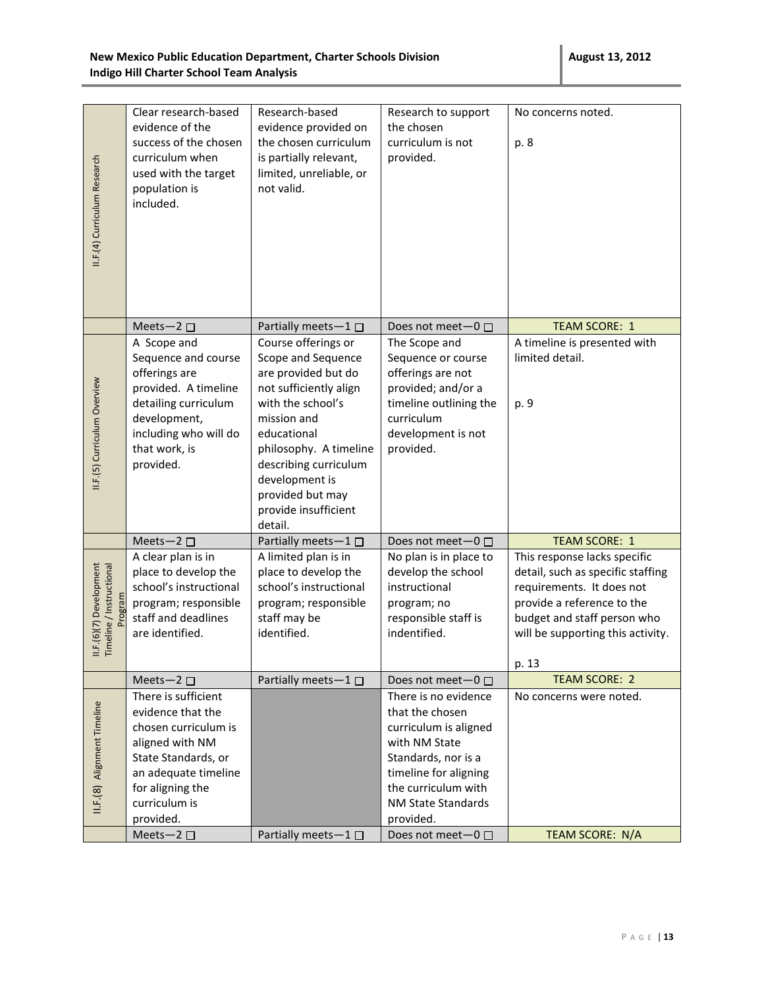| II.F.(4) Curriculum Research                        | Clear research-based<br>evidence of the<br>success of the chosen<br>curriculum when<br>used with the target<br>population is<br>included.                                                                 | Research-based<br>evidence provided on<br>the chosen curriculum<br>is partially relevant,<br>limited, unreliable, or<br>not valid.                                                                                                                                        | Research to support<br>the chosen<br>curriculum is not<br>provided.                                                                                                                                              | No concerns noted.<br>p. 8                                                                                                                                                                                |
|-----------------------------------------------------|-----------------------------------------------------------------------------------------------------------------------------------------------------------------------------------------------------------|---------------------------------------------------------------------------------------------------------------------------------------------------------------------------------------------------------------------------------------------------------------------------|------------------------------------------------------------------------------------------------------------------------------------------------------------------------------------------------------------------|-----------------------------------------------------------------------------------------------------------------------------------------------------------------------------------------------------------|
|                                                     | Meets-2 $\square$                                                                                                                                                                                         | Partially meets $-1$ $\Box$                                                                                                                                                                                                                                               | Does not meet $-0$ $\Box$                                                                                                                                                                                        | <b>TEAM SCORE: 1</b>                                                                                                                                                                                      |
| II.F.(5) Curriculum Overview                        | A Scope and<br>Sequence and course<br>offerings are<br>provided. A timeline<br>detailing curriculum<br>development,<br>including who will do<br>that work, is<br>provided.                                | Course offerings or<br>Scope and Sequence<br>are provided but do<br>not sufficiently align<br>with the school's<br>mission and<br>educational<br>philosophy. A timeline<br>describing curriculum<br>development is<br>provided but may<br>provide insufficient<br>detail. | The Scope and<br>Sequence or course<br>offerings are not<br>provided; and/or a<br>timeline outlining the<br>curriculum<br>development is not<br>provided.                                                        | A timeline is presented with<br>limited detail.<br>p. 9                                                                                                                                                   |
|                                                     | Meets-2 □                                                                                                                                                                                                 | Partially meets-1                                                                                                                                                                                                                                                         | Does not meet-0 □                                                                                                                                                                                                | <b>TEAM SCORE: 1</b>                                                                                                                                                                                      |
| II.F.(6)(7) Development<br>Timeline / Instructional | A clear plan is in<br>place to develop the<br>school's instructional<br>program; responsible<br>staff and deadlines<br>are identified.                                                                    | A limited plan is in<br>place to develop the<br>school's instructional<br>program; responsible<br>staff may be<br>identified.                                                                                                                                             | No plan is in place to<br>develop the school<br>instructional<br>program; no<br>responsible staff is<br>indentified.                                                                                             | This response lacks specific<br>detail, such as specific staffing<br>requirements. It does not<br>provide a reference to the<br>budget and staff person who<br>will be supporting this activity.<br>p. 13 |
|                                                     | Meets-2 $\square$                                                                                                                                                                                         | Partially meets-1□                                                                                                                                                                                                                                                        | Does not meet $-0$ $\Box$                                                                                                                                                                                        | <b>TEAM SCORE: 2</b>                                                                                                                                                                                      |
| II.F.(8) Alignment Timeline                         | There is sufficient<br>evidence that the<br>chosen curriculum is<br>aligned with NM<br>State Standards, or<br>an adequate timeline<br>for aligning the<br>curriculum is<br>provided.<br>Meets-2 $\square$ | Partially meets-1□                                                                                                                                                                                                                                                        | There is no evidence<br>that the chosen<br>curriculum is aligned<br>with NM State<br>Standards, nor is a<br>timeline for aligning<br>the curriculum with<br>NM State Standards<br>provided.<br>Does not meet-0 □ | No concerns were noted.<br>TEAM SCORE: N/A                                                                                                                                                                |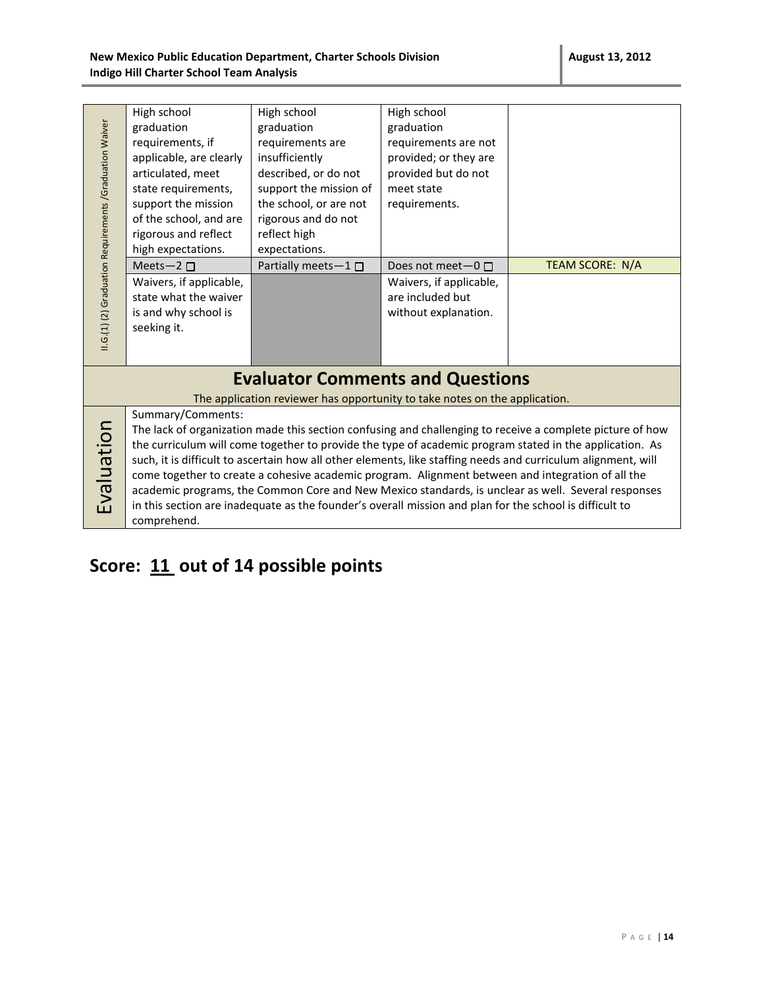| II.G.(1) (2) Graduation Requirements / Graduation Waiver                                                                                                                                                                                                                                                                                                                                                                                                                                                                                                                                                                                                                                                                                                                                    | High school<br>graduation<br>requirements, if<br>applicable, are clearly<br>articulated, meet<br>state requirements,<br>support the mission<br>of the school, and are<br>rigorous and reflect<br>high expectations.<br>Meets- $2\square$<br>Waivers, if applicable,<br>state what the waiver | High school<br>graduation<br>requirements are<br>insufficiently<br>described, or do not<br>support the mission of<br>the school, or are not<br>rigorous and do not<br>reflect high<br>expectations.<br>Partially meets $-1$ $\Box$ | High school<br>graduation<br>requirements are not<br>provided; or they are<br>provided but do not<br>meet state<br>requirements.<br>Does not meet $-0$ $\Box$<br>Waivers, if applicable,<br>are included but | TEAM SCORE: N/A |
|---------------------------------------------------------------------------------------------------------------------------------------------------------------------------------------------------------------------------------------------------------------------------------------------------------------------------------------------------------------------------------------------------------------------------------------------------------------------------------------------------------------------------------------------------------------------------------------------------------------------------------------------------------------------------------------------------------------------------------------------------------------------------------------------|----------------------------------------------------------------------------------------------------------------------------------------------------------------------------------------------------------------------------------------------------------------------------------------------|------------------------------------------------------------------------------------------------------------------------------------------------------------------------------------------------------------------------------------|--------------------------------------------------------------------------------------------------------------------------------------------------------------------------------------------------------------|-----------------|
|                                                                                                                                                                                                                                                                                                                                                                                                                                                                                                                                                                                                                                                                                                                                                                                             | is and why school is<br>seeking it.                                                                                                                                                                                                                                                          | <b>Evaluator Comments and Questions</b>                                                                                                                                                                                            | without explanation.                                                                                                                                                                                         |                 |
| The application reviewer has opportunity to take notes on the application.<br>Summary/Comments:<br>Evaluation<br>The lack of organization made this section confusing and challenging to receive a complete picture of how<br>the curriculum will come together to provide the type of academic program stated in the application. As<br>such, it is difficult to ascertain how all other elements, like staffing needs and curriculum alignment, will<br>come together to create a cohesive academic program. Alignment between and integration of all the<br>academic programs, the Common Core and New Mexico standards, is unclear as well. Several responses<br>in this section are inadequate as the founder's overall mission and plan for the school is difficult to<br>comprehend. |                                                                                                                                                                                                                                                                                              |                                                                                                                                                                                                                                    |                                                                                                                                                                                                              |                 |

# **Score: 11 out of 14 possible points**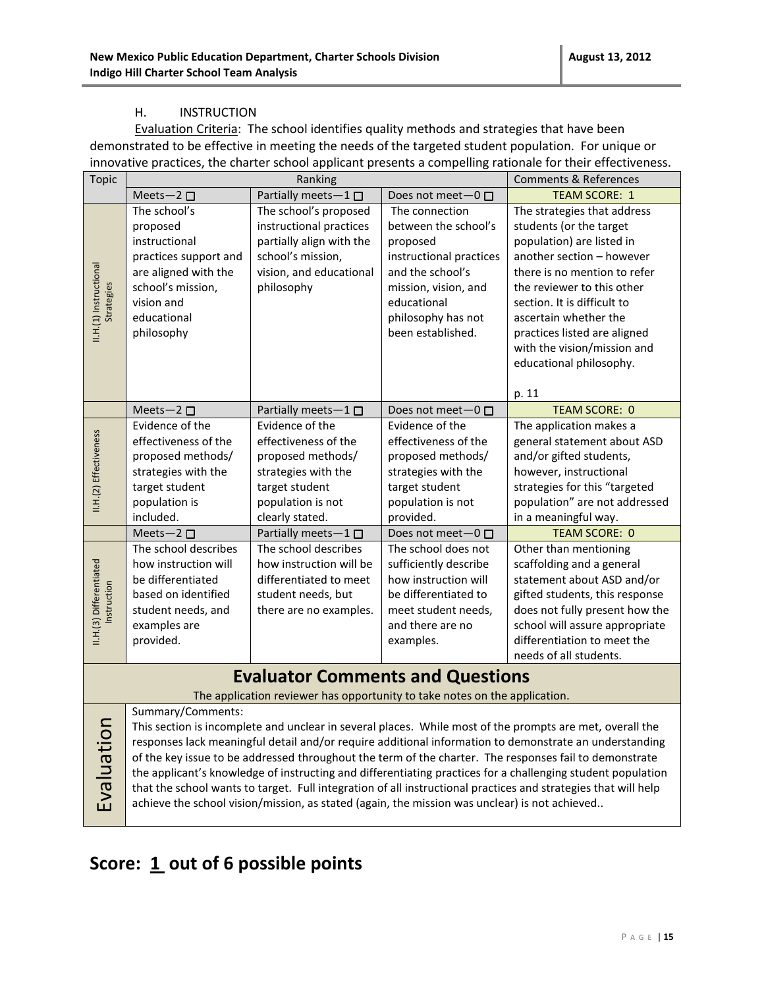#### H. INSTRUCTION

Evaluation Criteria: The school identifies quality methods and strategies that have been demonstrated to be effective in meeting the needs of the targeted student population. For unique or innovative practices, the charter school applicant presents a compelling rationale for their effectiveness.

|  | <b>Topic</b>            |                       | Ranking                                                                                       |                           | <b>Comments &amp; References</b>                                                                               |
|--|-------------------------|-----------------------|-----------------------------------------------------------------------------------------------|---------------------------|----------------------------------------------------------------------------------------------------------------|
|  |                         | Meets-2 $\square$     | Partially meets-1 □                                                                           | Does not meet $-0$ $\Box$ | <b>TEAM SCORE: 1</b>                                                                                           |
|  |                         | The school's          | The school's proposed                                                                         | The connection            | The strategies that address                                                                                    |
|  |                         | proposed              | instructional practices                                                                       | between the school's      | students (or the target                                                                                        |
|  |                         | instructional         | partially align with the                                                                      | proposed                  | population) are listed in                                                                                      |
|  |                         | practices support and | school's mission,                                                                             | instructional practices   | another section - however                                                                                      |
|  |                         | are aligned with the  | vision, and educational                                                                       | and the school's          | there is no mention to refer                                                                                   |
|  | II.H.(1) Instructional  | school's mission,     | philosophy                                                                                    | mission, vision, and      | the reviewer to this other                                                                                     |
|  | <b>Strategies</b>       | vision and            |                                                                                               | educational               | section. It is difficult to                                                                                    |
|  |                         | educational           |                                                                                               | philosophy has not        | ascertain whether the                                                                                          |
|  |                         | philosophy            |                                                                                               | been established.         | practices listed are aligned                                                                                   |
|  |                         |                       |                                                                                               |                           | with the vision/mission and                                                                                    |
|  |                         |                       |                                                                                               |                           | educational philosophy.                                                                                        |
|  |                         |                       |                                                                                               |                           |                                                                                                                |
|  |                         |                       |                                                                                               |                           | p. 11                                                                                                          |
|  |                         | Meets-2 $\square$     | Partially meets-1 $\square$                                                                   | Does not meet $-0$ $\Box$ | <b>TEAM SCORE: 0</b>                                                                                           |
|  |                         | Evidence of the       | Evidence of the                                                                               | Evidence of the           | The application makes a                                                                                        |
|  | II.H.(2) Effectiveness  | effectiveness of the  | effectiveness of the                                                                          | effectiveness of the      | general statement about ASD                                                                                    |
|  |                         | proposed methods/     | proposed methods/                                                                             | proposed methods/         | and/or gifted students,                                                                                        |
|  |                         | strategies with the   | strategies with the                                                                           | strategies with the       | however, instructional                                                                                         |
|  |                         | target student        | target student                                                                                | target student            | strategies for this "targeted                                                                                  |
|  |                         | population is         | population is not                                                                             | population is not         | population" are not addressed                                                                                  |
|  |                         | included.             | clearly stated.                                                                               | provided.                 | in a meaningful way.                                                                                           |
|  |                         | Meets-2 $\square$     | Partially meets-1□                                                                            | Does not meet-0 □         | <b>TEAM SCORE: 0</b>                                                                                           |
|  |                         | The school describes  | The school describes                                                                          | The school does not       | Other than mentioning                                                                                          |
|  |                         | how instruction will  | how instruction will be                                                                       | sufficiently describe     | scaffolding and a general                                                                                      |
|  | II.H.(3) Differentiated | be differentiated     | differentiated to meet                                                                        | how instruction will      | statement about ASD and/or                                                                                     |
|  | Instruction             | based on identified   | student needs, but                                                                            | be differentiated to      | gifted students, this response                                                                                 |
|  |                         | student needs, and    | there are no examples.                                                                        | meet student needs,       | does not fully present how the                                                                                 |
|  |                         | examples are          |                                                                                               | and there are no          | school will assure appropriate                                                                                 |
|  |                         | provided.             |                                                                                               | examples.                 | differentiation to meet the                                                                                    |
|  |                         |                       |                                                                                               |                           | needs of all students.                                                                                         |
|  |                         |                       | <b>Evaluator Comments and Questions</b>                                                       |                           |                                                                                                                |
|  |                         |                       | The application reviewer has opportunity to take notes on the application.                    |                           |                                                                                                                |
|  |                         | Summary/Comments:     |                                                                                               |                           |                                                                                                                |
|  |                         |                       |                                                                                               |                           | This section is incomplete and unclear in several places. While most of the prompts are met, overall the       |
|  |                         |                       |                                                                                               |                           | responses lack meaningful detail and/or require additional information to demonstrate an understanding         |
|  | Evaluation              |                       |                                                                                               |                           | of the key issue to be addressed throughout the term of the charter. The responses fail to demonstrate         |
|  |                         |                       |                                                                                               |                           | the applicant's knowledge of instructing and differentiating practices for a challenging student population    |
|  |                         |                       |                                                                                               |                           | that the school wants to target. Full integration of all instructional practices and strategies that will help |
|  |                         |                       | achieve the school vision/mission, as stated (again, the mission was unclear) is not achieved |                           |                                                                                                                |
|  |                         |                       |                                                                                               |                           |                                                                                                                |

### **Score: 1 out of 6 possible points**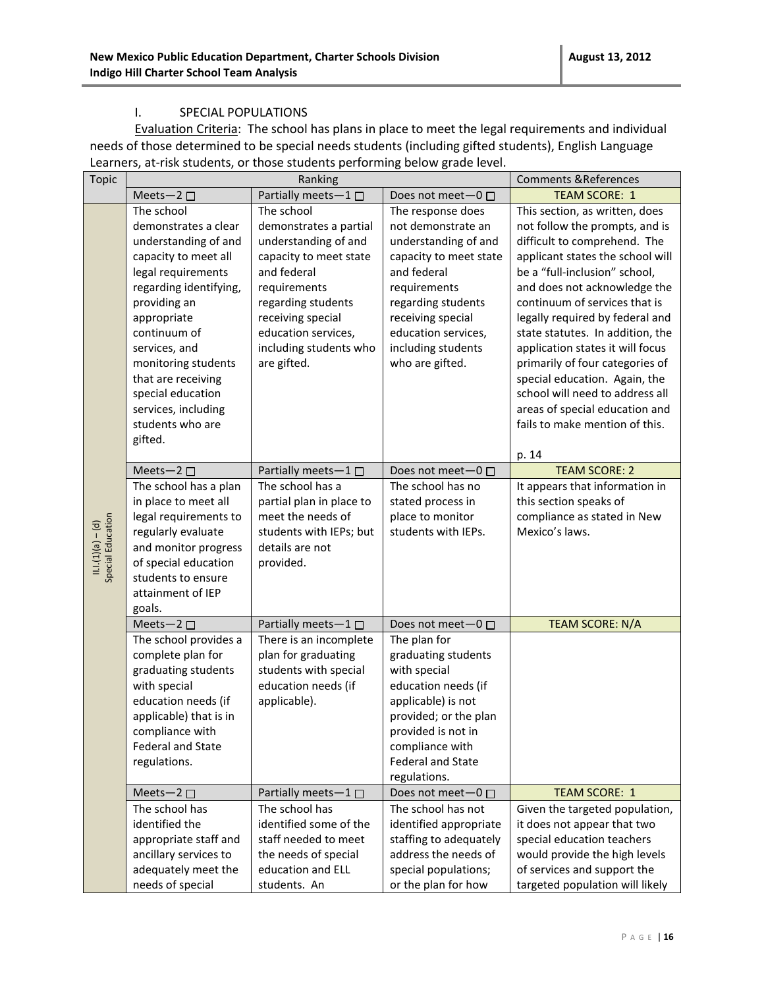#### I. SPECIAL POPULATIONS

Evaluation Criteria: The school has plans in place to meet the legal requirements and individual needs of those determined to be special needs students (including gifted students), English Language Learners, at-risk students, or those students performing below grade level.

| <b>Topic</b>                            | Ranking                                                                                                                                                                                                                                                                                                                    |                                                                                                                                                                                                                                  | <b>Comments &amp; References</b>                                                                                                                                                                                                    |                                                                                                                                                                                                                                                                                                                                                                                                                                                                                                                              |
|-----------------------------------------|----------------------------------------------------------------------------------------------------------------------------------------------------------------------------------------------------------------------------------------------------------------------------------------------------------------------------|----------------------------------------------------------------------------------------------------------------------------------------------------------------------------------------------------------------------------------|-------------------------------------------------------------------------------------------------------------------------------------------------------------------------------------------------------------------------------------|------------------------------------------------------------------------------------------------------------------------------------------------------------------------------------------------------------------------------------------------------------------------------------------------------------------------------------------------------------------------------------------------------------------------------------------------------------------------------------------------------------------------------|
|                                         | Meets-2 $\square$                                                                                                                                                                                                                                                                                                          | Partially meets-1 $\square$                                                                                                                                                                                                      | Does not meet-0 □                                                                                                                                                                                                                   | <b>TEAM SCORE: 1</b>                                                                                                                                                                                                                                                                                                                                                                                                                                                                                                         |
|                                         | The school<br>demonstrates a clear<br>understanding of and<br>capacity to meet all<br>legal requirements<br>regarding identifying,<br>providing an<br>appropriate<br>continuum of<br>services, and<br>monitoring students<br>that are receiving<br>special education<br>services, including<br>students who are<br>gifted. | The school<br>demonstrates a partial<br>understanding of and<br>capacity to meet state<br>and federal<br>requirements<br>regarding students<br>receiving special<br>education services,<br>including students who<br>are gifted. | The response does<br>not demonstrate an<br>understanding of and<br>capacity to meet state<br>and federal<br>requirements<br>regarding students<br>receiving special<br>education services,<br>including students<br>who are gifted. | This section, as written, does<br>not follow the prompts, and is<br>difficult to comprehend. The<br>applicant states the school will<br>be a "full-inclusion" school,<br>and does not acknowledge the<br>continuum of services that is<br>legally required by federal and<br>state statutes. In addition, the<br>application states it will focus<br>primarily of four categories of<br>special education. Again, the<br>school will need to address all<br>areas of special education and<br>fails to make mention of this. |
|                                         |                                                                                                                                                                                                                                                                                                                            |                                                                                                                                                                                                                                  |                                                                                                                                                                                                                                     | p. 14                                                                                                                                                                                                                                                                                                                                                                                                                                                                                                                        |
|                                         | Meets-2 $\square$                                                                                                                                                                                                                                                                                                          | Partially meets-1 $\square$                                                                                                                                                                                                      | Does not meet $-0$ $\Box$                                                                                                                                                                                                           | <b>TEAM SCORE: 2</b>                                                                                                                                                                                                                                                                                                                                                                                                                                                                                                         |
| Special Education<br>$11.1(1)(a) - (d)$ | The school has a plan<br>in place to meet all<br>legal requirements to<br>regularly evaluate<br>and monitor progress<br>of special education<br>students to ensure<br>attainment of IEP<br>goals.                                                                                                                          | The school has a<br>partial plan in place to<br>meet the needs of<br>students with IEPs; but<br>details are not<br>provided.                                                                                                     | The school has no<br>stated process in<br>place to monitor<br>students with IEPs.                                                                                                                                                   | It appears that information in<br>this section speaks of<br>compliance as stated in New<br>Mexico's laws.                                                                                                                                                                                                                                                                                                                                                                                                                    |
|                                         | Meets-2 $\square$                                                                                                                                                                                                                                                                                                          | Partially meets-1 $\Box$                                                                                                                                                                                                         | Does not meet $-0$ $\Box$                                                                                                                                                                                                           | TEAM SCORE: N/A                                                                                                                                                                                                                                                                                                                                                                                                                                                                                                              |
|                                         | The school provides a<br>complete plan for<br>graduating students<br>with special<br>education needs (if<br>applicable) that is in<br>compliance with<br><b>Federal and State</b><br>regulations.                                                                                                                          | There is an incomplete<br>plan for graduating<br>students with special<br>education needs (if<br>applicable).                                                                                                                    | The plan for<br>graduating students<br>with special<br>education needs (if<br>applicable) is not<br>provided; or the plan<br>provided is not in<br>compliance with<br><b>Federal and State</b><br>regulations.                      |                                                                                                                                                                                                                                                                                                                                                                                                                                                                                                                              |
|                                         | Meets-2 $\square$                                                                                                                                                                                                                                                                                                          | Partially meets-1 $\square$                                                                                                                                                                                                      | Does not meet-0                                                                                                                                                                                                                     | <b>TEAM SCORE: 1</b>                                                                                                                                                                                                                                                                                                                                                                                                                                                                                                         |
|                                         | The school has<br>identified the<br>appropriate staff and<br>ancillary services to<br>adequately meet the<br>needs of special                                                                                                                                                                                              | The school has<br>identified some of the<br>staff needed to meet<br>the needs of special<br>education and ELL<br>students. An                                                                                                    | The school has not<br>identified appropriate<br>staffing to adequately<br>address the needs of<br>special populations;<br>or the plan for how                                                                                       | Given the targeted population,<br>it does not appear that two<br>special education teachers<br>would provide the high levels<br>of services and support the<br>targeted population will likely                                                                                                                                                                                                                                                                                                                               |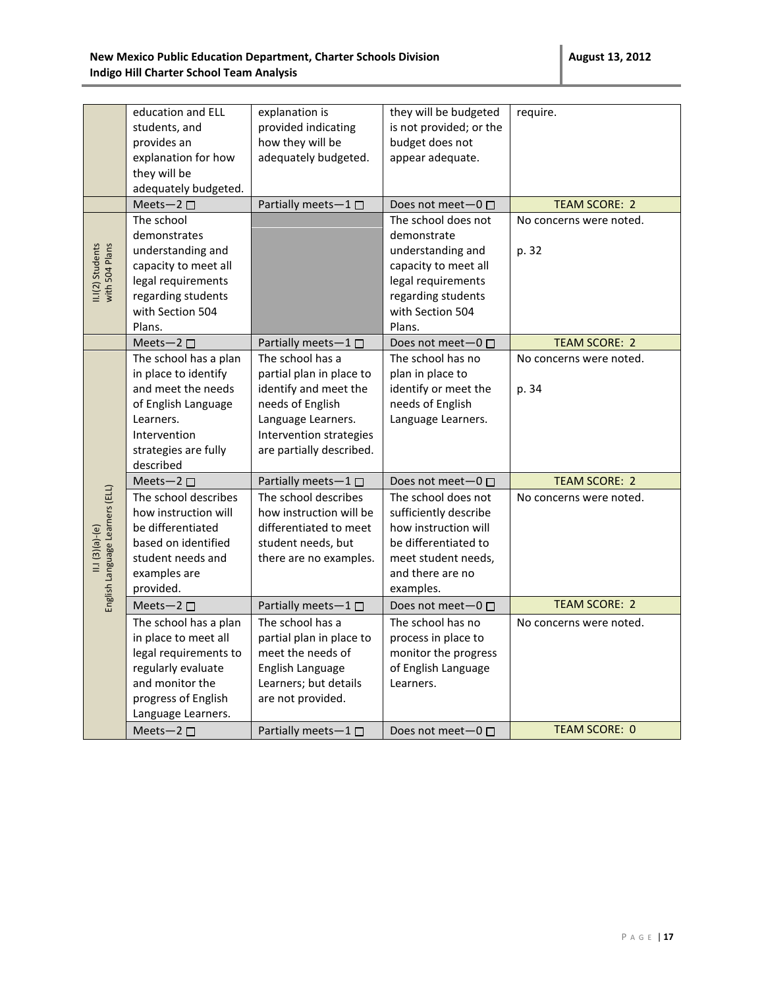|                                                     | education and ELL<br>students, and<br>provides an<br>explanation for how<br>they will be<br>adequately budgeted.                                             | explanation is<br>provided indicating<br>how they will be<br>adequately budgeted.                                                                                      | they will be budgeted<br>is not provided; or the<br>budget does not<br>appear adequate.                                                                   | require.                         |
|-----------------------------------------------------|--------------------------------------------------------------------------------------------------------------------------------------------------------------|------------------------------------------------------------------------------------------------------------------------------------------------------------------------|-----------------------------------------------------------------------------------------------------------------------------------------------------------|----------------------------------|
|                                                     | Meets-2 □<br>The school                                                                                                                                      | Partially meets-1□                                                                                                                                                     | Does not meet-0 □                                                                                                                                         | <b>TEAM SCORE: 2</b>             |
| with 504 Plans<br>II.I(2) Students                  | demonstrates<br>understanding and<br>capacity to meet all<br>legal requirements<br>regarding students<br>with Section 504<br>Plans.                          |                                                                                                                                                                        | The school does not<br>demonstrate<br>understanding and<br>capacity to meet all<br>legal requirements<br>regarding students<br>with Section 504<br>Plans. | No concerns were noted.<br>p. 32 |
|                                                     | Meets-2 $\square$                                                                                                                                            | Partially meets-1 $\square$                                                                                                                                            | Does not meet $-0$ $\Box$                                                                                                                                 | <b>TEAM SCORE: 2</b>             |
|                                                     | The school has a plan<br>in place to identify<br>and meet the needs<br>of English Language<br>Learners.<br>Intervention<br>strategies are fully<br>described | The school has a<br>partial plan in place to<br>identify and meet the<br>needs of English<br>Language Learners.<br>Intervention strategies<br>are partially described. | The school has no<br>plan in place to<br>identify or meet the<br>needs of English<br>Language Learners.                                                   | No concerns were noted.<br>p. 34 |
|                                                     | Meets-2 □                                                                                                                                                    | Partially meets-1□                                                                                                                                                     | Does not meet-0                                                                                                                                           | <b>TEAM SCORE: 2</b>             |
| English Language Learners (ELL)<br>$11.1(3)(a)-(e)$ | The school describes<br>how instruction will<br>be differentiated<br>based on identified<br>student needs and<br>examples are<br>provided.                   | The school describes<br>how instruction will be<br>differentiated to meet<br>student needs, but<br>there are no examples.                                              | The school does not<br>sufficiently describe<br>how instruction will<br>be differentiated to<br>meet student needs,<br>and there are no<br>examples.      | No concerns were noted.          |
|                                                     | Meets-2 $\square$                                                                                                                                            | Partially meets-1                                                                                                                                                      | Does not meet-0 □                                                                                                                                         | <b>TEAM SCORE: 2</b>             |
|                                                     | The school has a plan<br>in place to meet all<br>legal requirements to<br>regularly evaluate<br>and monitor the<br>progress of English<br>Language Learners. | The school has a<br>partial plan in place to<br>meet the needs of<br>English Language<br>Learners; but details<br>are not provided.                                    | The school has no<br>process in place to<br>monitor the progress<br>of English Language<br>Learners.                                                      | No concerns were noted.          |
|                                                     | Meets-2 $\square$                                                                                                                                            | Partially meets-1 $\square$                                                                                                                                            | Does not meet $-0$ $\Box$                                                                                                                                 | <b>TEAM SCORE: 0</b>             |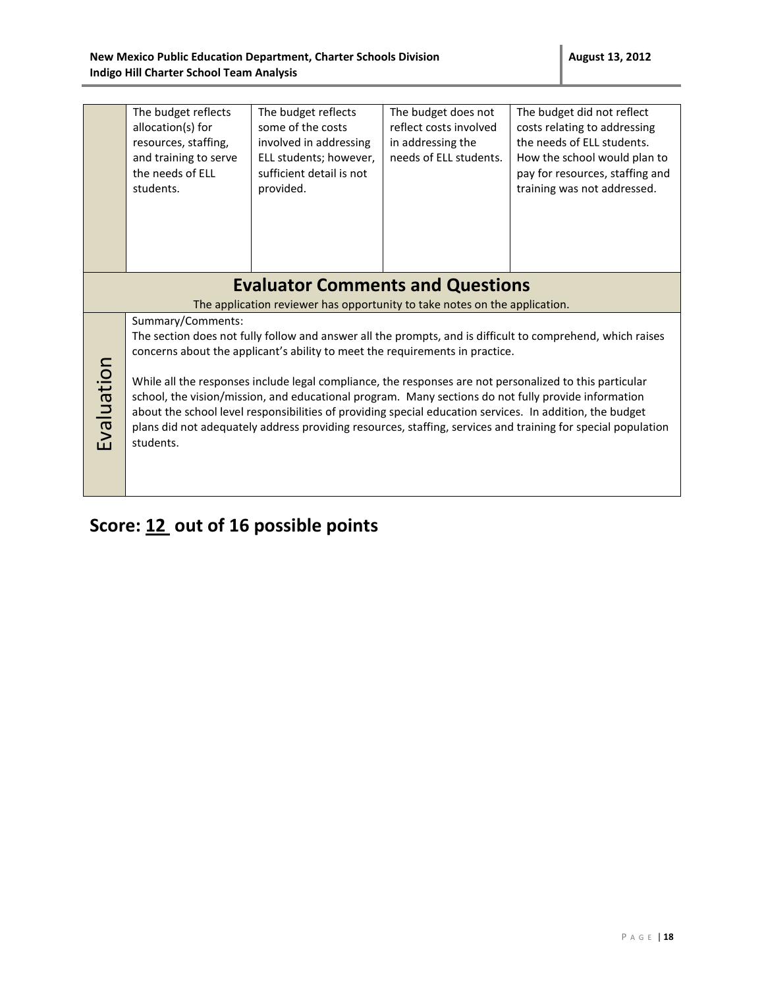|            | The budget reflects<br>allocation(s) for<br>resources, staffing,<br>and training to serve<br>the needs of ELL<br>students. | The budget reflects<br>some of the costs<br>involved in addressing<br>ELL students; however,<br>sufficient detail is not<br>provided. | The budget does not<br>reflect costs involved<br>in addressing the<br>needs of ELL students. | The budget did not reflect<br>costs relating to addressing<br>the needs of ELL students.<br>How the school would plan to<br>pay for resources, staffing and<br>training was not addressed.                                                                                                                                                                                                                                                 |
|------------|----------------------------------------------------------------------------------------------------------------------------|---------------------------------------------------------------------------------------------------------------------------------------|----------------------------------------------------------------------------------------------|--------------------------------------------------------------------------------------------------------------------------------------------------------------------------------------------------------------------------------------------------------------------------------------------------------------------------------------------------------------------------------------------------------------------------------------------|
|            |                                                                                                                            |                                                                                                                                       |                                                                                              |                                                                                                                                                                                                                                                                                                                                                                                                                                            |
|            |                                                                                                                            | <b>Evaluator Comments and Questions</b>                                                                                               |                                                                                              |                                                                                                                                                                                                                                                                                                                                                                                                                                            |
|            |                                                                                                                            | The application reviewer has opportunity to take notes on the application.                                                            |                                                                                              |                                                                                                                                                                                                                                                                                                                                                                                                                                            |
|            | Summary/Comments:                                                                                                          | concerns about the applicant's ability to meet the requirements in practice.                                                          |                                                                                              | The section does not fully follow and answer all the prompts, and is difficult to comprehend, which raises                                                                                                                                                                                                                                                                                                                                 |
| Evaluation | students.                                                                                                                  |                                                                                                                                       |                                                                                              | While all the responses include legal compliance, the responses are not personalized to this particular<br>school, the vision/mission, and educational program. Many sections do not fully provide information<br>about the school level responsibilities of providing special education services. In addition, the budget<br>plans did not adequately address providing resources, staffing, services and training for special population |
|            |                                                                                                                            |                                                                                                                                       |                                                                                              |                                                                                                                                                                                                                                                                                                                                                                                                                                            |

# **Score: 12 out of 16 possible points**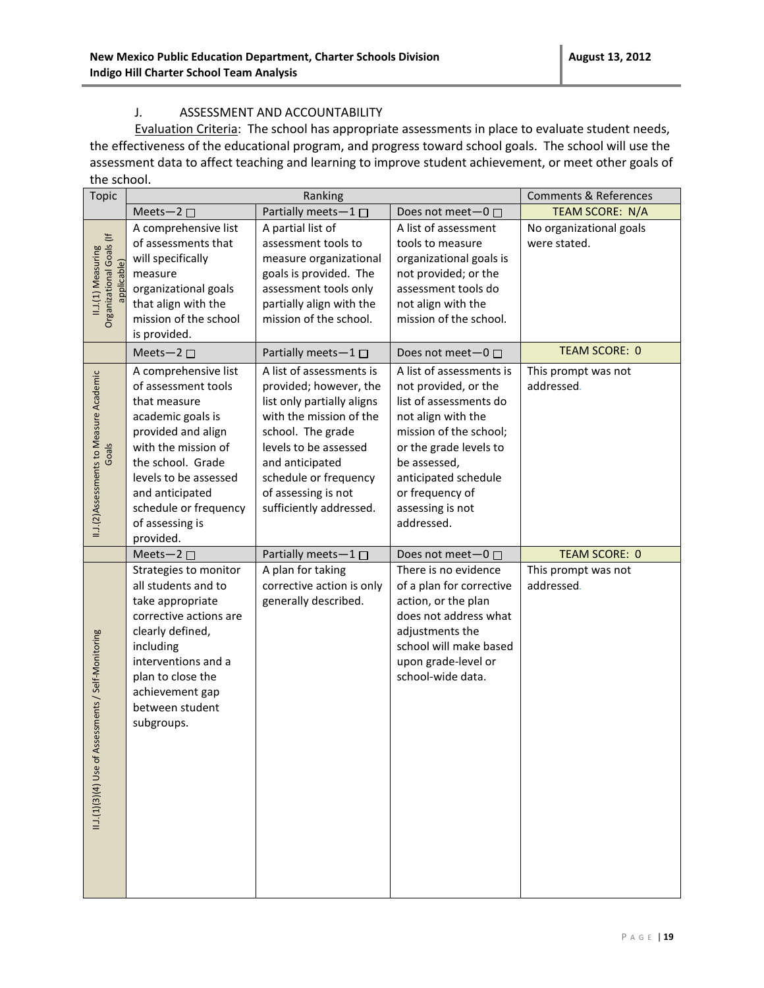#### J. ASSESSMENT AND ACCOUNTABILITY

Evaluation Criteria: The school has appropriate assessments in place to evaluate student needs, the effectiveness of the educational program, and progress toward school goals. The school will use the assessment data to affect teaching and learning to improve student achievement, or meet other goals of the school.

| <b>Topic</b>                                                 | Ranking                                                                                                                                                                                                                                                 |                                                                                                                                                                                                                                                         | <b>Comments &amp; References</b>                                                                                                                                                                                                                  |                                         |
|--------------------------------------------------------------|---------------------------------------------------------------------------------------------------------------------------------------------------------------------------------------------------------------------------------------------------------|---------------------------------------------------------------------------------------------------------------------------------------------------------------------------------------------------------------------------------------------------------|---------------------------------------------------------------------------------------------------------------------------------------------------------------------------------------------------------------------------------------------------|-----------------------------------------|
|                                                              | Meets-2 $\square$                                                                                                                                                                                                                                       | Partially meets-1                                                                                                                                                                                                                                       | Does not meet-0 □                                                                                                                                                                                                                                 | <b>TEAM SCORE: N/A</b>                  |
| II.J.(1) Measuring<br>Organizational Goals (If<br>pplicable) | A comprehensive list<br>of assessments that<br>will specifically<br>measure<br>organizational goals<br>that align with the<br>mission of the school<br>is provided.                                                                                     | A partial list of<br>assessment tools to<br>measure organizational<br>goals is provided. The<br>assessment tools only<br>partially align with the<br>mission of the school.                                                                             | A list of assessment<br>tools to measure<br>organizational goals is<br>not provided; or the<br>assessment tools do<br>not align with the<br>mission of the school.                                                                                | No organizational goals<br>were stated. |
|                                                              | Meets-2 $\square$                                                                                                                                                                                                                                       | Partially meets-1□                                                                                                                                                                                                                                      | Does not meet-0 □                                                                                                                                                                                                                                 | <b>TEAM SCORE: 0</b>                    |
| II.J.(2)Assessments to Measure Academic<br>Goals             | A comprehensive list<br>of assessment tools<br>that measure<br>academic goals is<br>provided and align<br>with the mission of<br>the school. Grade<br>levels to be assessed<br>and anticipated<br>schedule or frequency<br>of assessing is<br>provided. | A list of assessments is<br>provided; however, the<br>list only partially aligns<br>with the mission of the<br>school. The grade<br>levels to be assessed<br>and anticipated<br>schedule or frequency<br>of assessing is not<br>sufficiently addressed. | A list of assessments is<br>not provided, or the<br>list of assessments do<br>not align with the<br>mission of the school;<br>or the grade levels to<br>be assessed,<br>anticipated schedule<br>or frequency of<br>assessing is not<br>addressed. | This prompt was not<br>addressed.       |
|                                                              | Meets-2 $\square$                                                                                                                                                                                                                                       | Partially meets-1                                                                                                                                                                                                                                       | Does not meet- $0 \Box$                                                                                                                                                                                                                           | <b>TEAM SCORE: 0</b>                    |
| II.1(1)(3)(4) Use of Assessments / Self-Monitoring           | Strategies to monitor<br>all students and to<br>take appropriate<br>corrective actions are<br>clearly defined,<br>including<br>interventions and a<br>plan to close the<br>achievement gap<br>between student<br>subgroups.                             | A plan for taking<br>corrective action is only<br>generally described.                                                                                                                                                                                  | There is no evidence<br>of a plan for corrective<br>action, or the plan<br>does not address what<br>adjustments the<br>school will make based<br>upon grade-level or<br>school-wide data.                                                         | This prompt was not<br>addressed.       |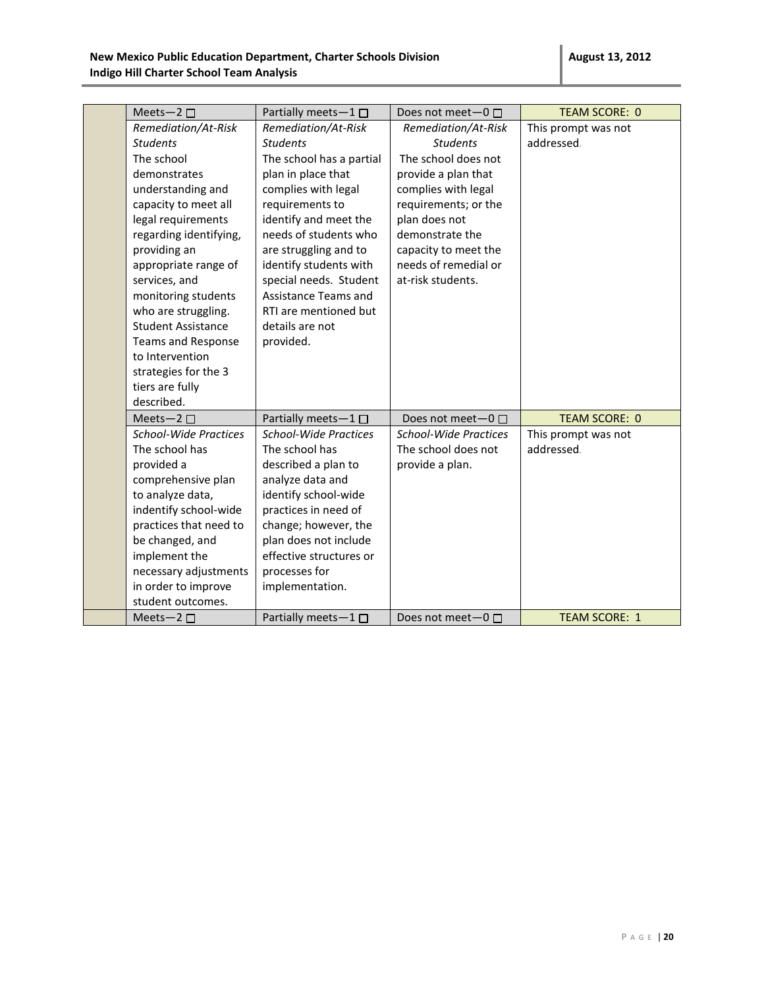| Meets-2 $\square$            | Partially meets-1□           | Does not meet-0 □            | <b>TEAM SCORE: 0</b> |
|------------------------------|------------------------------|------------------------------|----------------------|
| Remediation/At-Risk          | Remediation/At-Risk          | Remediation/At-Risk          | This prompt was not  |
| <b>Students</b>              | <b>Students</b>              | <b>Students</b>              | addressed.           |
| The school                   | The school has a partial     | The school does not          |                      |
| demonstrates                 | plan in place that           | provide a plan that          |                      |
| understanding and            | complies with legal          | complies with legal          |                      |
| capacity to meet all         | requirements to              | requirements; or the         |                      |
| legal requirements           | identify and meet the        | plan does not                |                      |
| regarding identifying,       | needs of students who        | demonstrate the              |                      |
| providing an                 | are struggling and to        | capacity to meet the         |                      |
| appropriate range of         | identify students with       | needs of remedial or         |                      |
| services, and                | special needs. Student       | at-risk students.            |                      |
| monitoring students          | Assistance Teams and         |                              |                      |
| who are struggling.          | RTI are mentioned but        |                              |                      |
| <b>Student Assistance</b>    | details are not              |                              |                      |
| <b>Teams and Response</b>    | provided.                    |                              |                      |
| to Intervention              |                              |                              |                      |
| strategies for the 3         |                              |                              |                      |
| tiers are fully              |                              |                              |                      |
| described.                   |                              |                              |                      |
| Meets-2 $\square$            | Partially meets-1 □          | Does not meet $-0$ $\Box$    | <b>TEAM SCORE: 0</b> |
| <b>School-Wide Practices</b> | <b>School-Wide Practices</b> | <b>School-Wide Practices</b> | This prompt was not  |
| The school has               | The school has               | The school does not          | addressed.           |
| provided a                   | described a plan to          | provide a plan.              |                      |
| comprehensive plan           | analyze data and             |                              |                      |
| to analyze data,             | identify school-wide         |                              |                      |
| indentify school-wide        | practices in need of         |                              |                      |
| practices that need to       | change; however, the         |                              |                      |
| be changed, and              | plan does not include        |                              |                      |
| implement the                | effective structures or      |                              |                      |
| necessary adjustments        | processes for                |                              |                      |
| in order to improve          | implementation.              |                              |                      |
| student outcomes.            |                              |                              |                      |
| Meets-2 $\square$            | Partially meets-1□           | Does not meet- $0 \Box$      | <b>TEAM SCORE: 1</b> |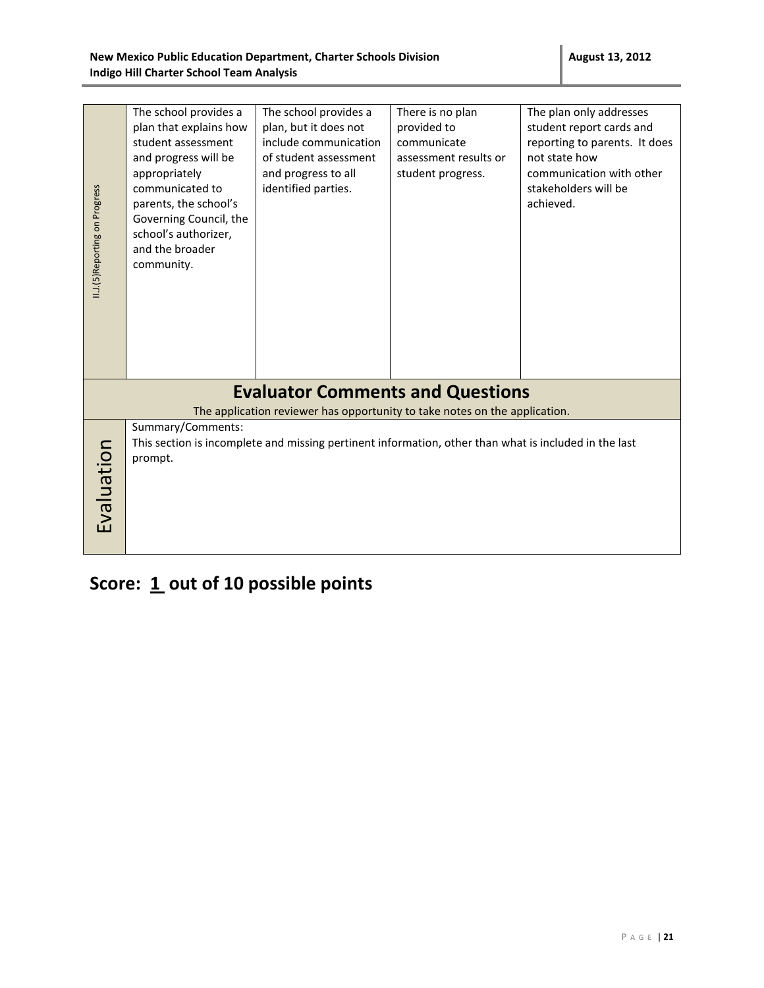| II.J.(5) Reporting on Progress | The school provides a<br>plan that explains how<br>student assessment<br>and progress will be<br>appropriately<br>communicated to<br>parents, the school's<br>Governing Council, the<br>school's authorizer,<br>and the broader<br>community. | The school provides a<br>plan, but it does not<br>include communication<br>of student assessment<br>and progress to all<br>identified parties. | There is no plan<br>provided to<br>communicate<br>assessment results or<br>student progress. | The plan only addresses<br>student report cards and<br>reporting to parents. It does<br>not state how<br>communication with other<br>stakeholders will be<br>achieved. |
|--------------------------------|-----------------------------------------------------------------------------------------------------------------------------------------------------------------------------------------------------------------------------------------------|------------------------------------------------------------------------------------------------------------------------------------------------|----------------------------------------------------------------------------------------------|------------------------------------------------------------------------------------------------------------------------------------------------------------------------|
|                                |                                                                                                                                                                                                                                               |                                                                                                                                                |                                                                                              |                                                                                                                                                                        |
|                                |                                                                                                                                                                                                                                               | <b>Evaluator Comments and Questions</b><br>The application reviewer has opportunity to take notes on the application.                          |                                                                                              |                                                                                                                                                                        |
| Evaluation                     | Summary/Comments:<br>prompt.                                                                                                                                                                                                                  | This section is incomplete and missing pertinent information, other than what is included in the last                                          |                                                                                              |                                                                                                                                                                        |

Score: 1 out of 10 possible points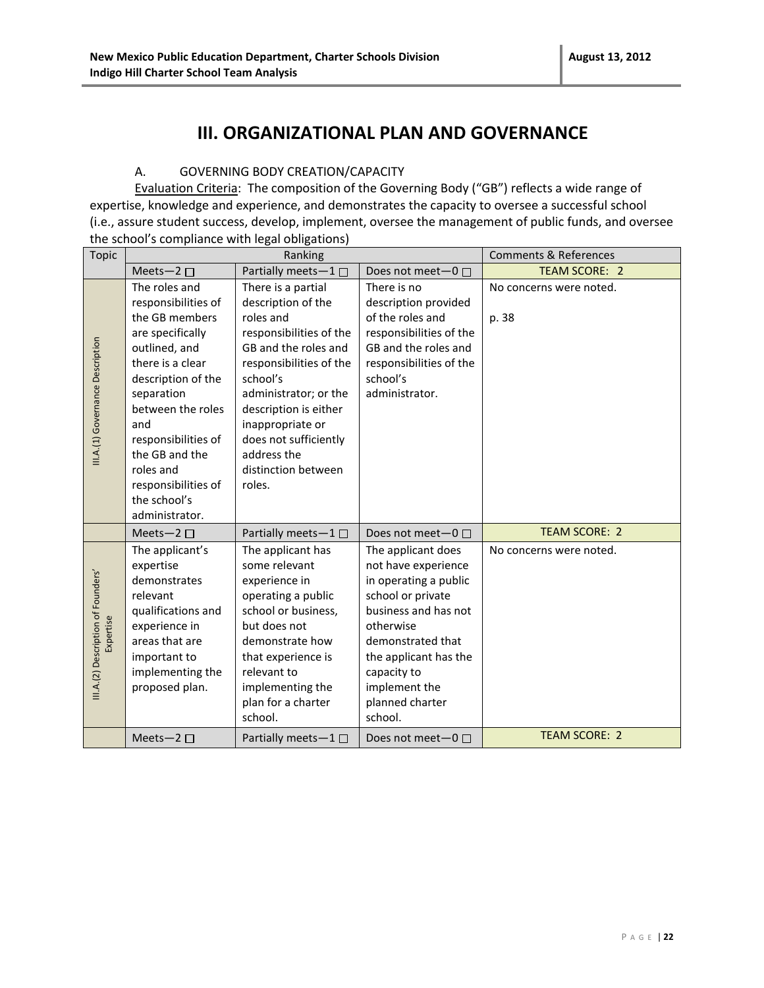### **III. ORGANIZATIONAL PLAN AND GOVERNANCE**

#### A. GOVERNING BODY CREATION/CAPACITY

Evaluation Criteria: The composition of the Governing Body ("GB") reflects a wide range of expertise, knowledge and experience, and demonstrates the capacity to oversee a successful school (i.e., assure student success, develop, implement, oversee the management of public funds, and oversee the school's compliance with legal obligations)

| <b>Topic</b>                                    | Ranking                                                                                                                                                                                                                                                                                        |                                                                                                                                                                                                                                                                                                | <b>Comments &amp; References</b>                                                                                                                                                                                                         |                                  |
|-------------------------------------------------|------------------------------------------------------------------------------------------------------------------------------------------------------------------------------------------------------------------------------------------------------------------------------------------------|------------------------------------------------------------------------------------------------------------------------------------------------------------------------------------------------------------------------------------------------------------------------------------------------|------------------------------------------------------------------------------------------------------------------------------------------------------------------------------------------------------------------------------------------|----------------------------------|
|                                                 | Meets-2 $\square$                                                                                                                                                                                                                                                                              | Partially meets-1□                                                                                                                                                                                                                                                                             | Does not meet- $0 \Box$                                                                                                                                                                                                                  | TEAM SCORE: 2                    |
| III.A.(1) Governance Description                | The roles and<br>responsibilities of<br>the GB members<br>are specifically<br>outlined, and<br>there is a clear<br>description of the<br>separation<br>between the roles<br>and<br>responsibilities of<br>the GB and the<br>roles and<br>responsibilities of<br>the school's<br>administrator. | There is a partial<br>description of the<br>roles and<br>responsibilities of the<br>GB and the roles and<br>responsibilities of the<br>school's<br>administrator; or the<br>description is either<br>inappropriate or<br>does not sufficiently<br>address the<br>distinction between<br>roles. | There is no<br>description provided<br>of the roles and<br>responsibilities of the<br>GB and the roles and<br>responsibilities of the<br>school's<br>administrator.                                                                      | No concerns were noted.<br>p. 38 |
|                                                 | Meets-2 $\square$                                                                                                                                                                                                                                                                              | Partially meets- $1 \Box$                                                                                                                                                                                                                                                                      | Does not meet- $0 \Box$                                                                                                                                                                                                                  | <b>TEAM SCORE: 2</b>             |
| III.A.(2) Description of Founders'<br>Expertise | The applicant's<br>expertise<br>demonstrates<br>relevant<br>qualifications and<br>experience in<br>areas that are<br>important to<br>implementing the<br>proposed plan.                                                                                                                        | The applicant has<br>some relevant<br>experience in<br>operating a public<br>school or business,<br>but does not<br>demonstrate how<br>that experience is<br>relevant to<br>implementing the<br>plan for a charter<br>school.                                                                  | The applicant does<br>not have experience<br>in operating a public<br>school or private<br>business and has not<br>otherwise<br>demonstrated that<br>the applicant has the<br>capacity to<br>implement the<br>planned charter<br>school. | No concerns were noted.          |
|                                                 | Meets-2 $\square$                                                                                                                                                                                                                                                                              | Partially meets- $1 \Box$                                                                                                                                                                                                                                                                      | Does not meet- $0 \Box$                                                                                                                                                                                                                  | <b>TEAM SCORE: 2</b>             |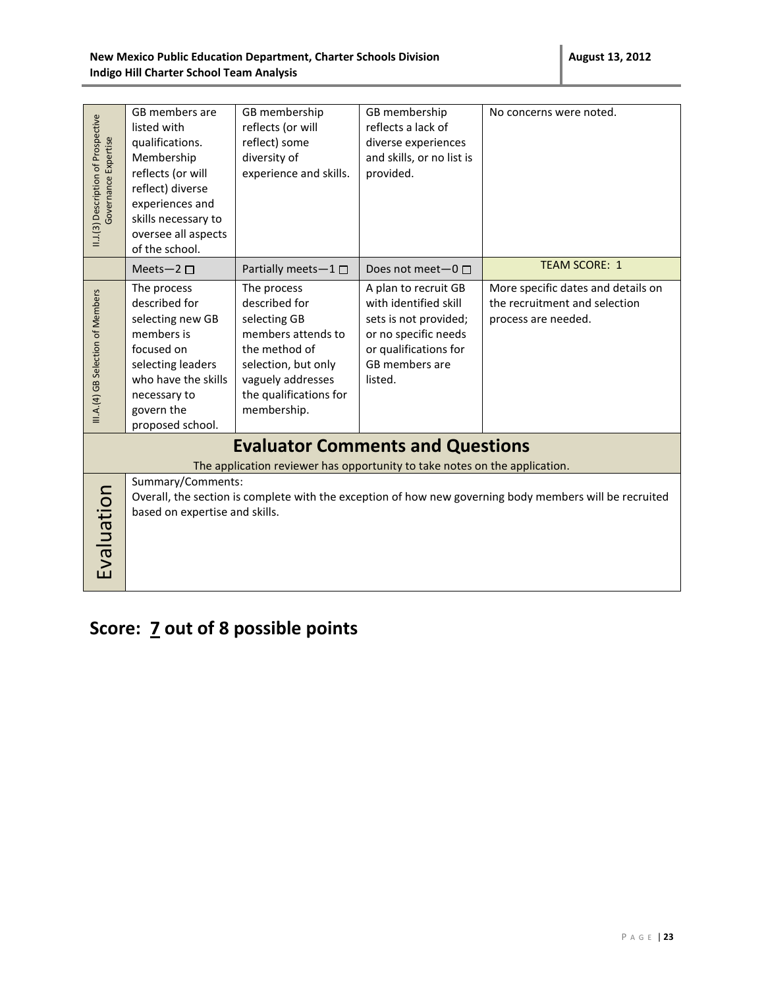| II.J.(3) Description of Prospective<br>Governance Expertise                                                                                                                  | GB members are<br>listed with<br>qualifications.<br>Membership<br>reflects (or will<br>reflect) diverse<br>experiences and<br>skills necessary to<br>oversee all aspects<br>of the school. | GB membership<br>reflects (or will<br>reflect) some<br>diversity of<br>experience and skills.                                                                            | GB membership<br>reflects a lack of<br>diverse experiences<br>and skills, or no list is<br>provided.                                                 | No concerns were noted.                                                                    |
|------------------------------------------------------------------------------------------------------------------------------------------------------------------------------|--------------------------------------------------------------------------------------------------------------------------------------------------------------------------------------------|--------------------------------------------------------------------------------------------------------------------------------------------------------------------------|------------------------------------------------------------------------------------------------------------------------------------------------------|--------------------------------------------------------------------------------------------|
|                                                                                                                                                                              | Meets-2 $\square$                                                                                                                                                                          | Partially meets-1 □                                                                                                                                                      | Does not meet-0 □                                                                                                                                    | <b>TEAM SCORE: 1</b>                                                                       |
| III.A.(4) GB Selection of Members                                                                                                                                            | The process<br>described for<br>selecting new GB<br>members is<br>focused on<br>selecting leaders<br>who have the skills<br>necessary to<br>govern the<br>proposed school.                 | The process<br>described for<br>selecting GB<br>members attends to<br>the method of<br>selection, but only<br>vaguely addresses<br>the qualifications for<br>membership. | A plan to recruit GB<br>with identified skill<br>sets is not provided;<br>or no specific needs<br>or qualifications for<br>GB members are<br>listed. | More specific dates and details on<br>the recruitment and selection<br>process are needed. |
|                                                                                                                                                                              |                                                                                                                                                                                            | <b>Evaluator Comments and Questions</b>                                                                                                                                  |                                                                                                                                                      |                                                                                            |
|                                                                                                                                                                              |                                                                                                                                                                                            | The application reviewer has opportunity to take notes on the application.                                                                                               |                                                                                                                                                      |                                                                                            |
| Summary/Comments:<br>Evaluation<br>Overall, the section is complete with the exception of how new governing body members will be recruited<br>based on expertise and skills. |                                                                                                                                                                                            |                                                                                                                                                                          |                                                                                                                                                      |                                                                                            |

# **Score: 7 out of 8 possible points**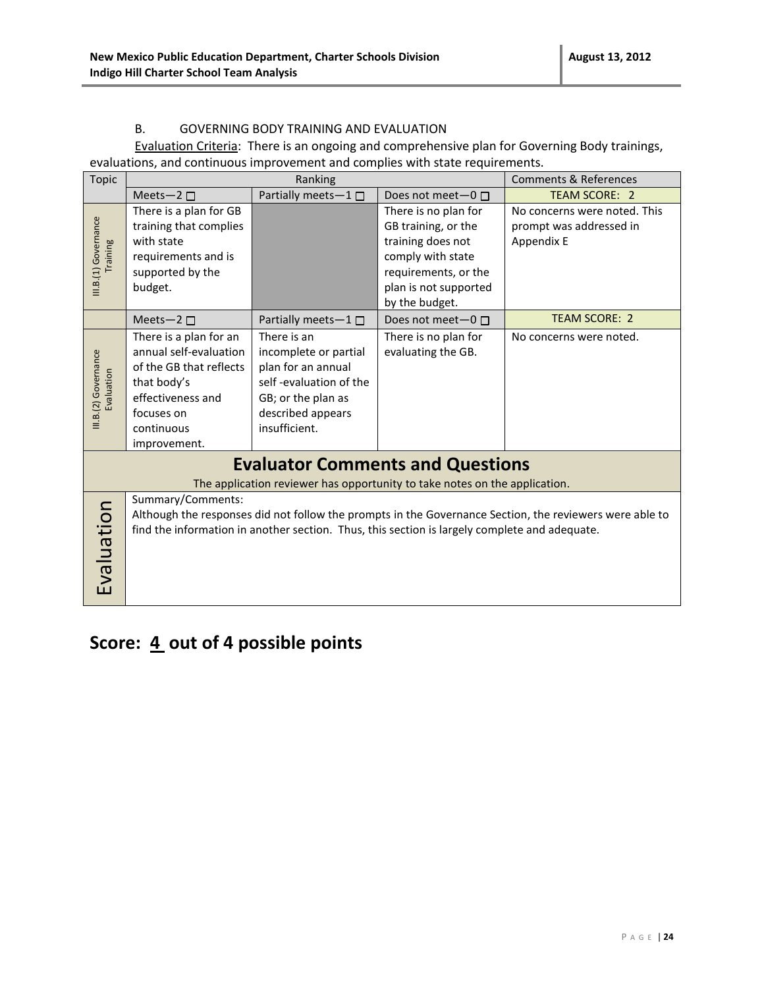#### B. GOVERNING BODY TRAINING AND EVALUATION

Evaluation Criteria: There is an ongoing and comprehensive plan for Governing Body trainings, evaluations, and continuous improvement and complies with state requirements.

| <b>Topic</b>                       | Ranking                                                                                                                                                                                                                       |                                                                                                                                                  | <b>Comments &amp; References</b>                                                                                                                         |                                                                       |
|------------------------------------|-------------------------------------------------------------------------------------------------------------------------------------------------------------------------------------------------------------------------------|--------------------------------------------------------------------------------------------------------------------------------------------------|----------------------------------------------------------------------------------------------------------------------------------------------------------|-----------------------------------------------------------------------|
|                                    | Meets-2 $\square$                                                                                                                                                                                                             | Partially meets-1□                                                                                                                               | Does not meet- $0 \Box$                                                                                                                                  | <b>TEAM SCORE: 2</b>                                                  |
| III.B.(1) Governance<br>Training   | There is a plan for GB<br>training that complies<br>with state<br>requirements and is<br>supported by the<br>budget.                                                                                                          |                                                                                                                                                  | There is no plan for<br>GB training, or the<br>training does not<br>comply with state<br>requirements, or the<br>plan is not supported<br>by the budget. | No concerns were noted. This<br>prompt was addressed in<br>Appendix E |
|                                    | Meets-2 $\square$                                                                                                                                                                                                             | Partially meets- $1 \Box$                                                                                                                        | Does not meet- $0 \Box$                                                                                                                                  | <b>TEAM SCORE: 2</b>                                                  |
| III.B.(2) Governance<br>Evaluation | There is a plan for an<br>annual self-evaluation<br>of the GB that reflects<br>that body's<br>effectiveness and<br>focuses on<br>continuous<br>improvement.                                                                   | There is an<br>incomplete or partial<br>plan for an annual<br>self-evaluation of the<br>GB; or the plan as<br>described appears<br>insufficient. | There is no plan for<br>evaluating the GB.                                                                                                               | No concerns were noted.                                               |
|                                    |                                                                                                                                                                                                                               |                                                                                                                                                  | <b>Evaluator Comments and Questions</b>                                                                                                                  |                                                                       |
|                                    |                                                                                                                                                                                                                               |                                                                                                                                                  | The application reviewer has opportunity to take notes on the application.                                                                               |                                                                       |
| Evaluation                         | Summary/Comments:<br>Although the responses did not follow the prompts in the Governance Section, the reviewers were able to<br>find the information in another section. Thus, this section is largely complete and adequate. |                                                                                                                                                  |                                                                                                                                                          |                                                                       |

### Score:  $\underline{4}$  out of 4 possible points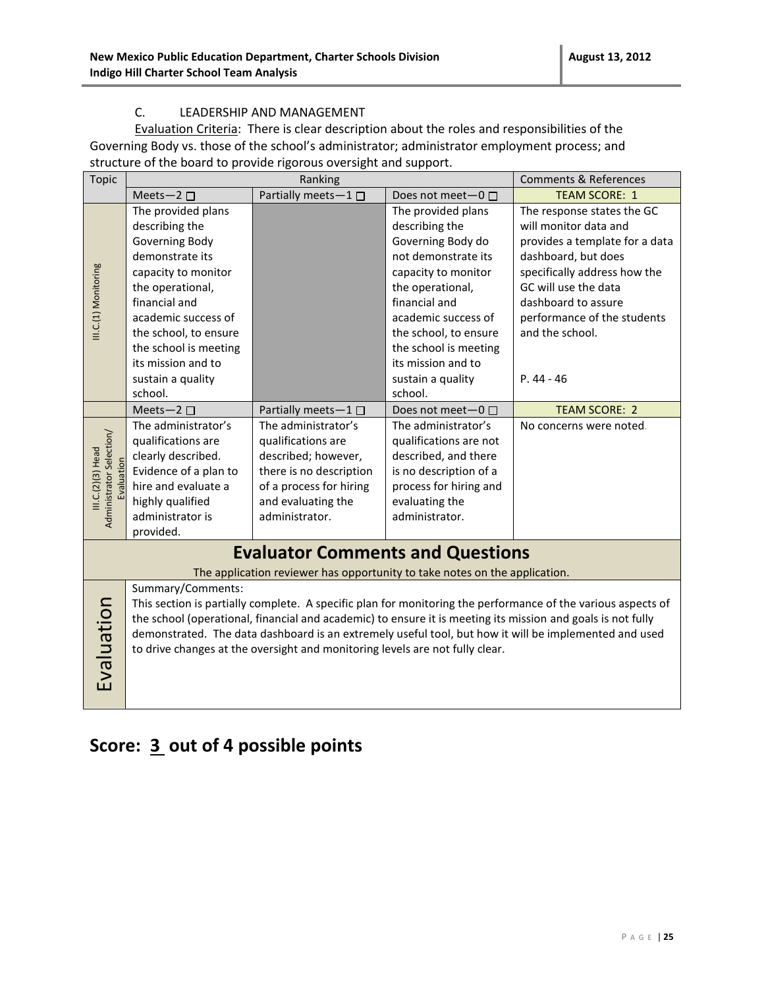#### C. LEADERSHIP AND MANAGEMENT

Evaluation Criteria: There is clear description about the roles and responsibilities of the Governing Body vs. those of the school's administrator; administrator employment process; and structure of the board to provide rigorous oversight and support.

| <b>Topic</b>                                                                                                        | Ranking                                                                    |                                                                              | <b>Comments &amp; References</b> |                                                                                                              |  |  |
|---------------------------------------------------------------------------------------------------------------------|----------------------------------------------------------------------------|------------------------------------------------------------------------------|----------------------------------|--------------------------------------------------------------------------------------------------------------|--|--|
|                                                                                                                     | Meets-2 $\square$                                                          | Partially meets-1                                                            | Does not meet- $0 \Box$          | <b>TEAM SCORE: 1</b>                                                                                         |  |  |
|                                                                                                                     | The provided plans                                                         |                                                                              | The provided plans               | The response states the GC                                                                                   |  |  |
|                                                                                                                     | describing the                                                             |                                                                              | describing the                   | will monitor data and                                                                                        |  |  |
|                                                                                                                     | Governing Body                                                             |                                                                              | Governing Body do                | provides a template for a data                                                                               |  |  |
|                                                                                                                     | demonstrate its                                                            |                                                                              | not demonstrate its              | dashboard, but does                                                                                          |  |  |
|                                                                                                                     | capacity to monitor                                                        |                                                                              | capacity to monitor              | specifically address how the                                                                                 |  |  |
|                                                                                                                     | the operational,                                                           |                                                                              | the operational,                 | GC will use the data                                                                                         |  |  |
| III.C.(1) Monitoring                                                                                                | financial and                                                              |                                                                              | financial and                    | dashboard to assure                                                                                          |  |  |
|                                                                                                                     | academic success of                                                        |                                                                              | academic success of              | performance of the students                                                                                  |  |  |
|                                                                                                                     | the school, to ensure                                                      |                                                                              | the school, to ensure            | and the school.                                                                                              |  |  |
|                                                                                                                     | the school is meeting                                                      |                                                                              | the school is meeting            |                                                                                                              |  |  |
|                                                                                                                     | its mission and to                                                         |                                                                              | its mission and to               |                                                                                                              |  |  |
|                                                                                                                     | sustain a quality                                                          |                                                                              | sustain a quality                | $P.44 - 46$                                                                                                  |  |  |
|                                                                                                                     | school.                                                                    |                                                                              | school.                          |                                                                                                              |  |  |
|                                                                                                                     | Meets-2 $\square$                                                          | Partially meets-1 $\square$                                                  | Does not meet-0 □                | <b>TEAM SCORE: 2</b>                                                                                         |  |  |
|                                                                                                                     | The administrator's                                                        | The administrator's                                                          | The administrator's              | No concerns were noted.                                                                                      |  |  |
|                                                                                                                     | qualifications are                                                         | qualifications are                                                           | qualifications are not           |                                                                                                              |  |  |
| III.C.(2)(3) Head                                                                                                   | clearly described.                                                         | described; however,                                                          | described, and there             |                                                                                                              |  |  |
|                                                                                                                     | Evidence of a plan to                                                      | there is no description                                                      | is no description of a           |                                                                                                              |  |  |
|                                                                                                                     | hire and evaluate a                                                        | of a process for hiring                                                      | process for hiring and           |                                                                                                              |  |  |
|                                                                                                                     | highly qualified                                                           | and evaluating the                                                           | evaluating the                   |                                                                                                              |  |  |
| Administrator Selection/                                                                                            | administrator is                                                           | administrator.                                                               | administrator.                   |                                                                                                              |  |  |
|                                                                                                                     | provided.                                                                  |                                                                              |                                  |                                                                                                              |  |  |
|                                                                                                                     | <b>Evaluator Comments and Questions</b>                                    |                                                                              |                                  |                                                                                                              |  |  |
|                                                                                                                     | The application reviewer has opportunity to take notes on the application. |                                                                              |                                  |                                                                                                              |  |  |
|                                                                                                                     | Summary/Comments:                                                          |                                                                              |                                  |                                                                                                              |  |  |
|                                                                                                                     |                                                                            |                                                                              |                                  | This section is partially complete. A specific plan for monitoring the performance of the various aspects of |  |  |
|                                                                                                                     |                                                                            |                                                                              |                                  | the school (operational, financial and academic) to ensure it is meeting its mission and goals is not fully  |  |  |
| Evaluation<br>demonstrated. The data dashboard is an extremely useful tool, but how it will be implemented and used |                                                                            |                                                                              |                                  |                                                                                                              |  |  |
|                                                                                                                     |                                                                            | to drive changes at the oversight and monitoring levels are not fully clear. |                                  |                                                                                                              |  |  |
|                                                                                                                     |                                                                            |                                                                              |                                  |                                                                                                              |  |  |
|                                                                                                                     |                                                                            |                                                                              |                                  |                                                                                                              |  |  |

### **Score: 3 out of 4 possible points**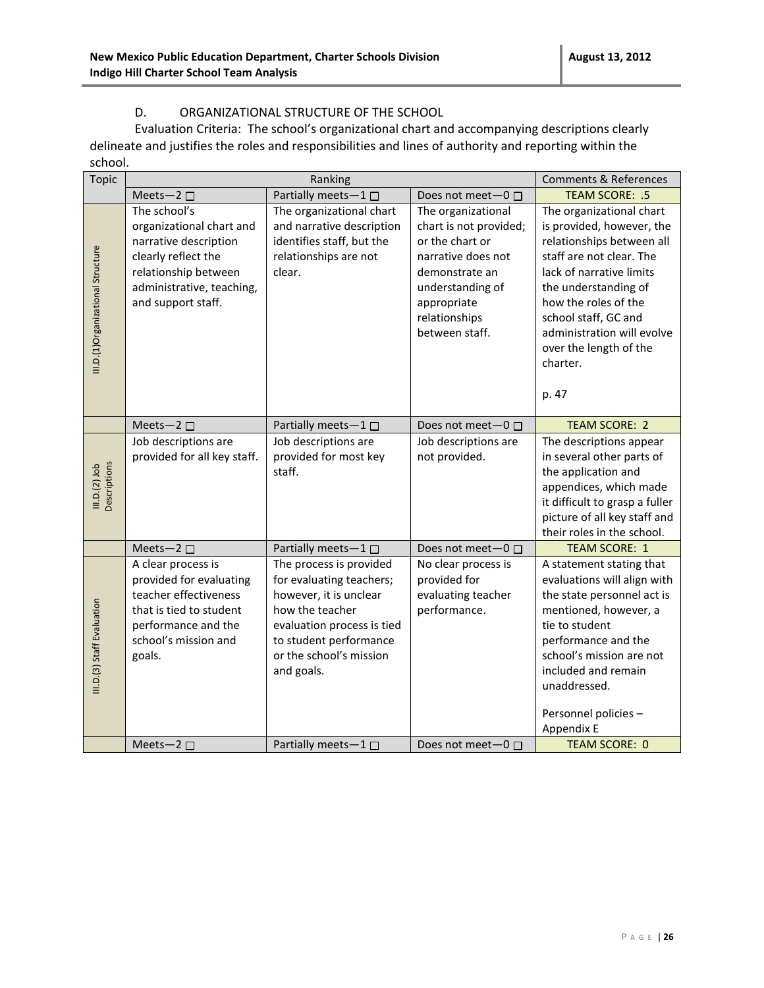#### D. ORGANIZATIONAL STRUCTURE OF THE SCHOOL

Evaluation Criteria: The school's organizational chart and accompanying descriptions clearly delineate and justifies the roles and responsibilities and lines of authority and reporting within the school.

| <b>Topic</b>                      |                                                                                                                                                                     | <b>Comments &amp; References</b>                                                                                                                                                                  |                                                                                                                                                                               |                                                                                                                                                                                                                                                                                                 |
|-----------------------------------|---------------------------------------------------------------------------------------------------------------------------------------------------------------------|---------------------------------------------------------------------------------------------------------------------------------------------------------------------------------------------------|-------------------------------------------------------------------------------------------------------------------------------------------------------------------------------|-------------------------------------------------------------------------------------------------------------------------------------------------------------------------------------------------------------------------------------------------------------------------------------------------|
|                                   | Meets-2 $\square$                                                                                                                                                   | Partially meets-1□                                                                                                                                                                                | Does not meet $-0$ $\Box$                                                                                                                                                     | TEAM SCORE: .5                                                                                                                                                                                                                                                                                  |
| III.D.(1)Organizational Structure | The school's<br>organizational chart and<br>narrative description<br>clearly reflect the<br>relationship between<br>administrative, teaching,<br>and support staff. | The organizational chart<br>and narrative description<br>identifies staff, but the<br>relationships are not<br>clear.                                                                             | The organizational<br>chart is not provided;<br>or the chart or<br>narrative does not<br>demonstrate an<br>understanding of<br>appropriate<br>relationships<br>between staff. | The organizational chart<br>is provided, however, the<br>relationships between all<br>staff are not clear. The<br>lack of narrative limits<br>the understanding of<br>how the roles of the<br>school staff, GC and<br>administration will evolve<br>over the length of the<br>charter.<br>p. 47 |
|                                   | Meets-2 $\square$                                                                                                                                                   | Partially meets-1                                                                                                                                                                                 | Does not meet-0 □                                                                                                                                                             | <b>TEAM SCORE: 2</b>                                                                                                                                                                                                                                                                            |
| III.D.(2) Job<br>Descriptions     | Job descriptions are<br>provided for all key staff.                                                                                                                 | Job descriptions are<br>provided for most key<br>staff.                                                                                                                                           | Job descriptions are<br>not provided.                                                                                                                                         | The descriptions appear<br>in several other parts of<br>the application and<br>appendices, which made<br>it difficult to grasp a fuller<br>picture of all key staff and<br>their roles in the school.                                                                                           |
|                                   | Meets-2 $\square$                                                                                                                                                   | Partially meets-1 $\square$                                                                                                                                                                       | Does not meet-0 □                                                                                                                                                             | <b>TEAM SCORE: 1</b>                                                                                                                                                                                                                                                                            |
| III.D.(3) Staff Evaluation        | A clear process is<br>provided for evaluating<br>teacher effectiveness<br>that is tied to student<br>performance and the<br>school's mission and<br>goals.          | The process is provided<br>for evaluating teachers;<br>however, it is unclear<br>how the teacher<br>evaluation process is tied<br>to student performance<br>or the school's mission<br>and goals. | No clear process is<br>provided for<br>evaluating teacher<br>performance.                                                                                                     | A statement stating that<br>evaluations will align with<br>the state personnel act is<br>mentioned, however, a<br>tie to student<br>performance and the<br>school's mission are not<br>included and remain<br>unaddressed.<br>Personnel policies -<br>Appendix E                                |
|                                   | Meets-2 $\square$                                                                                                                                                   | Partially meets-1 $\square$                                                                                                                                                                       | Does not meet $-0$ $\Box$                                                                                                                                                     | <b>TEAM SCORE: 0</b>                                                                                                                                                                                                                                                                            |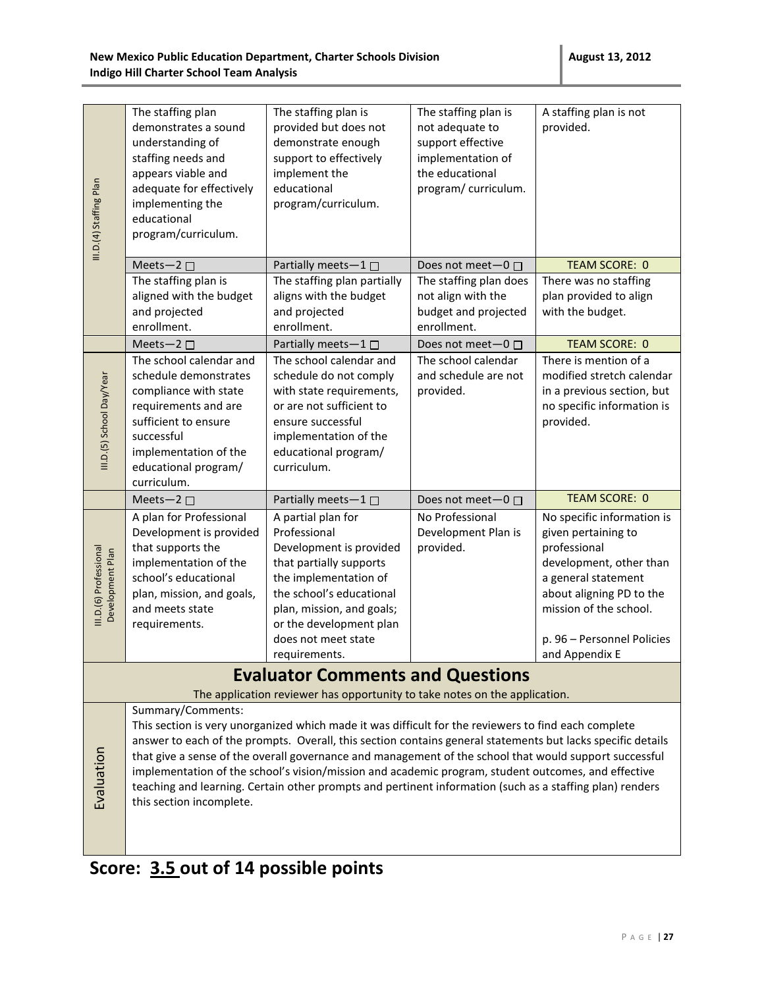|                                            | The staffing plan                                 | The staffing plan is                                                                                        | The staffing plan is                     | A staffing plan is not                          |
|--------------------------------------------|---------------------------------------------------|-------------------------------------------------------------------------------------------------------------|------------------------------------------|-------------------------------------------------|
|                                            | demonstrates a sound                              | provided but does not                                                                                       | not adequate to                          | provided.                                       |
|                                            | understanding of                                  | demonstrate enough                                                                                          | support effective                        |                                                 |
|                                            | staffing needs and                                | support to effectively                                                                                      | implementation of                        |                                                 |
|                                            | appears viable and                                | implement the                                                                                               | the educational                          |                                                 |
|                                            | adequate for effectively                          | educational                                                                                                 | program/ curriculum.                     |                                                 |
|                                            | implementing the<br>educational                   | program/curriculum.                                                                                         |                                          |                                                 |
|                                            | program/curriculum.                               |                                                                                                             |                                          |                                                 |
| III.D.(4) Staffing Plan                    |                                                   |                                                                                                             |                                          |                                                 |
|                                            | Meets-2 □                                         | Partially meets-1                                                                                           | Does not meet-0 □                        | <b>TEAM SCORE: 0</b>                            |
|                                            | The staffing plan is                              | The staffing plan partially                                                                                 | The staffing plan does                   | There was no staffing                           |
|                                            | aligned with the budget                           | aligns with the budget                                                                                      | not align with the                       | plan provided to align                          |
|                                            | and projected                                     | and projected                                                                                               | budget and projected                     | with the budget.                                |
|                                            | enrollment.                                       | enrollment.                                                                                                 | enrollment.                              |                                                 |
|                                            | Meets-2 $\square$<br>The school calendar and      | Partially meets-1<br>The school calendar and                                                                | Does not meet-0 □<br>The school calendar | <b>TEAM SCORE: 0</b><br>There is mention of a   |
|                                            | schedule demonstrates                             | schedule do not comply                                                                                      | and schedule are not                     | modified stretch calendar                       |
|                                            | compliance with state                             | with state requirements,                                                                                    | provided.                                | in a previous section, but                      |
|                                            | requirements and are                              | or are not sufficient to                                                                                    |                                          | no specific information is                      |
|                                            | sufficient to ensure                              | ensure successful                                                                                           |                                          | provided.                                       |
|                                            | successful                                        | implementation of the                                                                                       |                                          |                                                 |
| III.D.(5) School Day/Year                  | implementation of the                             | educational program/                                                                                        |                                          |                                                 |
|                                            | educational program/                              | curriculum.                                                                                                 |                                          |                                                 |
|                                            | curriculum.                                       |                                                                                                             |                                          |                                                 |
|                                            |                                                   |                                                                                                             |                                          |                                                 |
|                                            | Meets-2 $\square$                                 | Partially meets-1                                                                                           | Does not meet-0 □                        | <b>TEAM SCORE: 0</b>                            |
|                                            | A plan for Professional                           | A partial plan for                                                                                          | No Professional                          | No specific information is                      |
|                                            | Development is provided                           | Professional                                                                                                | Development Plan is                      | given pertaining to                             |
|                                            | that supports the                                 | Development is provided                                                                                     | provided.                                | professional                                    |
|                                            | implementation of the                             | that partially supports                                                                                     |                                          | development, other than                         |
|                                            | school's educational<br>plan, mission, and goals, | the implementation of<br>the school's educational                                                           |                                          | a general statement<br>about aligning PD to the |
|                                            | and meets state                                   | plan, mission, and goals;                                                                                   |                                          | mission of the school.                          |
| III.D.(6) Professional<br>Development Plan | requirements.                                     | or the development plan                                                                                     |                                          |                                                 |
|                                            |                                                   | does not meet state                                                                                         |                                          | p. 96 - Personnel Policies                      |
|                                            |                                                   | requirements.                                                                                               |                                          | and Appendix E                                  |
|                                            |                                                   | <b>Evaluator Comments and Questions</b>                                                                     |                                          |                                                 |
|                                            |                                                   | The application reviewer has opportunity to take notes on the application.                                  |                                          |                                                 |
|                                            | Summary/Comments:                                 |                                                                                                             |                                          |                                                 |
|                                            |                                                   | This section is very unorganized which made it was difficult for the reviewers to find each complete        |                                          |                                                 |
|                                            |                                                   | answer to each of the prompts. Overall, this section contains general statements but lacks specific details |                                          |                                                 |
|                                            |                                                   | that give a sense of the overall governance and management of the school that would support successful      |                                          |                                                 |
|                                            |                                                   | implementation of the school's vision/mission and academic program, student outcomes, and effective         |                                          |                                                 |
|                                            | this section incomplete.                          | teaching and learning. Certain other prompts and pertinent information (such as a staffing plan) renders    |                                          |                                                 |
| Evaluation                                 |                                                   |                                                                                                             |                                          |                                                 |
|                                            |                                                   |                                                                                                             |                                          |                                                 |
|                                            | Score: 3.5 out of 14 possible points              |                                                                                                             |                                          |                                                 |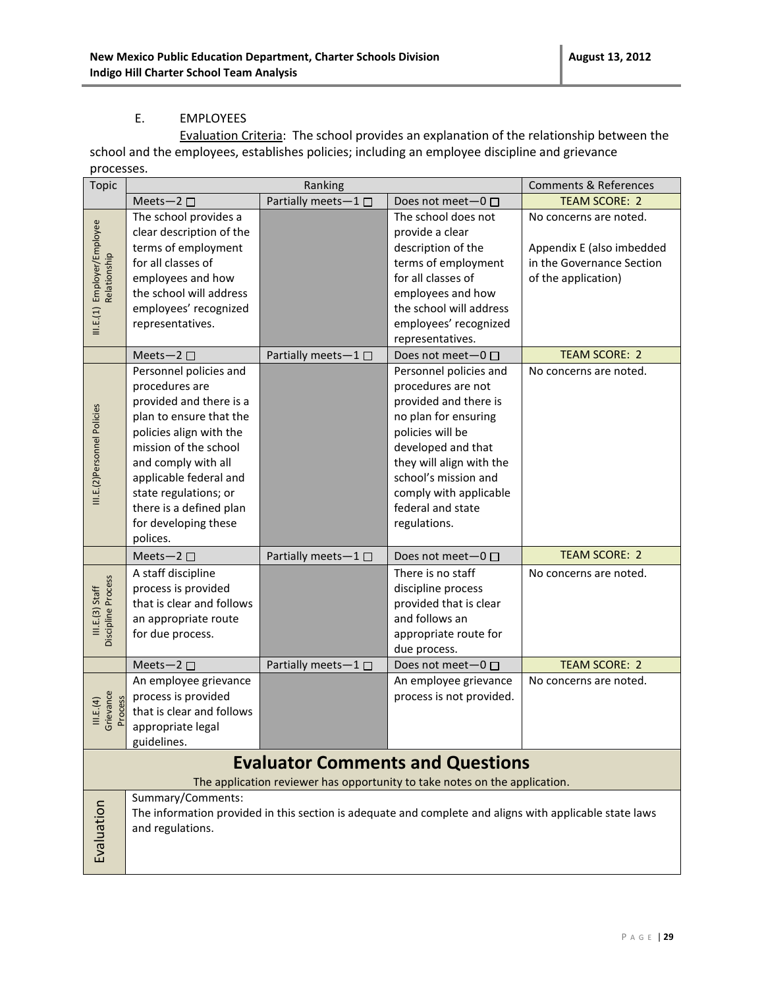#### E. EMPLOYEES

Evaluation Criteria: The school provides an explanation of the relationship between the school and the employees, establishes policies; including an employee discipline and grievance processes.

| <b>Topic</b>                                | Ranking                                                                                                                                                                                                                                                                                     |                     |                                                                                                                                                                                                                                                            | <b>Comments &amp; References</b>                                                                        |
|---------------------------------------------|---------------------------------------------------------------------------------------------------------------------------------------------------------------------------------------------------------------------------------------------------------------------------------------------|---------------------|------------------------------------------------------------------------------------------------------------------------------------------------------------------------------------------------------------------------------------------------------------|---------------------------------------------------------------------------------------------------------|
|                                             | Meets-2 $\square$                                                                                                                                                                                                                                                                           | Partially meets-1□  | Does not meet $-0$ $\Box$                                                                                                                                                                                                                                  | <b>TEAM SCORE: 2</b>                                                                                    |
| III.E.(1) Employer/Employee<br>Relationship | The school provides a<br>clear description of the<br>terms of employment<br>for all classes of<br>employees and how<br>the school will address<br>employees' recognized<br>representatives.                                                                                                 |                     | The school does not<br>provide a clear<br>description of the<br>terms of employment<br>for all classes of<br>employees and how<br>the school will address<br>employees' recognized                                                                         | No concerns are noted.<br>Appendix E (also imbedded<br>in the Governance Section<br>of the application) |
|                                             |                                                                                                                                                                                                                                                                                             |                     | representatives.                                                                                                                                                                                                                                           |                                                                                                         |
|                                             | Meets-2 $\square$                                                                                                                                                                                                                                                                           | Partially meets-1   | Does not meet-0 □                                                                                                                                                                                                                                          | <b>TEAM SCORE: 2</b>                                                                                    |
| III.E.(2)Personnel Policies                 | Personnel policies and<br>procedures are<br>provided and there is a<br>plan to ensure that the<br>policies align with the<br>mission of the school<br>and comply with all<br>applicable federal and<br>state regulations; or<br>there is a defined plan<br>for developing these<br>polices. |                     | Personnel policies and<br>procedures are not<br>provided and there is<br>no plan for ensuring<br>policies will be<br>developed and that<br>they will align with the<br>school's mission and<br>comply with applicable<br>federal and state<br>regulations. | No concerns are noted.                                                                                  |
|                                             | Meets-2 $\square$                                                                                                                                                                                                                                                                           | Partially meets-1 □ | Does not meet $-0$ $\Box$                                                                                                                                                                                                                                  | <b>TEAM SCORE: 2</b>                                                                                    |
| Discipline Process<br>III.E.(3) Start       | A staff discipline<br>process is provided<br>that is clear and follows<br>an appropriate route<br>for due process.                                                                                                                                                                          |                     | There is no staff<br>discipline process<br>provided that is clear<br>and follows an<br>appropriate route for<br>due process.                                                                                                                               | No concerns are noted.                                                                                  |
|                                             | Meets-2 □                                                                                                                                                                                                                                                                                   | Partially meets-1□  | Does not meet-0 □                                                                                                                                                                                                                                          | <b>TEAM SCORE: 2</b>                                                                                    |
| Grievance<br>Process<br>III.E.(4)           | An employee grievance<br>process is provided<br>that is clear and follows<br>appropriate legal<br>guidelines.                                                                                                                                                                               |                     | An employee grievance<br>process is not provided.                                                                                                                                                                                                          | No concerns are noted.                                                                                  |
|                                             |                                                                                                                                                                                                                                                                                             |                     | <b>Evaluator Comments and Questions</b><br>The application reviewer has opportunity to take notes on the application.                                                                                                                                      |                                                                                                         |
| Evaluation                                  | Summary/Comments:<br>and regulations.                                                                                                                                                                                                                                                       |                     |                                                                                                                                                                                                                                                            | The information provided in this section is adequate and complete and aligns with applicable state laws |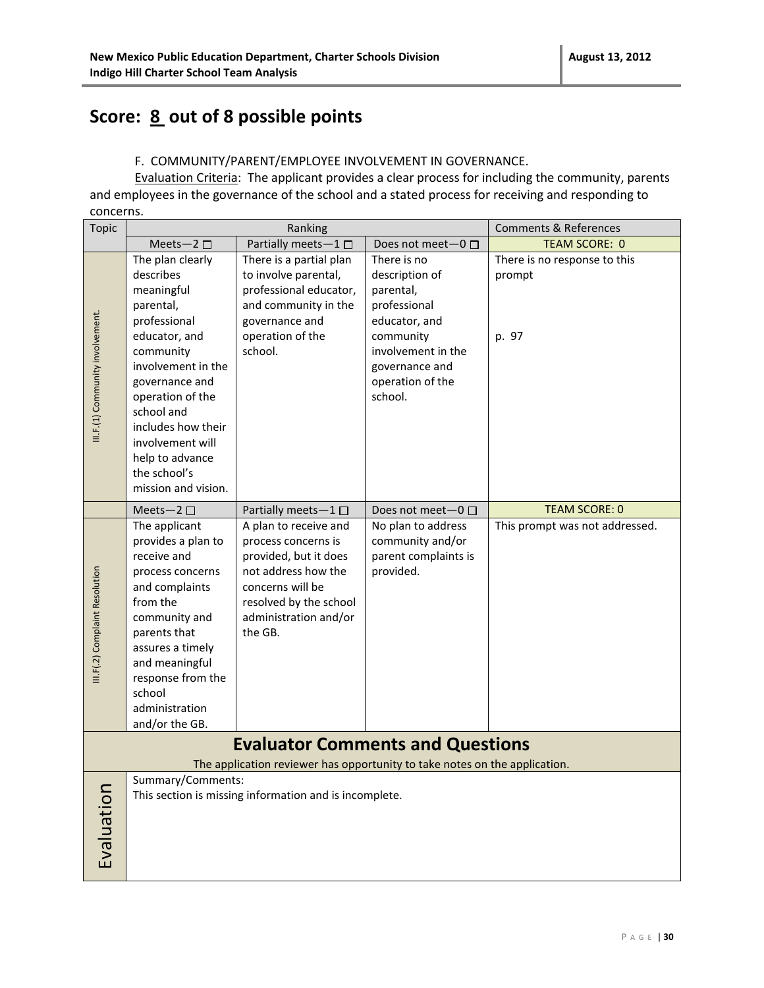### **Score: 8 out of 8 possible points**

#### F.COMMUNITY/PARENT/EMPLOYEE INVOLVEMENT IN GOVERNANCE.

Evaluation Criteria: The applicant provides a clear process for including the community, parents and employees in the governance of the school and a stated process for receiving and responding to concerns.

| <b>Topic</b>                     |                                     | Ranking                                                                    |                                        | <b>Comments &amp; References</b> |
|----------------------------------|-------------------------------------|----------------------------------------------------------------------------|----------------------------------------|----------------------------------|
|                                  | Meets-2 $\square$                   | Partially meets-1□                                                         | Does not meet- $0 \Box$                | <b>TEAM SCORE: 0</b>             |
|                                  | The plan clearly                    | There is a partial plan                                                    | There is no                            | There is no response to this     |
|                                  | describes                           | to involve parental,                                                       | description of                         | prompt                           |
|                                  | meaningful                          | professional educator,                                                     | parental,                              |                                  |
|                                  | parental,                           | and community in the                                                       | professional                           |                                  |
|                                  | professional                        | governance and<br>operation of the                                         | educator, and                          |                                  |
|                                  | educator, and<br>community          | school.                                                                    | community<br>involvement in the        | p. 97                            |
|                                  | involvement in the                  |                                                                            | governance and                         |                                  |
| III.F.(1) Community involvement. | governance and                      |                                                                            | operation of the                       |                                  |
|                                  | operation of the                    |                                                                            | school.                                |                                  |
|                                  | school and                          |                                                                            |                                        |                                  |
|                                  | includes how their                  |                                                                            |                                        |                                  |
|                                  | involvement will                    |                                                                            |                                        |                                  |
|                                  | help to advance                     |                                                                            |                                        |                                  |
|                                  | the school's<br>mission and vision. |                                                                            |                                        |                                  |
|                                  |                                     |                                                                            |                                        |                                  |
|                                  | Meets-2 $\square$                   | Partially meets-1 □                                                        | Does not meet- $0 \Box$                | <b>TEAM SCORE: 0</b>             |
|                                  | The applicant<br>provides a plan to | A plan to receive and<br>process concerns is                               | No plan to address<br>community and/or | This prompt was not addressed.   |
|                                  | receive and                         | provided, but it does                                                      | parent complaints is                   |                                  |
|                                  | process concerns                    | not address how the                                                        | provided.                              |                                  |
| III.F(.2) Complaint Resolution   | and complaints                      | concerns will be                                                           |                                        |                                  |
|                                  | from the                            | resolved by the school                                                     |                                        |                                  |
|                                  | community and                       | administration and/or                                                      |                                        |                                  |
|                                  | parents that                        | the GB.                                                                    |                                        |                                  |
|                                  | assures a timely<br>and meaningful  |                                                                            |                                        |                                  |
|                                  | response from the                   |                                                                            |                                        |                                  |
|                                  | school                              |                                                                            |                                        |                                  |
|                                  | administration                      |                                                                            |                                        |                                  |
|                                  | and/or the GB.                      |                                                                            |                                        |                                  |
|                                  |                                     | <b>Evaluator Comments and Questions</b>                                    |                                        |                                  |
|                                  |                                     | The application reviewer has opportunity to take notes on the application. |                                        |                                  |
|                                  | Summary/Comments:                   |                                                                            |                                        |                                  |
|                                  |                                     | This section is missing information and is incomplete.                     |                                        |                                  |
| Evaluation                       |                                     |                                                                            |                                        |                                  |
|                                  |                                     |                                                                            |                                        |                                  |
|                                  |                                     |                                                                            |                                        |                                  |
|                                  |                                     |                                                                            |                                        |                                  |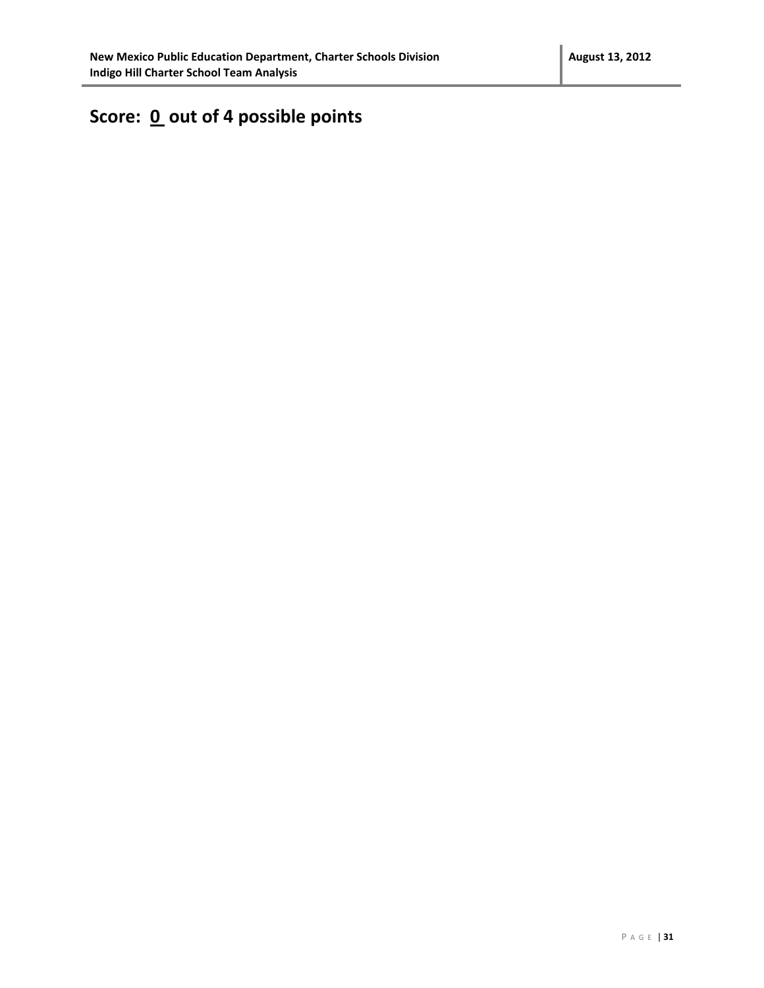# Score: 0 out of 4 possible points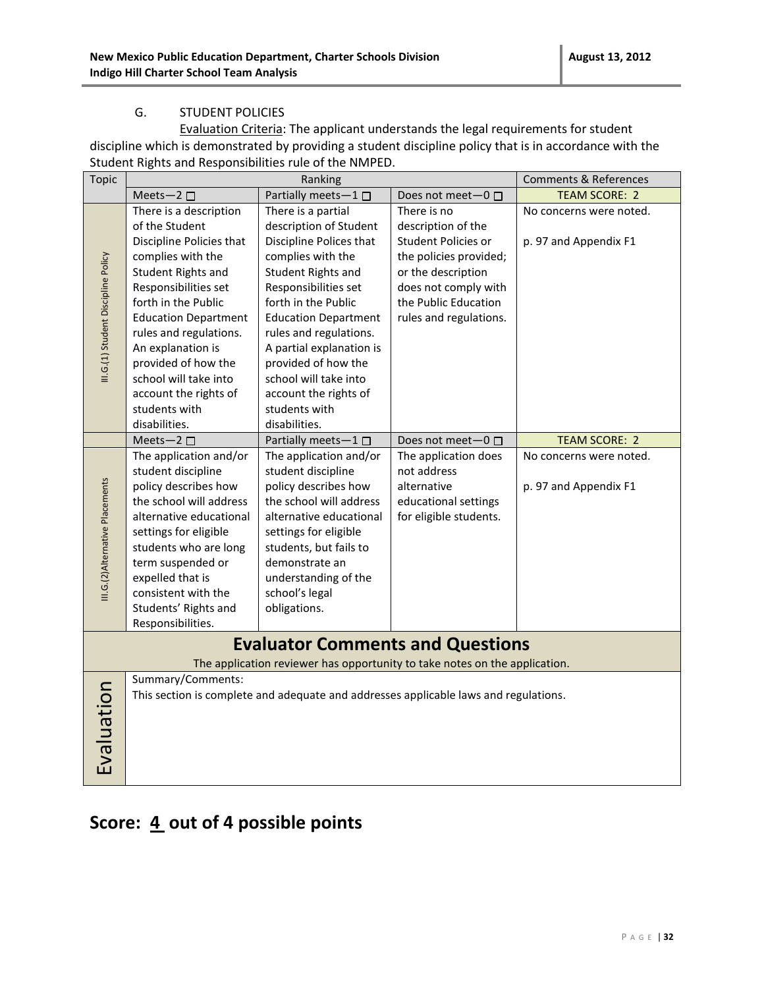#### G. STUDENT POLICIES

Evaluation Criteria: The applicant understands the legal requirements for student discipline which is demonstrated by providing a student discipline policy that is in accordance with the Student Rights and Responsibilities rule of the NMPED.

| <b>Topic</b>                        |                             | Ranking                                                                              |                              | <b>Comments &amp; References</b> |
|-------------------------------------|-----------------------------|--------------------------------------------------------------------------------------|------------------------------|----------------------------------|
|                                     | Meets-2 $\square$           | Partially meets-1                                                                    | Does not meet $-0$ $\Box$    | <b>TEAM SCORE: 2</b>             |
|                                     | There is a description      | There is a partial                                                                   | There is no                  | No concerns were noted.          |
|                                     | of the Student              | description of Student                                                               | description of the           |                                  |
|                                     | Discipline Policies that    | Discipline Polices that                                                              | Student Policies or          | p. 97 and Appendix F1            |
|                                     | complies with the           | complies with the                                                                    | the policies provided;       |                                  |
|                                     | Student Rights and          | Student Rights and                                                                   | or the description           |                                  |
| III.G.(1) Student Discipline Policy | Responsibilities set        | Responsibilities set                                                                 | does not comply with         |                                  |
|                                     | forth in the Public         | forth in the Public                                                                  | the Public Education         |                                  |
|                                     | <b>Education Department</b> | <b>Education Department</b>                                                          | rules and regulations.       |                                  |
|                                     | rules and regulations.      | rules and regulations.                                                               |                              |                                  |
|                                     | An explanation is           | A partial explanation is                                                             |                              |                                  |
|                                     | provided of how the         | provided of how the                                                                  |                              |                                  |
|                                     | school will take into       | school will take into                                                                |                              |                                  |
|                                     | account the rights of       | account the rights of                                                                |                              |                                  |
|                                     | students with               | students with                                                                        |                              |                                  |
|                                     | disabilities.               | disabilities.                                                                        |                              |                                  |
|                                     | Meets-2 $\square$           | Partially meets-1 $\square$                                                          | Does not meet $-0$ $\square$ | <b>TEAM SCORE: 2</b>             |
|                                     | The application and/or      | The application and/or                                                               | The application does         | No concerns were noted.          |
|                                     | student discipline          | student discipline                                                                   | not address                  |                                  |
| III.G.(2)Alternative Placements     | policy describes how        | policy describes how                                                                 | alternative                  | p. 97 and Appendix F1            |
|                                     | the school will address     | the school will address                                                              | educational settings         |                                  |
|                                     | alternative educational     | alternative educational                                                              | for eligible students.       |                                  |
|                                     | settings for eligible       | settings for eligible                                                                |                              |                                  |
|                                     | students who are long       | students, but fails to                                                               |                              |                                  |
|                                     | term suspended or           | demonstrate an                                                                       |                              |                                  |
|                                     | expelled that is            | understanding of the                                                                 |                              |                                  |
|                                     | consistent with the         | school's legal                                                                       |                              |                                  |
|                                     | Students' Rights and        | obligations.                                                                         |                              |                                  |
|                                     | Responsibilities.           |                                                                                      |                              |                                  |
|                                     |                             | <b>Evaluator Comments and Questions</b>                                              |                              |                                  |
|                                     |                             | The application reviewer has opportunity to take notes on the application.           |                              |                                  |
|                                     | Summary/Comments:           |                                                                                      |                              |                                  |
|                                     |                             | This section is complete and adequate and addresses applicable laws and regulations. |                              |                                  |
|                                     |                             |                                                                                      |                              |                                  |
|                                     |                             |                                                                                      |                              |                                  |
|                                     |                             |                                                                                      |                              |                                  |
| Evaluation                          |                             |                                                                                      |                              |                                  |
|                                     |                             |                                                                                      |                              |                                  |
|                                     |                             |                                                                                      |                              |                                  |

### Score:  $\underline{4}$  out of 4 possible points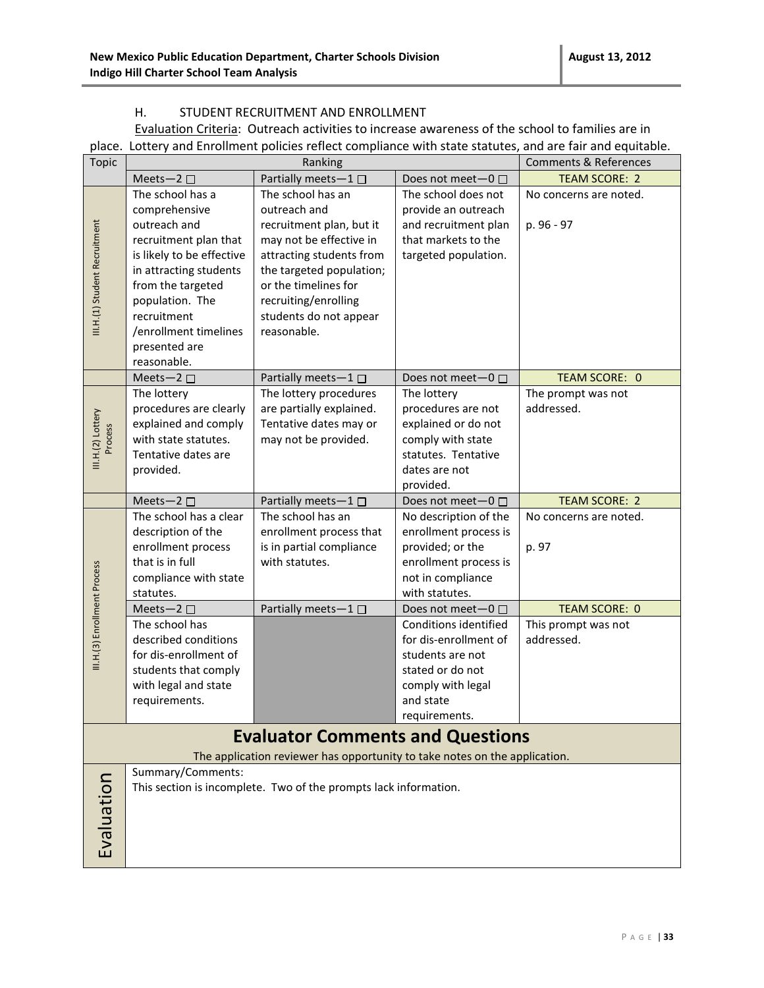#### H. STUDENT RECRUITMENT AND ENROLLMENT

Evaluation Criteria: Outreach activities to increase awareness of the school to families are in place. Lottery and Enrollment policies reflect compliance with state statutes, and are fair and equitable.

| <b>Topic</b>                  | Ranking                                                                                                                                                                                                           |                                                                                                                                                                                                                                           |                                                                                                                                           | <b>Comments &amp; References</b>     |
|-------------------------------|-------------------------------------------------------------------------------------------------------------------------------------------------------------------------------------------------------------------|-------------------------------------------------------------------------------------------------------------------------------------------------------------------------------------------------------------------------------------------|-------------------------------------------------------------------------------------------------------------------------------------------|--------------------------------------|
|                               | Meets-2 $\square$                                                                                                                                                                                                 | Partially meets-1 □                                                                                                                                                                                                                       | Does not meet $-0$ $\Box$                                                                                                                 | <b>TEAM SCORE: 2</b>                 |
| III.H.(1) Student Recruitment | The school has a<br>comprehensive<br>outreach and<br>recruitment plan that<br>is likely to be effective<br>in attracting students<br>from the targeted<br>population. The<br>recruitment<br>/enrollment timelines | The school has an<br>outreach and<br>recruitment plan, but it<br>may not be effective in<br>attracting students from<br>the targeted population;<br>or the timelines for<br>recruiting/enrolling<br>students do not appear<br>reasonable. | The school does not<br>provide an outreach<br>and recruitment plan<br>that markets to the<br>targeted population.                         | No concerns are noted.<br>p. 96 - 97 |
|                               | presented are                                                                                                                                                                                                     |                                                                                                                                                                                                                                           |                                                                                                                                           |                                      |
|                               | reasonable.<br>Meets-2 $\square$                                                                                                                                                                                  | Partially meets-1 □                                                                                                                                                                                                                       | Does not meet-0 □                                                                                                                         | TEAM SCORE: 0                        |
| III.H.(2) Lottery<br>Process  | The lottery<br>procedures are clearly<br>explained and comply<br>with state statutes.<br>Tentative dates are<br>provided.                                                                                         | The lottery procedures<br>are partially explained.<br>Tentative dates may or<br>may not be provided.                                                                                                                                      | The lottery<br>procedures are not<br>explained or do not<br>comply with state<br>statutes. Tentative<br>dates are not<br>provided.        | The prompt was not<br>addressed.     |
|                               | Meets-2 $\square$                                                                                                                                                                                                 | Partially meets-1□                                                                                                                                                                                                                        | Does not meet-0 □                                                                                                                         | <b>TEAM SCORE: 2</b>                 |
|                               | The school has a clear<br>description of the<br>enrollment process<br>that is in full<br>compliance with state<br>statutes.                                                                                       | The school has an<br>enrollment process that<br>is in partial compliance<br>with statutes.                                                                                                                                                | No description of the<br>enrollment process is<br>provided; or the<br>enrollment process is<br>not in compliance<br>with statutes.        | No concerns are noted.<br>p. 97      |
|                               | Meets-2 $\square$                                                                                                                                                                                                 | Partially meets-1 $\square$                                                                                                                                                                                                               | Does not meet $-0$ $\Box$                                                                                                                 | <b>TEAM SCORE: 0</b>                 |
| III.H.(3) Enrollment Process  | The school has<br>described conditions<br>for dis-enrollment of<br>students that comply<br>with legal and state<br>requirements.                                                                                  |                                                                                                                                                                                                                                           | Conditions identified<br>for dis-enrollment of<br>students are not<br>stated or do not<br>comply with legal<br>and state<br>requirements. | This prompt was not<br>addressed.    |
|                               |                                                                                                                                                                                                                   | <b>Evaluator Comments and Questions</b>                                                                                                                                                                                                   |                                                                                                                                           |                                      |
|                               |                                                                                                                                                                                                                   |                                                                                                                                                                                                                                           |                                                                                                                                           |                                      |
| Evaluation                    | The application reviewer has opportunity to take notes on the application.<br>Summary/Comments:<br>This section is incomplete. Two of the prompts lack information.                                               |                                                                                                                                                                                                                                           |                                                                                                                                           |                                      |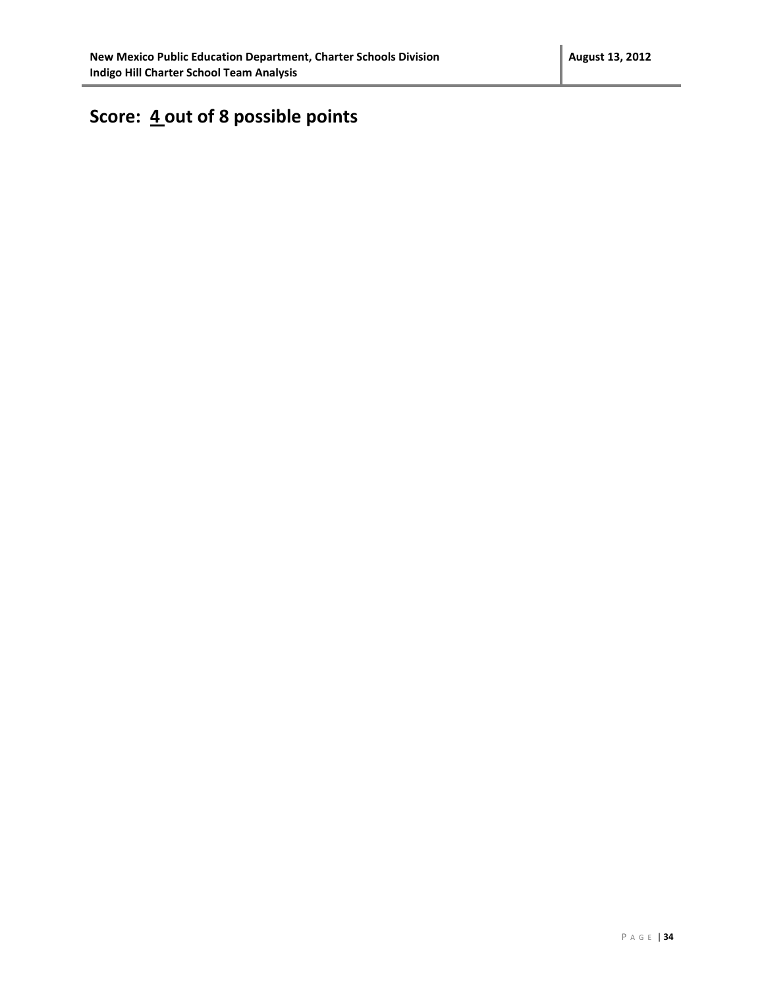# **Score: 4 out of 8 possible points**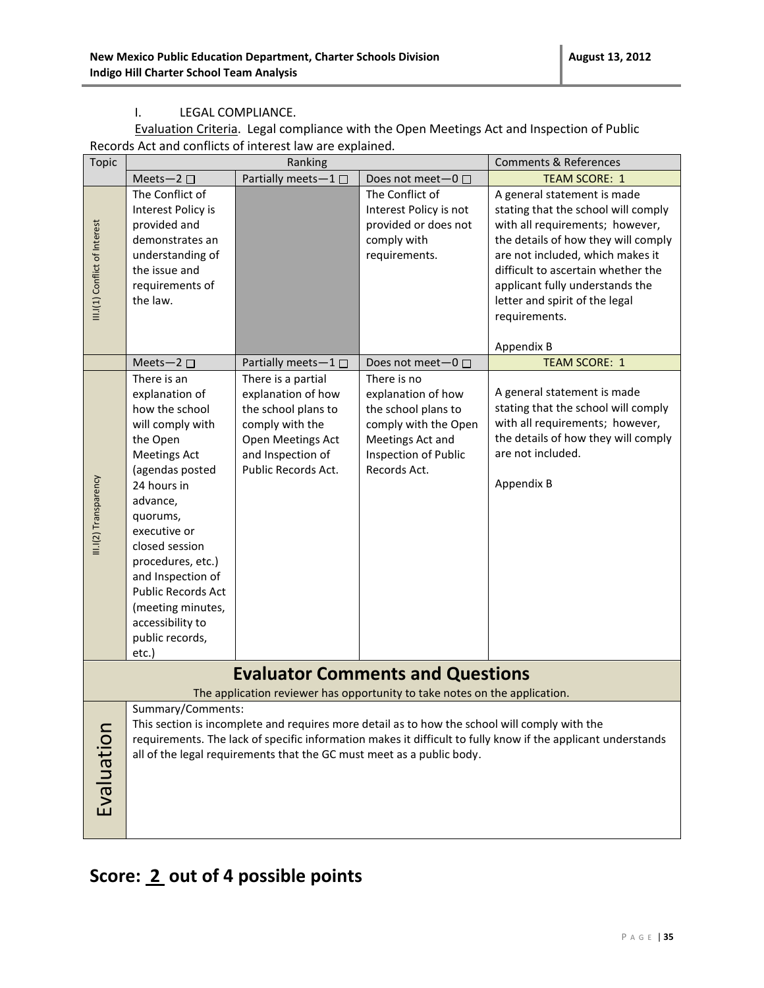#### I. LEGAL COMPLIANCE.

Evaluation Criteria. Legal compliance with the Open Meetings Act and Inspection of Public Records Act and conflicts of interest law are explained.

| <b>Topic</b>                  | Ranking                                                                                                                                                                                                                                                                                                                                 |                                                                                                                                                     | <b>Comments &amp; References</b>                                                                                                                                       |                                                                                                                                                                                                                                                                                                                                                    |  |
|-------------------------------|-----------------------------------------------------------------------------------------------------------------------------------------------------------------------------------------------------------------------------------------------------------------------------------------------------------------------------------------|-----------------------------------------------------------------------------------------------------------------------------------------------------|------------------------------------------------------------------------------------------------------------------------------------------------------------------------|----------------------------------------------------------------------------------------------------------------------------------------------------------------------------------------------------------------------------------------------------------------------------------------------------------------------------------------------------|--|
|                               | Meets-2 $\square$                                                                                                                                                                                                                                                                                                                       | Partially meets-1                                                                                                                                   | Does not meet-0 □                                                                                                                                                      | <b>TEAM SCORE: 1</b>                                                                                                                                                                                                                                                                                                                               |  |
| III.I(1) Conflict of Interest | The Conflict of<br>Interest Policy is<br>provided and<br>demonstrates an<br>understanding of<br>the issue and<br>requirements of<br>the law.<br>Meets-2 $\square$                                                                                                                                                                       | Partially meets-1□                                                                                                                                  | The Conflict of<br>Interest Policy is not<br>provided or does not<br>comply with<br>requirements.<br>Does not meet-0 □                                                 | A general statement is made<br>stating that the school will comply<br>with all requirements; however,<br>the details of how they will comply<br>are not included, which makes it<br>difficult to ascertain whether the<br>applicant fully understands the<br>letter and spirit of the legal<br>requirements.<br>Appendix B<br><b>TEAM SCORE: 1</b> |  |
|                               |                                                                                                                                                                                                                                                                                                                                         |                                                                                                                                                     |                                                                                                                                                                        |                                                                                                                                                                                                                                                                                                                                                    |  |
| III.I(2) Transparency         | There is an<br>explanation of<br>how the school<br>will comply with<br>the Open<br><b>Meetings Act</b><br>(agendas posted<br>24 hours in<br>advance,<br>quorums,<br>executive or<br>closed session<br>procedures, etc.)<br>and Inspection of<br>Public Records Act<br>(meeting minutes,<br>accessibility to<br>public records,<br>etc.) | There is a partial<br>explanation of how<br>the school plans to<br>comply with the<br>Open Meetings Act<br>and Inspection of<br>Public Records Act. | There is no<br>explanation of how<br>the school plans to<br>comply with the Open<br>Meetings Act and<br>Inspection of Public<br>Records Act.                           | A general statement is made<br>stating that the school will comply<br>with all requirements; however,<br>the details of how they will comply<br>are not included.<br>Appendix B                                                                                                                                                                    |  |
|                               | <b>Evaluator Comments and Questions</b>                                                                                                                                                                                                                                                                                                 |                                                                                                                                                     |                                                                                                                                                                        |                                                                                                                                                                                                                                                                                                                                                    |  |
|                               |                                                                                                                                                                                                                                                                                                                                         |                                                                                                                                                     | The application reviewer has opportunity to take notes on the application.                                                                                             |                                                                                                                                                                                                                                                                                                                                                    |  |
| Evaluation                    | Summary/Comments:                                                                                                                                                                                                                                                                                                                       |                                                                                                                                                     | This section is incomplete and requires more detail as to how the school will comply with the<br>all of the legal requirements that the GC must meet as a public body. | requirements. The lack of specific information makes it difficult to fully know if the applicant understands                                                                                                                                                                                                                                       |  |

# **Score: 2 out of 4 possible points**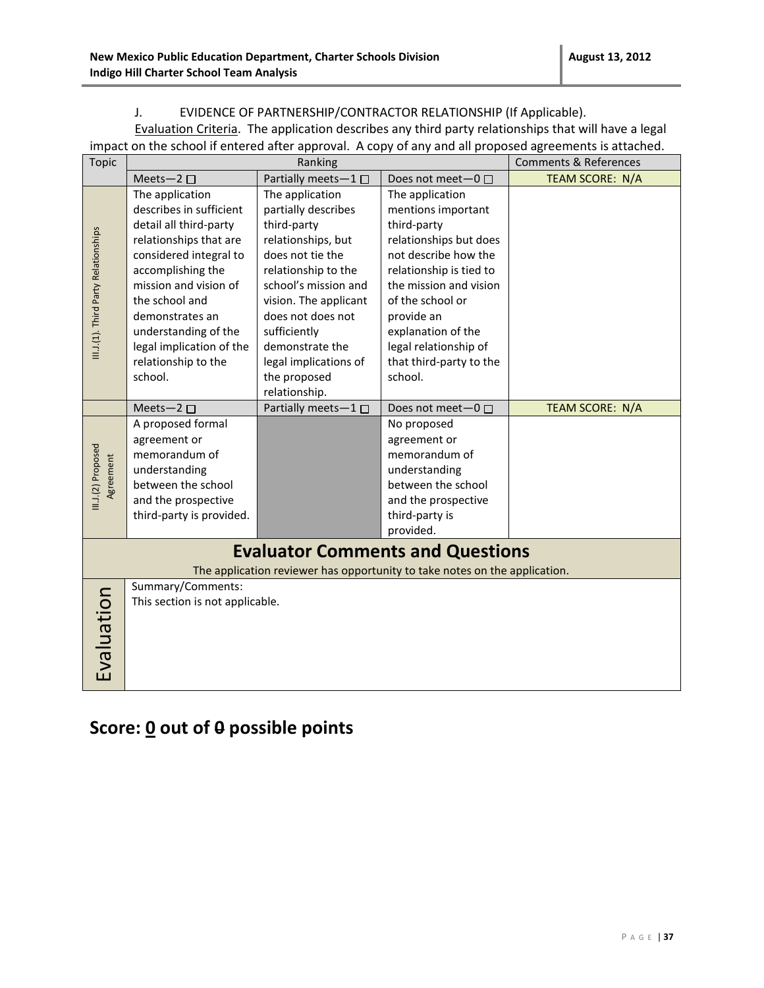#### J. EVIDENCE OF PARTNERSHIP/CONTRACTOR RELATIONSHIP (If Applicable).

Evaluation Criteria. The application describes any third party relationships that will have a legal impact on the school if entered after approval. A copy of any and all proposed agreements is attached.

| <b>Topic</b>                         | Ranking                                                                    |                       |                         | <b>Comments &amp; References</b> |  |
|--------------------------------------|----------------------------------------------------------------------------|-----------------------|-------------------------|----------------------------------|--|
|                                      | Meets-2 $\square$                                                          | Partially meets-1     | Does not meet- $0 \Box$ | TEAM SCORE: N/A                  |  |
|                                      | The application                                                            | The application       | The application         |                                  |  |
|                                      | describes in sufficient                                                    | partially describes   | mentions important      |                                  |  |
|                                      | detail all third-party                                                     | third-party           | third-party             |                                  |  |
|                                      | relationships that are                                                     | relationships, but    | relationships but does  |                                  |  |
|                                      | considered integral to                                                     | does not tie the      | not describe how the    |                                  |  |
| III.J.(1). Third Party Relationships | accomplishing the                                                          | relationship to the   | relationship is tied to |                                  |  |
|                                      | mission and vision of                                                      | school's mission and  | the mission and vision  |                                  |  |
|                                      | the school and                                                             | vision. The applicant | of the school or        |                                  |  |
|                                      | demonstrates an                                                            | does not does not     | provide an              |                                  |  |
|                                      | understanding of the                                                       | sufficiently          | explanation of the      |                                  |  |
|                                      | legal implication of the                                                   | demonstrate the       | legal relationship of   |                                  |  |
|                                      | relationship to the                                                        | legal implications of | that third-party to the |                                  |  |
|                                      | school.                                                                    | the proposed          | school.                 |                                  |  |
|                                      |                                                                            | relationship.         |                         |                                  |  |
|                                      | Meets-2 $\square$                                                          | Partially meets-1□    | Does not meet-0 □       | TEAM SCORE: N/A                  |  |
|                                      | A proposed formal                                                          |                       | No proposed             |                                  |  |
|                                      | agreement or                                                               |                       | agreement or            |                                  |  |
| III.J.(2) Proposed                   | memorandum of                                                              |                       | memorandum of           |                                  |  |
|                                      | understanding                                                              |                       | understanding           |                                  |  |
| Agreement                            | between the school                                                         |                       | between the school      |                                  |  |
|                                      | and the prospective                                                        |                       | and the prospective     |                                  |  |
|                                      | third-party is provided.                                                   |                       | third-party is          |                                  |  |
|                                      |                                                                            |                       | provided.               |                                  |  |
|                                      | <b>Evaluator Comments and Questions</b>                                    |                       |                         |                                  |  |
|                                      | The application reviewer has opportunity to take notes on the application. |                       |                         |                                  |  |
|                                      | Summary/Comments:                                                          |                       |                         |                                  |  |
|                                      | Evaluation<br>This section is not applicable.                              |                       |                         |                                  |  |
|                                      |                                                                            |                       |                         |                                  |  |
|                                      |                                                                            |                       |                         |                                  |  |
|                                      |                                                                            |                       |                         |                                  |  |
|                                      |                                                                            |                       |                         |                                  |  |
|                                      |                                                                            |                       |                         |                                  |  |

### **Score: 0 out of 0 possible points**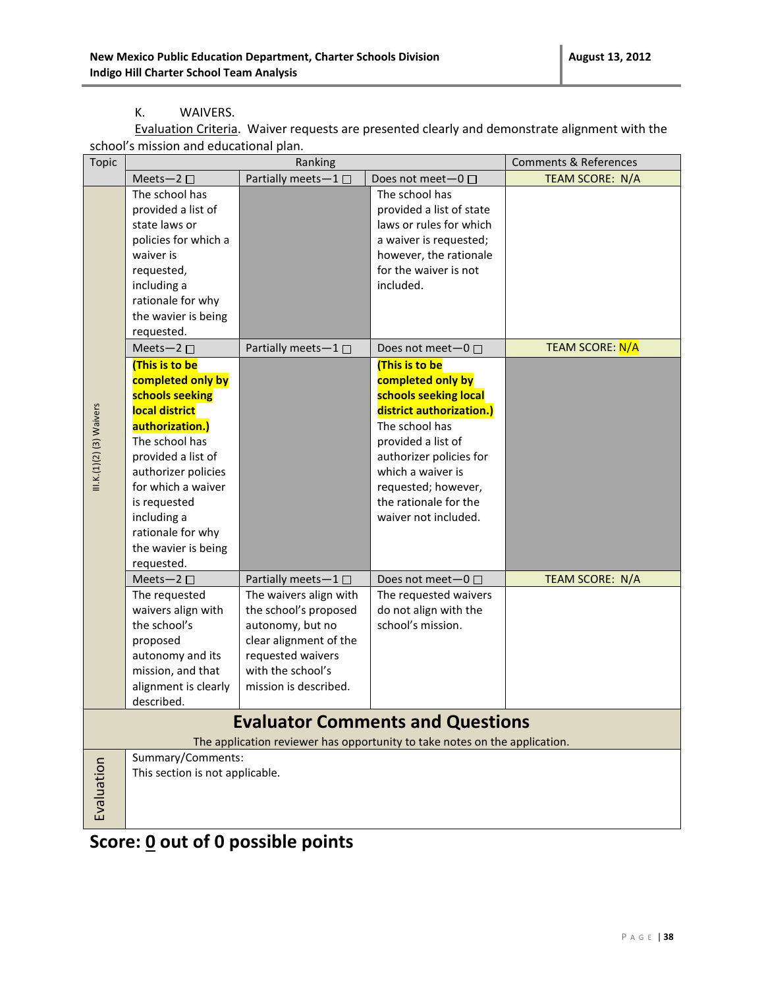#### K. WAIVERS.

Evaluation Criteria.Waiver requests are presented clearly and demonstrate alignment with the school's mission and educational plan.

| Topic                    |                                 | Ranking                |                                                                            | <b>Comments &amp; References</b> |
|--------------------------|---------------------------------|------------------------|----------------------------------------------------------------------------|----------------------------------|
|                          | Meets-2 $\square$               | Partially meets-1□     | Does not meet-0 □                                                          | TEAM SCORE: N/A                  |
|                          | The school has                  |                        | The school has                                                             |                                  |
|                          | provided a list of              |                        | provided a list of state                                                   |                                  |
|                          | state laws or                   |                        | laws or rules for which                                                    |                                  |
|                          | policies for which a            |                        | a waiver is requested;                                                     |                                  |
|                          | waiver is                       |                        | however, the rationale                                                     |                                  |
|                          | requested,                      |                        | for the waiver is not                                                      |                                  |
|                          | including a                     |                        | included.                                                                  |                                  |
|                          | rationale for why               |                        |                                                                            |                                  |
|                          | the wavier is being             |                        |                                                                            |                                  |
|                          | requested.                      |                        |                                                                            |                                  |
|                          | Meets-2 $\square$               | Partially meets-1 □    | Does not meet $-0$ $\Box$                                                  | <b>TEAM SCORE: N/A</b>           |
|                          | (This is to be                  |                        | (This is to be                                                             |                                  |
|                          | completed only by               |                        | completed only by                                                          |                                  |
|                          | schools seeking                 |                        | schools seeking local                                                      |                                  |
|                          | local district                  |                        | district authorization.)                                                   |                                  |
|                          | authorization.)                 |                        | The school has                                                             |                                  |
|                          | The school has                  |                        | provided a list of                                                         |                                  |
| $II.K.(1)(2)(3)$ Waivers | provided a list of              |                        | authorizer policies for                                                    |                                  |
|                          | authorizer policies             |                        | which a waiver is                                                          |                                  |
|                          | for which a waiver              |                        | requested; however,                                                        |                                  |
|                          | is requested                    |                        | the rationale for the                                                      |                                  |
|                          | including a                     |                        | waiver not included.                                                       |                                  |
|                          | rationale for why               |                        |                                                                            |                                  |
|                          | the wavier is being             |                        |                                                                            |                                  |
|                          | requested.                      |                        |                                                                            |                                  |
|                          | Meets-2 $\square$               | Partially meets-1□     | Does not meet-0 □                                                          | <b>TEAM SCORE: N/A</b>           |
|                          | The requested                   | The waivers align with | The requested waivers                                                      |                                  |
|                          | waivers align with              | the school's proposed  | do not align with the                                                      |                                  |
|                          | the school's                    | autonomy, but no       | school's mission.                                                          |                                  |
|                          | proposed                        | clear alignment of the |                                                                            |                                  |
|                          | autonomy and its                | requested waivers      |                                                                            |                                  |
|                          | mission, and that               | with the school's      |                                                                            |                                  |
|                          | alignment is clearly            | mission is described.  |                                                                            |                                  |
|                          | described.                      |                        |                                                                            |                                  |
|                          |                                 |                        | <b>Evaluator Comments and Questions</b>                                    |                                  |
|                          |                                 |                        | The application reviewer has opportunity to take notes on the application. |                                  |
|                          | Summary/Comments:               |                        |                                                                            |                                  |
|                          | This section is not applicable. |                        |                                                                            |                                  |
|                          |                                 |                        |                                                                            |                                  |
| Evaluation               |                                 |                        |                                                                            |                                  |
|                          |                                 |                        |                                                                            |                                  |
|                          |                                 |                        |                                                                            |                                  |

### **Score: 0 out of 0 possible points**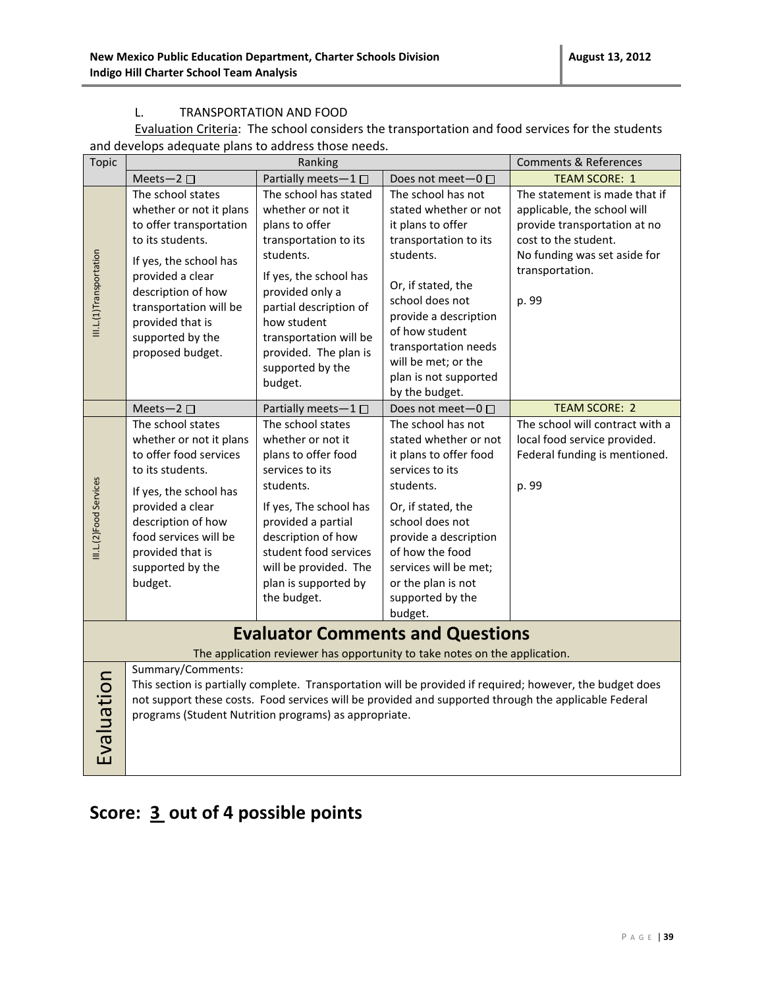#### L. TRANSPORTATION AND FOOD

Evaluation Criteria: The school considers the transportation and food services for the students and develops adequate plans to address those needs.

| <b>Topic</b>            |                                                                                                                                                                                                                                                                                                 | Ranking                                                                                                                                                                                                                                                                    |                                                                                                                                                                                                                                                                                      | <b>Comments &amp; References</b>                                                                                                                                                 |  |
|-------------------------|-------------------------------------------------------------------------------------------------------------------------------------------------------------------------------------------------------------------------------------------------------------------------------------------------|----------------------------------------------------------------------------------------------------------------------------------------------------------------------------------------------------------------------------------------------------------------------------|--------------------------------------------------------------------------------------------------------------------------------------------------------------------------------------------------------------------------------------------------------------------------------------|----------------------------------------------------------------------------------------------------------------------------------------------------------------------------------|--|
|                         | Meets-2 $\square$                                                                                                                                                                                                                                                                               | Partially meets-1 $\square$                                                                                                                                                                                                                                                | Does not meet-0 □                                                                                                                                                                                                                                                                    | <b>TEAM SCORE: 1</b>                                                                                                                                                             |  |
| III.L.(1)Transportation | The school states<br>whether or not it plans<br>to offer transportation<br>to its students.<br>If yes, the school has<br>provided a clear<br>description of how<br>transportation will be<br>provided that is<br>supported by the<br>proposed budget.                                           | The school has stated<br>whether or not it<br>plans to offer<br>transportation to its<br>students.<br>If yes, the school has<br>provided only a<br>partial description of<br>how student<br>transportation will be<br>provided. The plan is<br>supported by the<br>budget. | The school has not<br>stated whether or not<br>it plans to offer<br>transportation to its<br>students.<br>Or, if stated, the<br>school does not<br>provide a description<br>of how student<br>transportation needs<br>will be met; or the<br>plan is not supported<br>by the budget. | The statement is made that if<br>applicable, the school will<br>provide transportation at no<br>cost to the student.<br>No funding was set aside for<br>transportation.<br>p. 99 |  |
|                         | Meets-2 $\square$                                                                                                                                                                                                                                                                               | Partially meets-1 $\square$                                                                                                                                                                                                                                                | Does not meet-0 □                                                                                                                                                                                                                                                                    | <b>TEAM SCORE: 2</b>                                                                                                                                                             |  |
| III.L.(2)Food Services  | The school states<br>whether or not it plans<br>to offer food services<br>to its students.<br>If yes, the school has<br>provided a clear<br>description of how<br>food services will be<br>provided that is<br>supported by the<br>budget.                                                      | The school states<br>whether or not it<br>plans to offer food<br>services to its<br>students.<br>If yes, The school has<br>provided a partial<br>description of how<br>student food services<br>will be provided. The<br>plan is supported by<br>the budget.               | The school has not<br>stated whether or not<br>it plans to offer food<br>services to its<br>students.<br>Or, if stated, the<br>school does not<br>provide a description<br>of how the food<br>services will be met;<br>or the plan is not<br>supported by the<br>budget.             | The school will contract with a<br>local food service provided.<br>Federal funding is mentioned.<br>p. 99                                                                        |  |
|                         | <b>Evaluator Comments and Questions</b><br>The application reviewer has opportunity to take notes on the application.                                                                                                                                                                           |                                                                                                                                                                                                                                                                            |                                                                                                                                                                                                                                                                                      |                                                                                                                                                                                  |  |
| Evaluation              | Summary/Comments:<br>This section is partially complete. Transportation will be provided if required; however, the budget does<br>not support these costs. Food services will be provided and supported through the applicable Federal<br>programs (Student Nutrition programs) as appropriate. |                                                                                                                                                                                                                                                                            |                                                                                                                                                                                                                                                                                      |                                                                                                                                                                                  |  |

# **Score: 3 out of 4 possible points**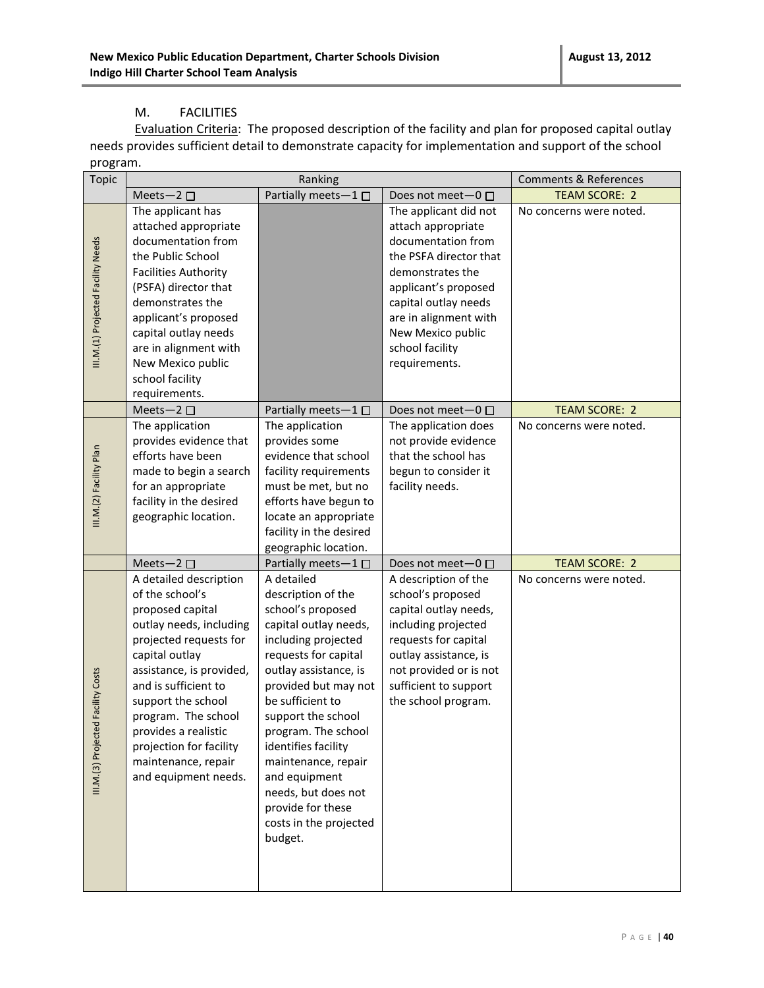#### M. FACILITIES

Evaluation Criteria: The proposed description of the facility and plan for proposed capital outlay needs provides sufficient detail to demonstrate capacity for implementation and support of the school program.

| <b>Topic</b>                           |                                                                                                                                                                                                                                                                                                                                         | Ranking                                                                                                                                                                                                                                                                                                                                                                                         |                                                                                                                                                                                                                                                   | <b>Comments &amp; References</b> |
|----------------------------------------|-----------------------------------------------------------------------------------------------------------------------------------------------------------------------------------------------------------------------------------------------------------------------------------------------------------------------------------------|-------------------------------------------------------------------------------------------------------------------------------------------------------------------------------------------------------------------------------------------------------------------------------------------------------------------------------------------------------------------------------------------------|---------------------------------------------------------------------------------------------------------------------------------------------------------------------------------------------------------------------------------------------------|----------------------------------|
|                                        | Meets-2 $\square$                                                                                                                                                                                                                                                                                                                       | Partially meets-1 $\square$                                                                                                                                                                                                                                                                                                                                                                     | Does not meet $-0$ $\Box$                                                                                                                                                                                                                         | <b>TEAM SCORE: 2</b>             |
| III.M.(1) Projected Facility Needs     | The applicant has<br>attached appropriate<br>documentation from<br>the Public School<br><b>Facilities Authority</b><br>(PSFA) director that<br>demonstrates the<br>applicant's proposed<br>capital outlay needs<br>are in alignment with<br>New Mexico public<br>school facility<br>requirements.                                       |                                                                                                                                                                                                                                                                                                                                                                                                 | The applicant did not<br>attach appropriate<br>documentation from<br>the PSFA director that<br>demonstrates the<br>applicant's proposed<br>capital outlay needs<br>are in alignment with<br>New Mexico public<br>school facility<br>requirements. | No concerns were noted.          |
|                                        | Meets-2 $\square$                                                                                                                                                                                                                                                                                                                       | Partially meets $-1 \Box$                                                                                                                                                                                                                                                                                                                                                                       | Does not meet-0 □                                                                                                                                                                                                                                 | <b>TEAM SCORE: 2</b>             |
| III.M.(2) Facility Plan                | The application<br>provides evidence that<br>efforts have been<br>made to begin a search<br>for an appropriate<br>facility in the desired<br>geographic location.                                                                                                                                                                       | The application<br>provides some<br>evidence that school<br>facility requirements<br>must be met, but no<br>efforts have begun to<br>locate an appropriate<br>facility in the desired<br>geographic location.                                                                                                                                                                                   | The application does<br>not provide evidence<br>that the school has<br>begun to consider it<br>facility needs.                                                                                                                                    | No concerns were noted.          |
|                                        | Meets-2 $\square$                                                                                                                                                                                                                                                                                                                       | Partially meets-1□                                                                                                                                                                                                                                                                                                                                                                              | Does not meet $-0$ $\Box$                                                                                                                                                                                                                         | <b>TEAM SCORE: 2</b>             |
| ed Facility Costs<br>III.M.(3) Project | A detailed description<br>of the school's<br>proposed capital<br>outlay needs, including<br>projected requests for<br>capital outlay<br>assistance, is provided,<br>and is sufficient to<br>support the school<br>program. The school<br>provides a realistic<br>projection for facility<br>maintenance, repair<br>and equipment needs. | A detailed<br>description of the<br>school's proposed<br>capital outlay needs,<br>including projected<br>requests for capital<br>outlay assistance, is<br>provided but may not<br>be sufficient to<br>support the school<br>program. The school<br>identifies facility<br>maintenance, repair<br>and equipment<br>needs, but does not<br>provide for these<br>costs in the projected<br>budget. | A description of the<br>school's proposed<br>capital outlay needs,<br>including projected<br>requests for capital<br>outlay assistance, is<br>not provided or is not<br>sufficient to support<br>the school program.                              | No concerns were noted.          |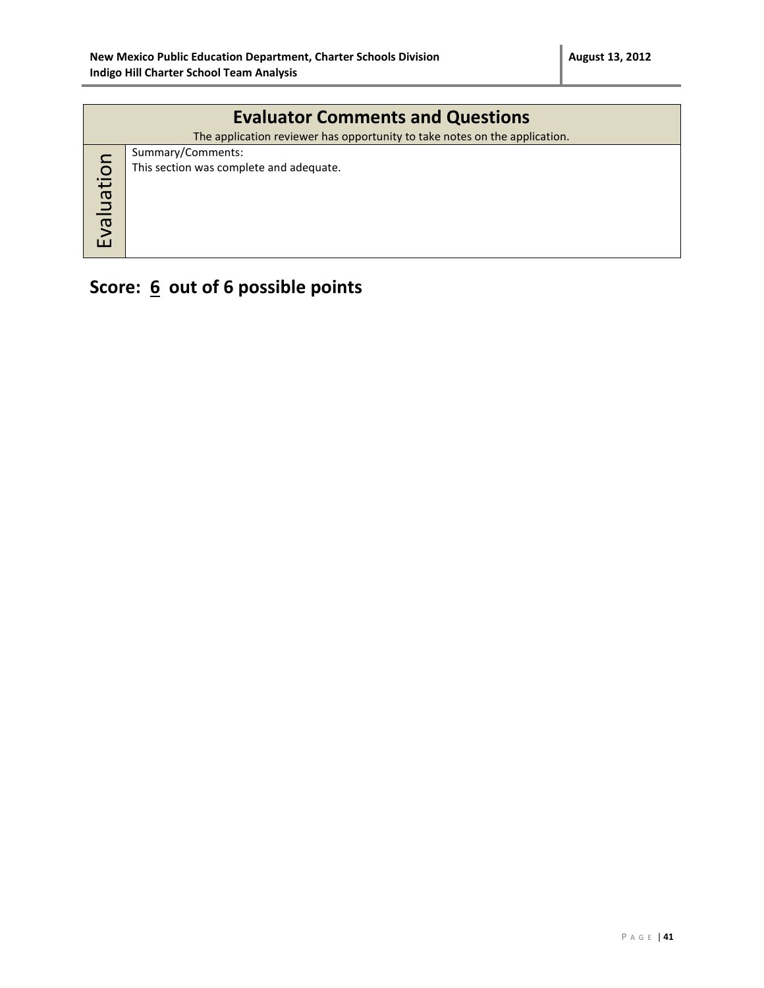|            | <b>Evaluator Comments and Questions</b>                                    |  |  |  |  |
|------------|----------------------------------------------------------------------------|--|--|--|--|
|            | The application reviewer has opportunity to take notes on the application. |  |  |  |  |
|            | Summary/Comments:                                                          |  |  |  |  |
|            | This section was complete and adequate.                                    |  |  |  |  |
| Evaluation |                                                                            |  |  |  |  |
|            |                                                                            |  |  |  |  |
|            |                                                                            |  |  |  |  |
|            |                                                                            |  |  |  |  |
|            |                                                                            |  |  |  |  |

# **Score: 6 out of 6 possible points**

P A G E | **41**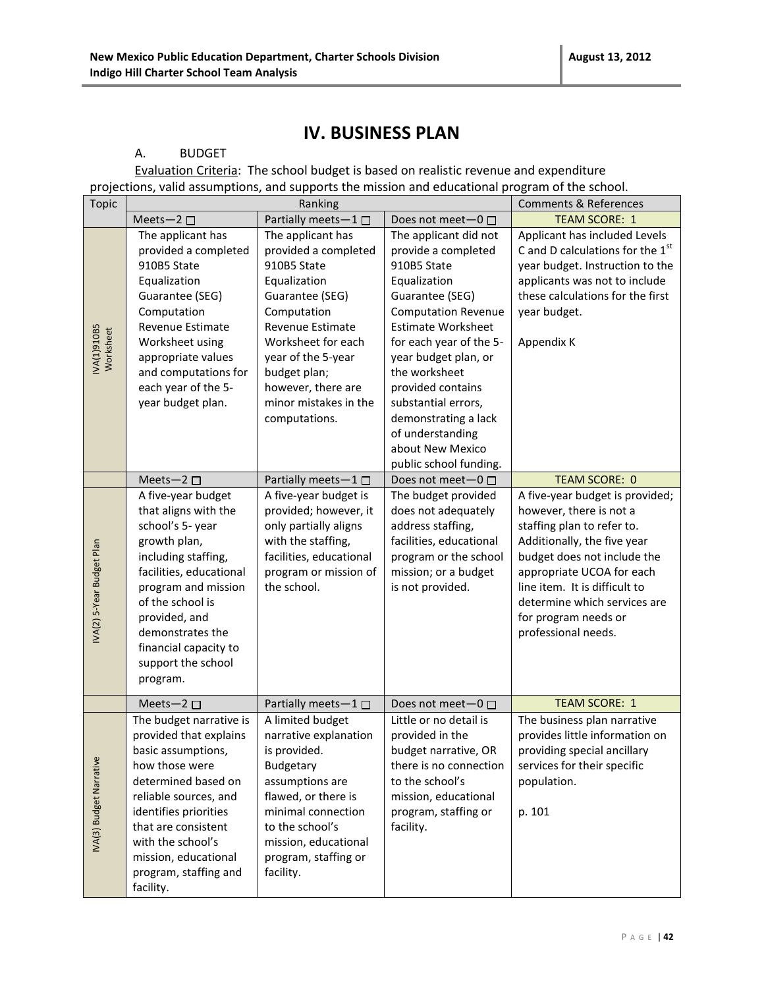### **IV. BUSINESS PLAN**

#### A. BUDGET

Evaluation Criteria: The school budget is based on realistic revenue and expenditure projections, valid assumptions, and supports the mission and educational program of the school.

| <b>Topic</b>              |                                                                                                                                                                                                                                                                              | Ranking                                                                                                                                                                                                                                                    |                                                                                                                                                                                                                                                                                                                                                                     | <b>Comments &amp; References</b>                                                                                                                                                                                                                                                                    |
|---------------------------|------------------------------------------------------------------------------------------------------------------------------------------------------------------------------------------------------------------------------------------------------------------------------|------------------------------------------------------------------------------------------------------------------------------------------------------------------------------------------------------------------------------------------------------------|---------------------------------------------------------------------------------------------------------------------------------------------------------------------------------------------------------------------------------------------------------------------------------------------------------------------------------------------------------------------|-----------------------------------------------------------------------------------------------------------------------------------------------------------------------------------------------------------------------------------------------------------------------------------------------------|
|                           | Meets-2                                                                                                                                                                                                                                                                      | Partially meets-1 □                                                                                                                                                                                                                                        | Does not meet-0 □                                                                                                                                                                                                                                                                                                                                                   | <b>TEAM SCORE: 1</b>                                                                                                                                                                                                                                                                                |
| NA(1)910B5<br>Worksheet   | The applicant has<br>provided a completed<br>910B5 State<br>Equalization<br>Guarantee (SEG)<br>Computation<br>Revenue Estimate<br>Worksheet using<br>appropriate values<br>and computations for<br>each year of the 5-<br>year budget plan.                                  | The applicant has<br>provided a completed<br>910B5 State<br>Equalization<br>Guarantee (SEG)<br>Computation<br>Revenue Estimate<br>Worksheet for each<br>year of the 5-year<br>budget plan;<br>however, there are<br>minor mistakes in the<br>computations. | The applicant did not<br>provide a completed<br>910B5 State<br>Equalization<br>Guarantee (SEG)<br><b>Computation Revenue</b><br><b>Estimate Worksheet</b><br>for each year of the 5-<br>year budget plan, or<br>the worksheet<br>provided contains<br>substantial errors,<br>demonstrating a lack<br>of understanding<br>about New Mexico<br>public school funding. | Applicant has included Levels<br>C and D calculations for the 1st<br>year budget. Instruction to the<br>applicants was not to include<br>these calculations for the first<br>year budget.<br>Appendix K                                                                                             |
|                           | Meets-2 $\square$                                                                                                                                                                                                                                                            | Partially meets-1                                                                                                                                                                                                                                          | Does not meet $-0$ $\Box$                                                                                                                                                                                                                                                                                                                                           | <b>TEAM SCORE: 0</b>                                                                                                                                                                                                                                                                                |
| IVA(2) 5-Year Budget Plan | A five-year budget<br>that aligns with the<br>school's 5- year<br>growth plan,<br>including staffing,<br>facilities, educational<br>program and mission<br>of the school is<br>provided, and<br>demonstrates the<br>financial capacity to<br>support the school<br>program.  | A five-year budget is<br>provided; however, it<br>only partially aligns<br>with the staffing,<br>facilities, educational<br>program or mission of<br>the school.                                                                                           | The budget provided<br>does not adequately<br>address staffing,<br>facilities, educational<br>program or the school<br>mission; or a budget<br>is not provided.                                                                                                                                                                                                     | A five-year budget is provided;<br>however, there is not a<br>staffing plan to refer to.<br>Additionally, the five year<br>budget does not include the<br>appropriate UCOA for each<br>line item. It is difficult to<br>determine which services are<br>for program needs or<br>professional needs. |
|                           | Meets-2 $\square$                                                                                                                                                                                                                                                            | Partially meets-1 □                                                                                                                                                                                                                                        | Does not meet-0 □                                                                                                                                                                                                                                                                                                                                                   | <b>TEAM SCORE: 1</b>                                                                                                                                                                                                                                                                                |
| IVA(3) Budget Narrative   | The budget narrative is<br>provided that explains<br>basic assumptions,<br>how those were<br>determined based on<br>reliable sources, and<br>identifies priorities<br>that are consistent<br>with the school's<br>mission, educational<br>program, staffing and<br>facility. | A limited budget<br>narrative explanation<br>is provided.<br>Budgetary<br>assumptions are<br>flawed, or there is<br>minimal connection<br>to the school's<br>mission, educational<br>program, staffing or<br>facility.                                     | Little or no detail is<br>provided in the<br>budget narrative, OR<br>there is no connection<br>to the school's<br>mission, educational<br>program, staffing or<br>facility.                                                                                                                                                                                         | The business plan narrative<br>provides little information on<br>providing special ancillary<br>services for their specific<br>population.<br>p. 101                                                                                                                                                |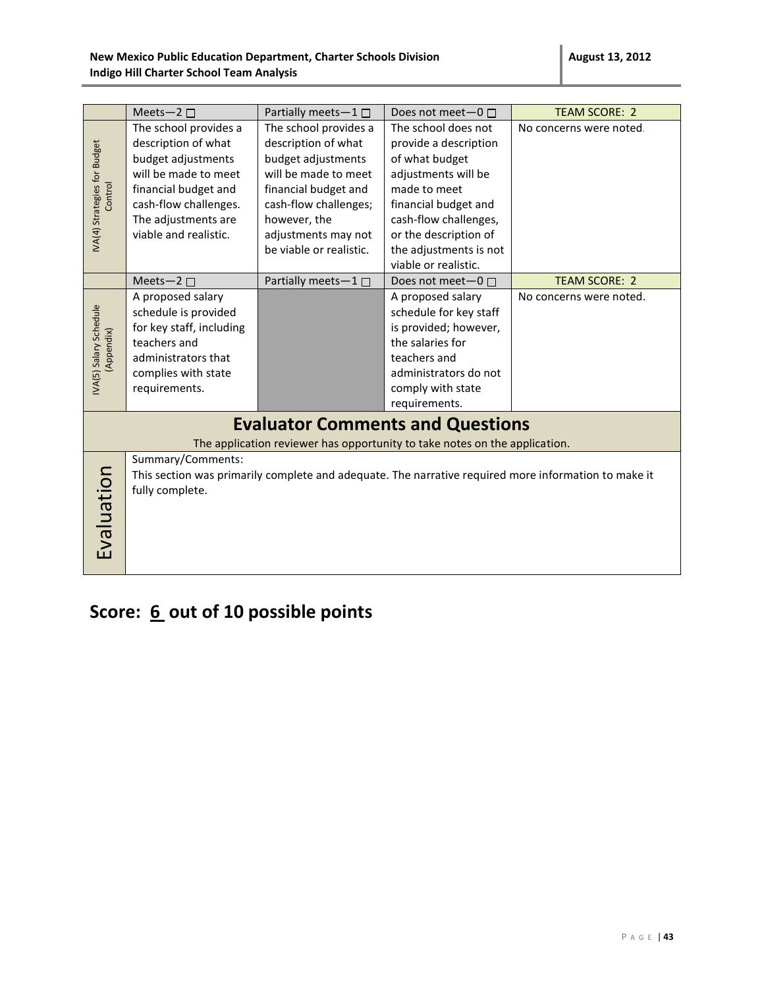|                                            |                                                                                                                                                                                                                            |                                                                                                                                                                                                                                            |                                                                                                                                                                                                                                                                | <b>TEAM SCORE: 2</b>    |  |
|--------------------------------------------|----------------------------------------------------------------------------------------------------------------------------------------------------------------------------------------------------------------------------|--------------------------------------------------------------------------------------------------------------------------------------------------------------------------------------------------------------------------------------------|----------------------------------------------------------------------------------------------------------------------------------------------------------------------------------------------------------------------------------------------------------------|-------------------------|--|
| IVA(4) Strategies for Budget<br>Control    | Meets-2 $\square$<br>The school provides a<br>description of what<br>budget adjustments<br>will be made to meet<br>financial budget and<br>cash-flow challenges.<br>The adjustments are<br>viable and realistic.           | Partially meets- $1 \Box$<br>The school provides a<br>description of what<br>budget adjustments<br>will be made to meet<br>financial budget and<br>cash-flow challenges;<br>however, the<br>adjustments may not<br>be viable or realistic. | Does not meet $-0$ $\Box$<br>The school does not<br>provide a description<br>of what budget<br>adjustments will be<br>made to meet<br>financial budget and<br>cash-flow challenges,<br>or the description of<br>the adjustments is not<br>viable or realistic. | No concerns were noted. |  |
|                                            | Meets-2 $\square$                                                                                                                                                                                                          | Partially meets-1                                                                                                                                                                                                                          | Does not meet $-0$ $\Box$                                                                                                                                                                                                                                      | <b>TEAM SCORE: 2</b>    |  |
| <b>VA(5)</b> Salary Schedule<br>(Appendix) | A proposed salary<br>schedule is provided<br>for key staff, including<br>teachers and<br>administrators that<br>complies with state<br>requirements.                                                                       |                                                                                                                                                                                                                                            | A proposed salary<br>schedule for key staff<br>is provided; however,<br>the salaries for<br>teachers and<br>administrators do not<br>comply with state<br>requirements.                                                                                        | No concerns were noted. |  |
|                                            |                                                                                                                                                                                                                            |                                                                                                                                                                                                                                            | <b>Evaluator Comments and Questions</b>                                                                                                                                                                                                                        |                         |  |
|                                            |                                                                                                                                                                                                                            |                                                                                                                                                                                                                                            |                                                                                                                                                                                                                                                                |                         |  |
| Evaluation                                 | The application reviewer has opportunity to take notes on the application.<br>Summary/Comments:<br>This section was primarily complete and adequate. The narrative required more information to make it<br>fully complete. |                                                                                                                                                                                                                                            |                                                                                                                                                                                                                                                                |                         |  |

# **Score: 6 out of 10 possible points**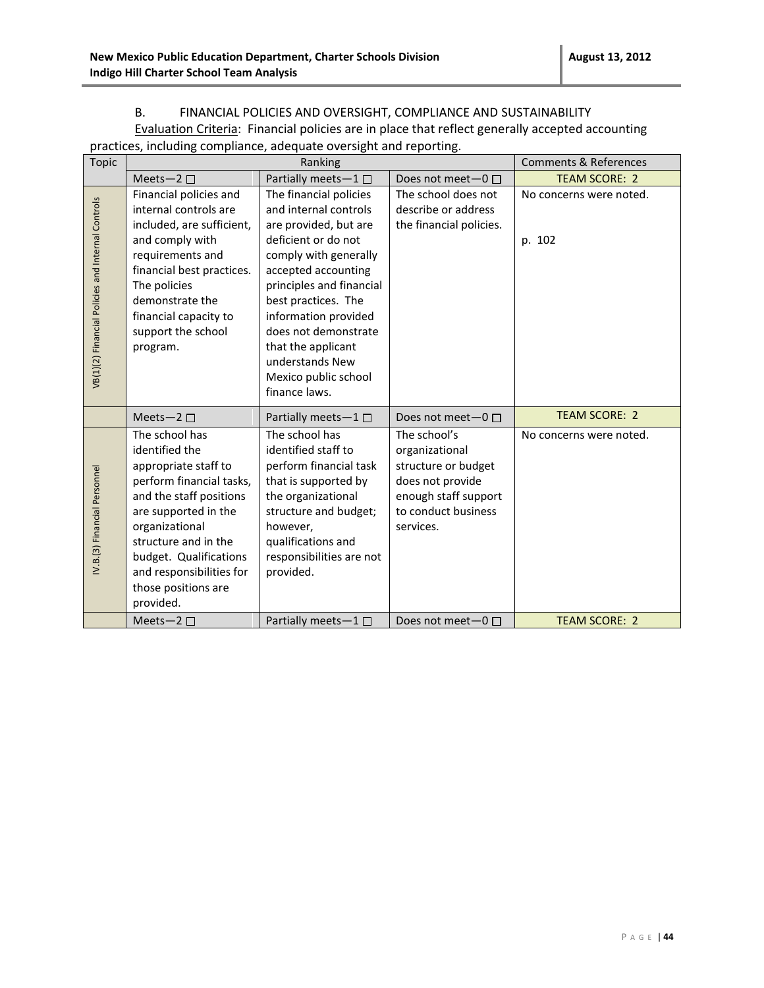#### B. FINANCIAL POLICIES AND OVERSIGHT, COMPLIANCE AND SUSTAINABILITY

Evaluation Criteria: Financial policies are in place that reflect generally accepted accounting practices, including compliance, adequate oversight and reporting.

| <b>Topic</b>                                      | Ranking                                                                                                                                                                                                                                                                     |                                                                                                                                                                                                                                                                                                                                      |                                                                                                                                       | Comments & References             |
|---------------------------------------------------|-----------------------------------------------------------------------------------------------------------------------------------------------------------------------------------------------------------------------------------------------------------------------------|--------------------------------------------------------------------------------------------------------------------------------------------------------------------------------------------------------------------------------------------------------------------------------------------------------------------------------------|---------------------------------------------------------------------------------------------------------------------------------------|-----------------------------------|
|                                                   | Meets-2 $\square$                                                                                                                                                                                                                                                           | Partially meets-1                                                                                                                                                                                                                                                                                                                    | Does not meet- $0 \Box$                                                                                                               | <b>TEAM SCORE: 2</b>              |
| VB(1)(2) Financial Policies and Internal Controls | Financial policies and<br>internal controls are<br>included, are sufficient,<br>and comply with<br>requirements and<br>financial best practices.<br>The policies<br>demonstrate the<br>financial capacity to<br>support the school<br>program.                              | The financial policies<br>and internal controls<br>are provided, but are<br>deficient or do not<br>comply with generally<br>accepted accounting<br>principles and financial<br>best practices. The<br>information provided<br>does not demonstrate<br>that the applicant<br>understands New<br>Mexico public school<br>finance laws. | The school does not<br>describe or address<br>the financial policies.                                                                 | No concerns were noted.<br>p. 102 |
|                                                   | Meets-2 $\square$                                                                                                                                                                                                                                                           | Partially meets-1 $\square$                                                                                                                                                                                                                                                                                                          | Does not meet- $0 \Box$                                                                                                               | <b>TEAM SCORE: 2</b>              |
| IV.B.(3) Financial Personnel                      | The school has<br>identified the<br>appropriate staff to<br>perform financial tasks,<br>and the staff positions<br>are supported in the<br>organizational<br>structure and in the<br>budget. Qualifications<br>and responsibilities for<br>those positions are<br>provided. | The school has<br>identified staff to<br>perform financial task<br>that is supported by<br>the organizational<br>structure and budget;<br>however,<br>qualifications and<br>responsibilities are not<br>provided.                                                                                                                    | The school's<br>organizational<br>structure or budget<br>does not provide<br>enough staff support<br>to conduct business<br>services. | No concerns were noted.           |
|                                                   | Meets-2 $\square$                                                                                                                                                                                                                                                           | Partially meets $-1 \Box$                                                                                                                                                                                                                                                                                                            | Does not meet $-0$ $\Box$                                                                                                             | <b>TEAM SCORE: 2</b>              |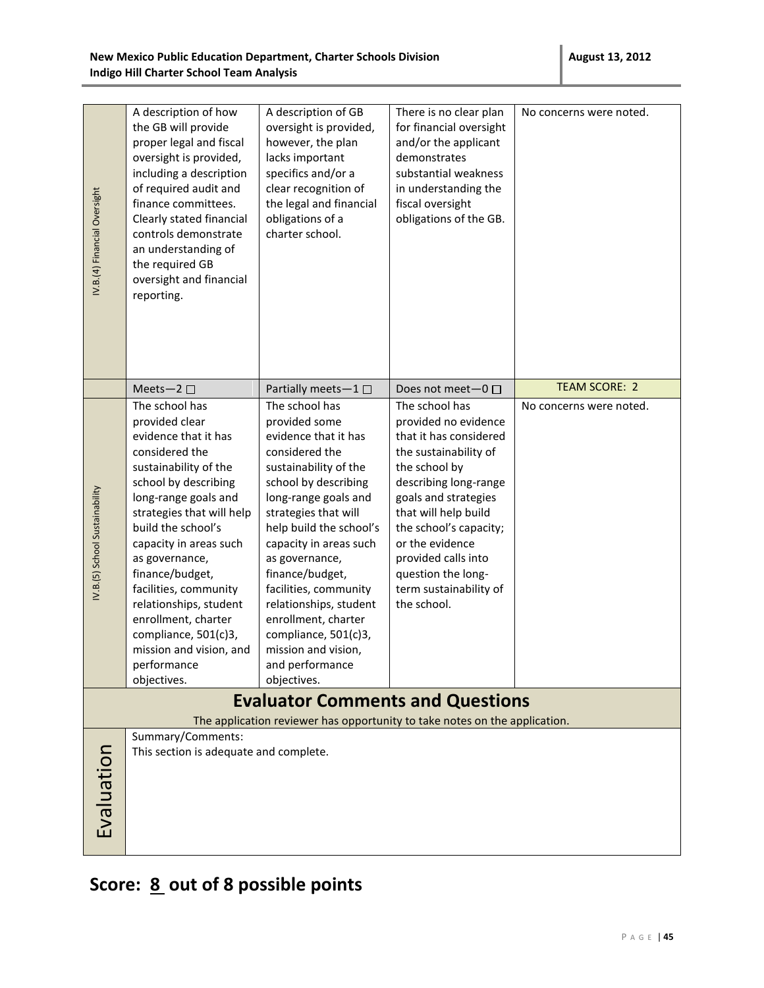| IV.B.(4) Financial Oversight    | A description of how<br>the GB will provide<br>proper legal and fiscal<br>oversight is provided,<br>including a description<br>of required audit and<br>finance committees.<br>Clearly stated financial<br>controls demonstrate<br>an understanding of<br>the required GB<br>oversight and financial<br>reporting.                                                                                                               | A description of GB<br>oversight is provided,<br>however, the plan<br>lacks important<br>specifics and/or a<br>clear recognition of<br>the legal and financial<br>obligations of a<br>charter school.                                                                                                                                                                                                                           | There is no clear plan<br>for financial oversight<br>and/or the applicant<br>demonstrates<br>substantial weakness<br>in understanding the<br>fiscal oversight<br>obligations of the GB.                                                                                                                                | No concerns were noted. |
|---------------------------------|----------------------------------------------------------------------------------------------------------------------------------------------------------------------------------------------------------------------------------------------------------------------------------------------------------------------------------------------------------------------------------------------------------------------------------|---------------------------------------------------------------------------------------------------------------------------------------------------------------------------------------------------------------------------------------------------------------------------------------------------------------------------------------------------------------------------------------------------------------------------------|------------------------------------------------------------------------------------------------------------------------------------------------------------------------------------------------------------------------------------------------------------------------------------------------------------------------|-------------------------|
|                                 | Meets-2 $\square$                                                                                                                                                                                                                                                                                                                                                                                                                | Partially meets-1 $\square$                                                                                                                                                                                                                                                                                                                                                                                                     | Does not meet-0 □                                                                                                                                                                                                                                                                                                      | <b>TEAM SCORE: 2</b>    |
| IV.B. (5) School Sustainability | The school has<br>provided clear<br>evidence that it has<br>considered the<br>sustainability of the<br>school by describing<br>long-range goals and<br>strategies that will help<br>build the school's<br>capacity in areas such<br>as governance,<br>finance/budget,<br>facilities, community<br>relationships, student<br>enrollment, charter<br>compliance, 501(c)3,<br>mission and vision, and<br>performance<br>objectives. | The school has<br>provided some<br>evidence that it has<br>considered the<br>sustainability of the<br>school by describing<br>long-range goals and<br>strategies that will<br>help build the school's<br>capacity in areas such<br>as governance,<br>finance/budget,<br>facilities, community<br>relationships, student<br>enrollment, charter<br>compliance, 501(c)3,<br>mission and vision,<br>and performance<br>objectives. | The school has<br>provided no evidence<br>that it has considered<br>the sustainability of<br>the school by<br>describing long-range<br>goals and strategies<br>that will help build<br>the school's capacity;<br>or the evidence<br>provided calls into<br>question the long-<br>term sustainability of<br>the school. | No concerns were noted. |
|                                 |                                                                                                                                                                                                                                                                                                                                                                                                                                  | <b>Evaluator Comments and Questions</b>                                                                                                                                                                                                                                                                                                                                                                                         |                                                                                                                                                                                                                                                                                                                        |                         |
|                                 |                                                                                                                                                                                                                                                                                                                                                                                                                                  | The application reviewer has opportunity to take notes on the application.                                                                                                                                                                                                                                                                                                                                                      |                                                                                                                                                                                                                                                                                                                        |                         |
| Evaluation                      | Summary/Comments:<br>This section is adequate and complete.                                                                                                                                                                                                                                                                                                                                                                      |                                                                                                                                                                                                                                                                                                                                                                                                                                 |                                                                                                                                                                                                                                                                                                                        |                         |

# **Score: 8 out of 8 possible points**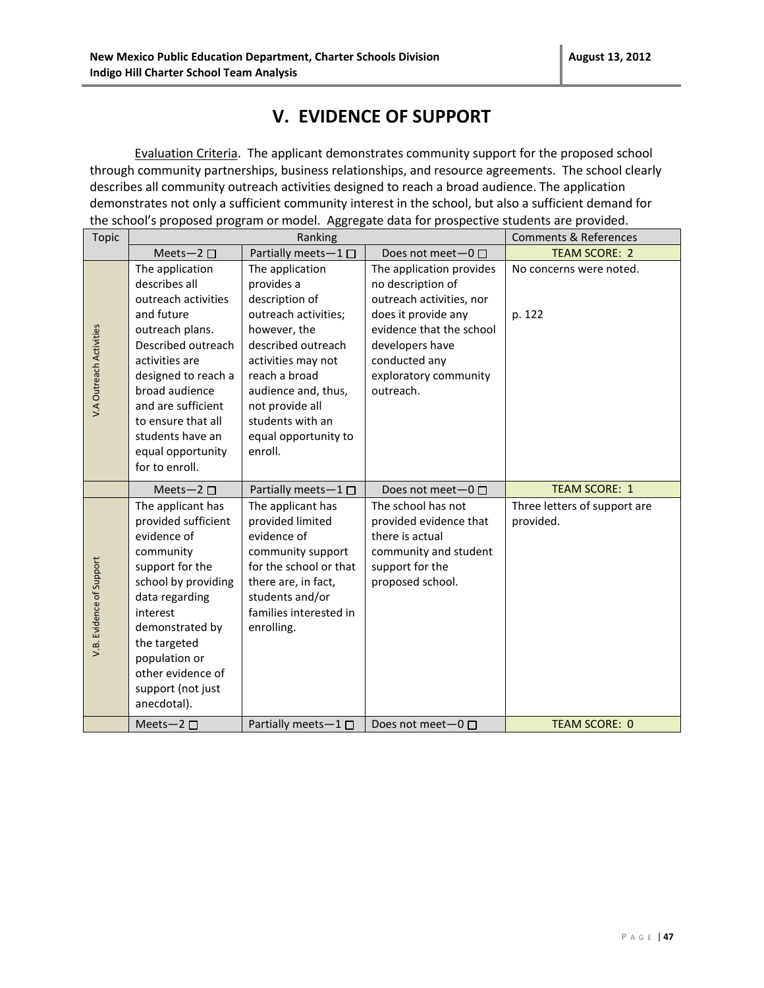### **V. EVIDENCE OF SUPPORT**

Evaluation Criteria. The applicant demonstrates community support for the proposed school through community partnerships, business relationships, and resource agreements. The school clearly describes all community outreach activities designed to reach a broad audience. The application demonstrates not only a sufficient community interest in the school, but also a sufficient demand for the school's proposed program or model. Aggregate data for prospective students are provided.

| <b>Topic</b>             | Ranking                                                                                                                                                                                                                                                                          |                                                                                                                                                                                                                                                       |                                                                                                                                                                                                        | <b>Comments &amp; References</b>          |
|--------------------------|----------------------------------------------------------------------------------------------------------------------------------------------------------------------------------------------------------------------------------------------------------------------------------|-------------------------------------------------------------------------------------------------------------------------------------------------------------------------------------------------------------------------------------------------------|--------------------------------------------------------------------------------------------------------------------------------------------------------------------------------------------------------|-------------------------------------------|
|                          | Meets-2 $\square$                                                                                                                                                                                                                                                                | Partially meets-1□                                                                                                                                                                                                                                    | Does not meet- $0 \Box$                                                                                                                                                                                | <b>TEAM SCORE: 2</b>                      |
| V.A Outreach Activities  | The application<br>describes all<br>outreach activities<br>and future<br>outreach plans.<br>Described outreach<br>activities are<br>designed to reach a<br>broad audience<br>and are sufficient<br>to ensure that all<br>students have an<br>equal opportunity<br>for to enroll. | The application<br>provides a<br>description of<br>outreach activities;<br>however, the<br>described outreach<br>activities may not<br>reach a broad<br>audience and, thus,<br>not provide all<br>students with an<br>equal opportunity to<br>enroll. | The application provides<br>no description of<br>outreach activities, nor<br>does it provide any<br>evidence that the school<br>developers have<br>conducted any<br>exploratory community<br>outreach. | No concerns were noted.<br>p. 122         |
|                          | Meets-2 $\square$                                                                                                                                                                                                                                                                | Partially meets-1 $\square$                                                                                                                                                                                                                           | Does not meet $-0$ $\Box$                                                                                                                                                                              | <b>TEAM SCORE: 1</b>                      |
| V.B. Evidence of Support | The applicant has<br>provided sufficient<br>evidence of<br>community<br>support for the<br>school by providing<br>data regarding                                                                                                                                                 | The applicant has<br>provided limited<br>evidence of<br>community support<br>for the school or that<br>there are, in fact,<br>students and/or                                                                                                         | The school has not<br>provided evidence that<br>there is actual<br>community and student<br>support for the<br>proposed school.                                                                        | Three letters of support are<br>provided. |
|                          | interest<br>demonstrated by<br>the targeted<br>population or<br>other evidence of<br>support (not just<br>anecdotal).                                                                                                                                                            | families interested in<br>enrolling.                                                                                                                                                                                                                  |                                                                                                                                                                                                        |                                           |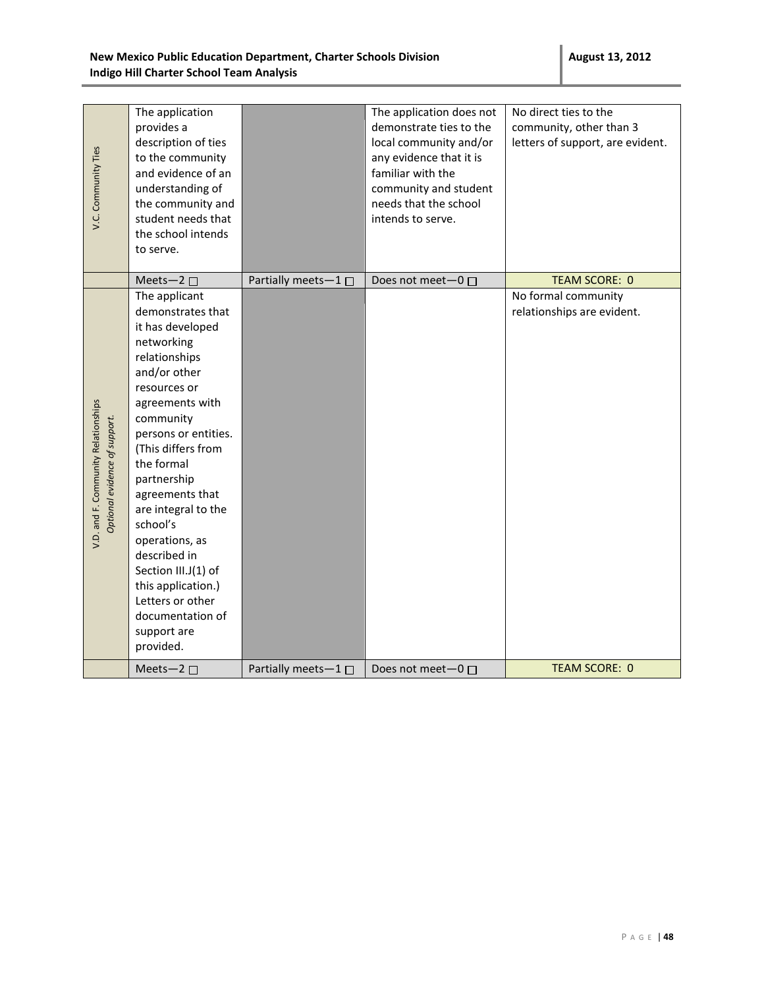| V.C. Community Ties                                                  | The application<br>provides a<br>description of ties<br>to the community<br>and evidence of an<br>understanding of<br>the community and<br>student needs that<br>the school intends<br>to serve.                                                                                                                                                                                                                                          |                             | The application does not<br>demonstrate ties to the<br>local community and/or<br>any evidence that it is<br>familiar with the<br>community and student<br>needs that the school<br>intends to serve. | No direct ties to the<br>community, other than 3<br>letters of support, are evident. |
|----------------------------------------------------------------------|-------------------------------------------------------------------------------------------------------------------------------------------------------------------------------------------------------------------------------------------------------------------------------------------------------------------------------------------------------------------------------------------------------------------------------------------|-----------------------------|------------------------------------------------------------------------------------------------------------------------------------------------------------------------------------------------------|--------------------------------------------------------------------------------------|
|                                                                      | Meets-2 $\square$                                                                                                                                                                                                                                                                                                                                                                                                                         | Partially meets-1 $\square$ | Does not meet $-0$ $\Box$                                                                                                                                                                            | <b>TEAM SCORE: 0</b>                                                                 |
| V.D. and F. Community Relationships<br>Optional evidence of support. | The applicant<br>demonstrates that<br>it has developed<br>networking<br>relationships<br>and/or other<br>resources or<br>agreements with<br>community<br>persons or entities.<br>(This differs from<br>the formal<br>partnership<br>agreements that<br>are integral to the<br>school's<br>operations, as<br>described in<br>Section III.J(1) of<br>this application.)<br>Letters or other<br>documentation of<br>support are<br>provided. |                             |                                                                                                                                                                                                      | No formal community<br>relationships are evident.                                    |
|                                                                      | Meets-2 $\square$                                                                                                                                                                                                                                                                                                                                                                                                                         | Partially meets $-1$ $\Box$ | Does not meet $-0$ $\Box$                                                                                                                                                                            | <b>TEAM SCORE: 0</b>                                                                 |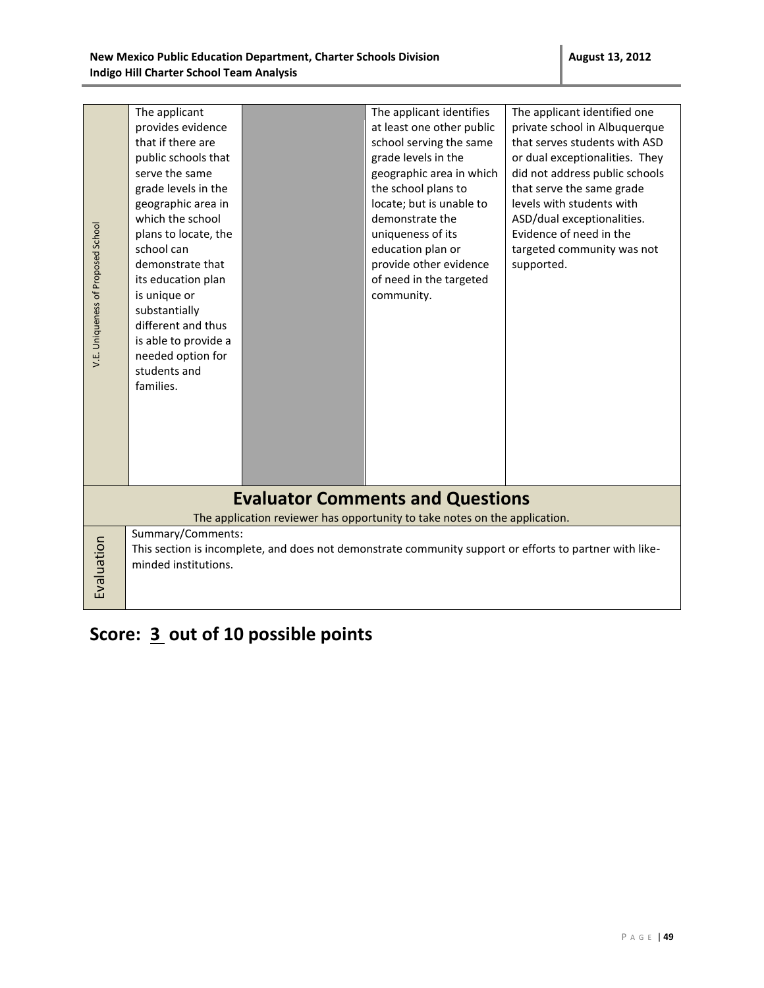| V.E. Uniqueness of Proposed School                                                                                    | The applicant<br>provides evidence<br>that if there are<br>public schools that<br>serve the same<br>grade levels in the<br>geographic area in<br>which the school<br>plans to locate, the<br>school can<br>demonstrate that<br>its education plan<br>is unique or<br>substantially<br>different and thus<br>is able to provide a<br>needed option for<br>students and<br>families. |  | The applicant identifies<br>at least one other public<br>school serving the same<br>grade levels in the<br>geographic area in which<br>the school plans to<br>locate; but is unable to<br>demonstrate the<br>uniqueness of its<br>education plan or<br>provide other evidence<br>of need in the targeted<br>community. | The applicant identified one<br>private school in Albuquerque<br>that serves students with ASD<br>or dual exceptionalities. They<br>did not address public schools<br>that serve the same grade<br>levels with students with<br>ASD/dual exceptionalities.<br>Evidence of need in the<br>targeted community was not<br>supported. |  |
|-----------------------------------------------------------------------------------------------------------------------|------------------------------------------------------------------------------------------------------------------------------------------------------------------------------------------------------------------------------------------------------------------------------------------------------------------------------------------------------------------------------------|--|------------------------------------------------------------------------------------------------------------------------------------------------------------------------------------------------------------------------------------------------------------------------------------------------------------------------|-----------------------------------------------------------------------------------------------------------------------------------------------------------------------------------------------------------------------------------------------------------------------------------------------------------------------------------|--|
| <b>Evaluator Comments and Questions</b><br>The application reviewer has opportunity to take notes on the application. |                                                                                                                                                                                                                                                                                                                                                                                    |  |                                                                                                                                                                                                                                                                                                                        |                                                                                                                                                                                                                                                                                                                                   |  |
|                                                                                                                       | Summary/Comments:                                                                                                                                                                                                                                                                                                                                                                  |  |                                                                                                                                                                                                                                                                                                                        |                                                                                                                                                                                                                                                                                                                                   |  |
| Evaluation                                                                                                            | This section is incomplete, and does not demonstrate community support or efforts to partner with like-<br>minded institutions.                                                                                                                                                                                                                                                    |  |                                                                                                                                                                                                                                                                                                                        |                                                                                                                                                                                                                                                                                                                                   |  |
|                                                                                                                       |                                                                                                                                                                                                                                                                                                                                                                                    |  |                                                                                                                                                                                                                                                                                                                        |                                                                                                                                                                                                                                                                                                                                   |  |

# **Score: 3 out of 10 possible points**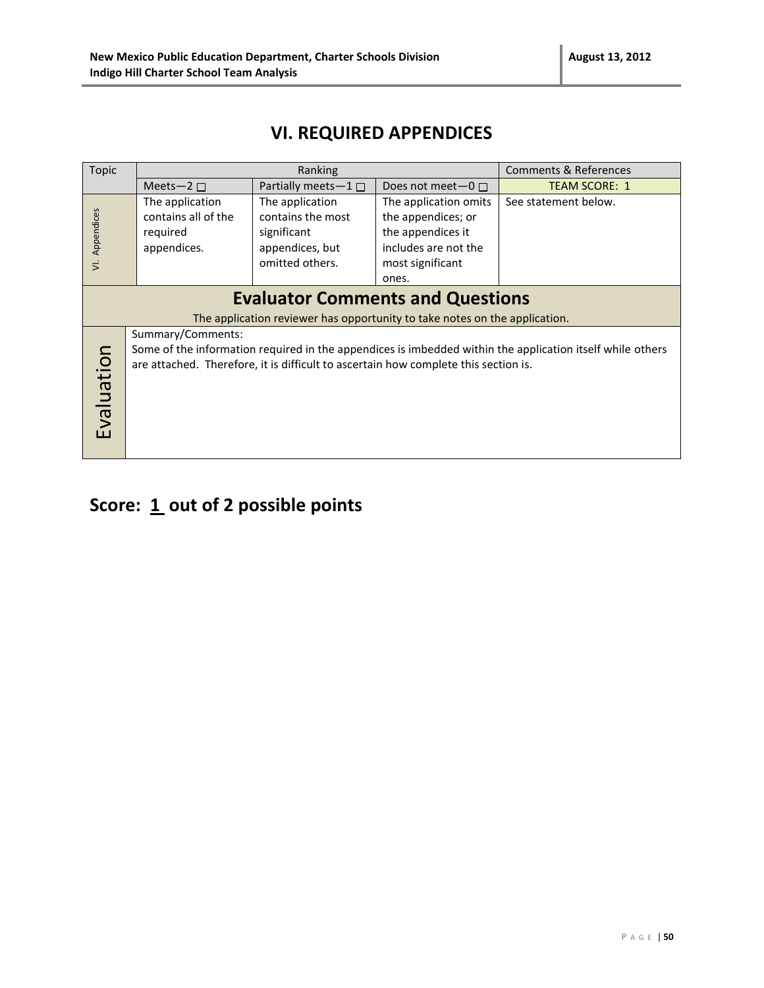### **VI. REQUIRED APPENDICES**

| <b>Topic</b>                                                                                                          | Ranking                                                                                                                                                                                                               |                                                                                           | Comments & References                                                                                                 |                      |  |  |
|-----------------------------------------------------------------------------------------------------------------------|-----------------------------------------------------------------------------------------------------------------------------------------------------------------------------------------------------------------------|-------------------------------------------------------------------------------------------|-----------------------------------------------------------------------------------------------------------------------|----------------------|--|--|
|                                                                                                                       | Meets-2 $\square$                                                                                                                                                                                                     | Partially meets-1 $\Box$                                                                  | Does not meet $-0$ $\Box$                                                                                             | <b>TEAM SCORE: 1</b> |  |  |
| Appendices<br>$\overline{z}$                                                                                          | The application<br>contains all of the<br>required<br>appendices.                                                                                                                                                     | The application<br>contains the most<br>significant<br>appendices, but<br>omitted others. | The application omits<br>the appendices; or<br>the appendices it<br>includes are not the<br>most significant<br>ones. | See statement below. |  |  |
| <b>Evaluator Comments and Questions</b><br>The application reviewer has opportunity to take notes on the application. |                                                                                                                                                                                                                       |                                                                                           |                                                                                                                       |                      |  |  |
| Evaluation                                                                                                            | Summary/Comments:<br>Some of the information required in the appendices is imbedded within the application itself while others<br>are attached. Therefore, it is difficult to ascertain how complete this section is. |                                                                                           |                                                                                                                       |                      |  |  |

# Score: 1 out of 2 possible points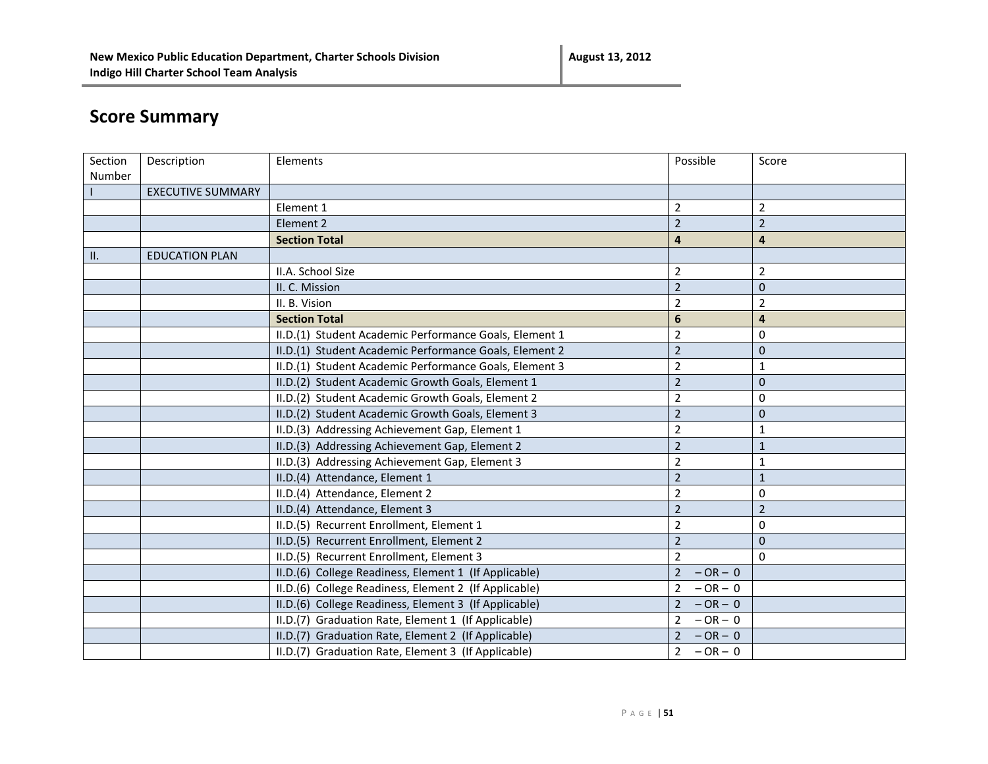# **Score Summary**

| Number<br><b>EXECUTIVE SUMMARY</b><br>$\overline{2}$<br>$\overline{2}$<br>Element 1<br>$\overline{2}$<br>$\overline{2}$<br>Element 2<br>$\overline{\mathbf{4}}$<br>$\overline{\mathbf{4}}$<br><b>Section Total</b><br>$\,$ H.<br><b>EDUCATION PLAN</b><br>II.A. School Size<br>$\overline{2}$<br>$\overline{2}$<br>$\overline{2}$<br>$\mathbf 0$<br>II. C. Mission | Section | Description | Elements      | Possible       | Score          |
|--------------------------------------------------------------------------------------------------------------------------------------------------------------------------------------------------------------------------------------------------------------------------------------------------------------------------------------------------------------------|---------|-------------|---------------|----------------|----------------|
|                                                                                                                                                                                                                                                                                                                                                                    |         |             |               |                |                |
|                                                                                                                                                                                                                                                                                                                                                                    |         |             |               |                |                |
|                                                                                                                                                                                                                                                                                                                                                                    |         |             |               |                |                |
|                                                                                                                                                                                                                                                                                                                                                                    |         |             |               |                |                |
|                                                                                                                                                                                                                                                                                                                                                                    |         |             |               |                |                |
|                                                                                                                                                                                                                                                                                                                                                                    |         |             |               |                |                |
|                                                                                                                                                                                                                                                                                                                                                                    |         |             |               |                |                |
|                                                                                                                                                                                                                                                                                                                                                                    |         |             |               |                |                |
|                                                                                                                                                                                                                                                                                                                                                                    |         |             | II. B. Vision | $\overline{2}$ | $\overline{2}$ |
| <b>Section Total</b><br>6<br>$\overline{4}$                                                                                                                                                                                                                                                                                                                        |         |             |               |                |                |
| $\overline{2}$<br>II.D.(1) Student Academic Performance Goals, Element 1<br>0                                                                                                                                                                                                                                                                                      |         |             |               |                |                |
| $\overline{2}$<br>$\mathbf 0$<br>II.D.(1) Student Academic Performance Goals, Element 2                                                                                                                                                                                                                                                                            |         |             |               |                |                |
| $\overline{2}$<br>II.D.(1) Student Academic Performance Goals, Element 3<br>1                                                                                                                                                                                                                                                                                      |         |             |               |                |                |
| II.D.(2) Student Academic Growth Goals, Element 1<br>$\overline{2}$<br>$\mathbf 0$                                                                                                                                                                                                                                                                                 |         |             |               |                |                |
| $\overline{2}$<br>II.D.(2) Student Academic Growth Goals, Element 2<br>$\boldsymbol{0}$                                                                                                                                                                                                                                                                            |         |             |               |                |                |
| $\overline{2}$<br>II.D.(2) Student Academic Growth Goals, Element 3<br>$\mathbf 0$                                                                                                                                                                                                                                                                                 |         |             |               |                |                |
| II.D.(3) Addressing Achievement Gap, Element 1<br>$\overline{2}$<br>$\mathbf 1$                                                                                                                                                                                                                                                                                    |         |             |               |                |                |
| $\overline{2}$<br>II.D.(3) Addressing Achievement Gap, Element 2<br>$\mathbf{1}$                                                                                                                                                                                                                                                                                   |         |             |               |                |                |
| II.D.(3) Addressing Achievement Gap, Element 3<br>$\overline{2}$<br>1                                                                                                                                                                                                                                                                                              |         |             |               |                |                |
| $\overline{2}$<br>II.D.(4) Attendance, Element 1<br>$\mathbf{1}$                                                                                                                                                                                                                                                                                                   |         |             |               |                |                |
| $\overline{2}$<br>II.D.(4) Attendance, Element 2<br>0                                                                                                                                                                                                                                                                                                              |         |             |               |                |                |
| $\overline{2}$<br>$\overline{2}$<br>II.D.(4) Attendance, Element 3                                                                                                                                                                                                                                                                                                 |         |             |               |                |                |
| II.D.(5) Recurrent Enrollment, Element 1<br>$\overline{2}$<br>$\boldsymbol{0}$                                                                                                                                                                                                                                                                                     |         |             |               |                |                |
| $\overline{2}$<br>$\pmb{0}$<br>II.D.(5) Recurrent Enrollment, Element 2                                                                                                                                                                                                                                                                                            |         |             |               |                |                |
| II.D.(5) Recurrent Enrollment, Element 3<br>$\overline{2}$<br>$\mathbf 0$                                                                                                                                                                                                                                                                                          |         |             |               |                |                |
| II.D.(6) College Readiness, Element 1 (If Applicable)<br>$\overline{2}$<br>$-OR - 0$                                                                                                                                                                                                                                                                               |         |             |               |                |                |
| II.D.(6) College Readiness, Element 2 (If Applicable)<br>$-OR - 0$<br>$\overline{2}$                                                                                                                                                                                                                                                                               |         |             |               |                |                |
| II.D.(6) College Readiness, Element 3 (If Applicable)<br>$\overline{2}$<br>$-OR - 0$                                                                                                                                                                                                                                                                               |         |             |               |                |                |
| II.D.(7) Graduation Rate, Element 1 (If Applicable)<br>$\overline{2}$<br>$-OR - 0$                                                                                                                                                                                                                                                                                 |         |             |               |                |                |
| $-OR - 0$<br>II.D.(7) Graduation Rate, Element 2 (If Applicable)<br>$\overline{2}$                                                                                                                                                                                                                                                                                 |         |             |               |                |                |
| II.D.(7) Graduation Rate, Element 3 (If Applicable)<br>$2^{\circ}$<br>$-OR - 0$                                                                                                                                                                                                                                                                                    |         |             |               |                |                |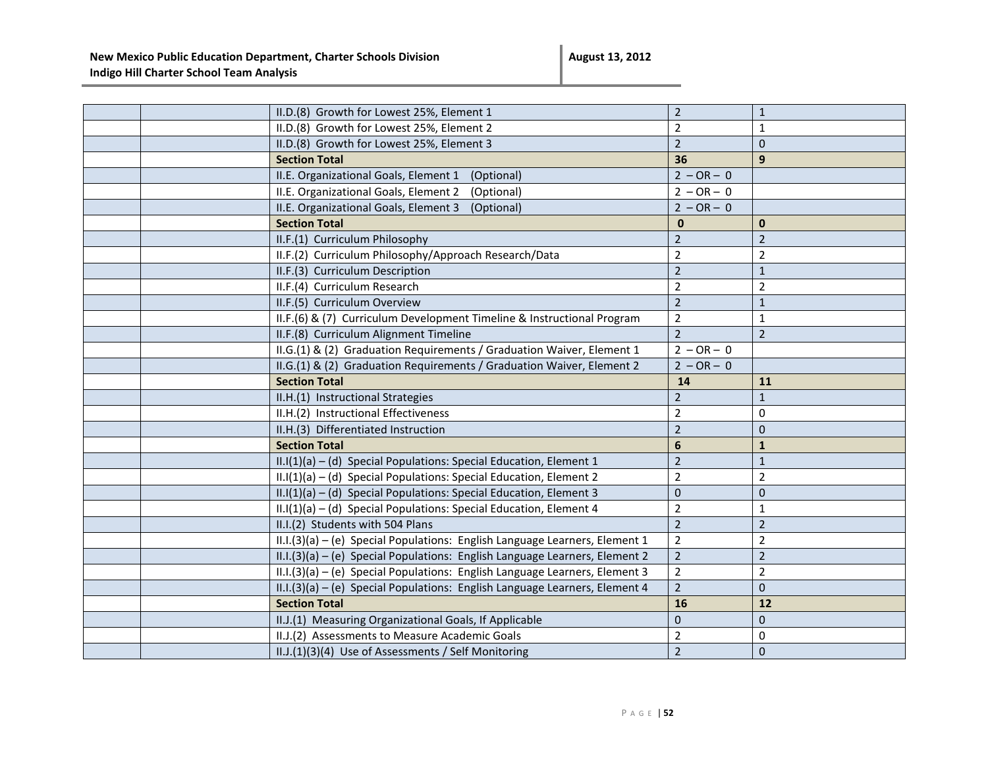|  | II.D.(8) Growth for Lowest 25%, Element 1                                     | $\overline{2}$ | $\mathbf 1$    |
|--|-------------------------------------------------------------------------------|----------------|----------------|
|  | II.D.(8) Growth for Lowest 25%, Element 2                                     | $\overline{2}$ | 1              |
|  | II.D.(8) Growth for Lowest 25%, Element 3                                     | $\overline{2}$ | $\Omega$       |
|  | <b>Section Total</b>                                                          | 36             | 9              |
|  | II.E. Organizational Goals, Element 1<br>(Optional)                           | $2 - OR - 0$   |                |
|  | II.E. Organizational Goals, Element 2<br>(Optional)                           | $2 - OR - 0$   |                |
|  | II.E. Organizational Goals, Element 3<br>(Optional)                           | $2 - OR - 0$   |                |
|  | <b>Section Total</b>                                                          | $\bf{0}$       | $\mathbf{0}$   |
|  | II.F.(1) Curriculum Philosophy                                                | $\overline{2}$ | $\overline{2}$ |
|  | II.F.(2) Curriculum Philosophy/Approach Research/Data                         | $\overline{2}$ | $\overline{2}$ |
|  | II.F.(3) Curriculum Description                                               | $\overline{2}$ | $\mathbf{1}$   |
|  | II.F.(4) Curriculum Research                                                  | $\overline{2}$ | $\overline{2}$ |
|  | II.F.(5) Curriculum Overview                                                  | $\overline{2}$ | $\mathbf{1}$   |
|  | II.F.(6) & (7) Curriculum Development Timeline & Instructional Program        | $\overline{2}$ | $\mathbf{1}$   |
|  | II.F.(8) Curriculum Alignment Timeline                                        | $\overline{2}$ | $\overline{2}$ |
|  | II.G.(1) & (2) Graduation Requirements / Graduation Waiver, Element 1         | $2 - OR - 0$   |                |
|  | II.G.(1) & (2) Graduation Requirements / Graduation Waiver, Element 2         | $2 - OR - 0$   |                |
|  | <b>Section Total</b>                                                          | 14             | 11             |
|  | II.H.(1) Instructional Strategies                                             | $\overline{2}$ | $\mathbf{1}$   |
|  | II.H.(2) Instructional Effectiveness                                          | $\overline{2}$ | $\Omega$       |
|  | II.H.(3) Differentiated Instruction                                           | $\overline{2}$ | $\mathbf{0}$   |
|  | <b>Section Total</b>                                                          | 6              | $\mathbf{1}$   |
|  | $II.I(1)(a) - (d)$ Special Populations: Special Education, Element 1          | $\overline{2}$ | $\mathbf{1}$   |
|  | $II.I(1)(a) - (d)$ Special Populations: Special Education, Element 2          | $\overline{2}$ | $\overline{2}$ |
|  | $II.I(1)(a) - (d)$ Special Populations: Special Education, Element 3          | 0              | $\overline{0}$ |
|  | II.I(1)(a) - (d) Special Populations: Special Education, Element 4            | $\overline{2}$ | $\mathbf{1}$   |
|  | II.I.(2) Students with 504 Plans                                              | $\overline{2}$ | $\overline{2}$ |
|  | $II.I.(3)(a) - (e)$ Special Populations: English Language Learners, Element 1 | $\overline{2}$ | $\overline{2}$ |
|  | II.I.(3)(a) - (e) Special Populations: English Language Learners, Element 2   | $\overline{2}$ | $\overline{2}$ |
|  | II.I.(3)(a) - (e) Special Populations: English Language Learners, Element 3   | $\mathbf 2$    | $\overline{2}$ |
|  | II.I.(3)(a) - (e) Special Populations: English Language Learners, Element 4   | $\overline{2}$ | $\mathbf{0}$   |
|  | <b>Section Total</b>                                                          | 16             | 12             |
|  | II.J.(1) Measuring Organizational Goals, If Applicable                        | $\mathbf{0}$   | $\overline{0}$ |
|  | II.J.(2) Assessments to Measure Academic Goals                                | $\overline{2}$ | $\mathbf 0$    |
|  | II.J.(1)(3)(4) Use of Assessments / Self Monitoring                           | $\overline{2}$ | $\mathbf{0}$   |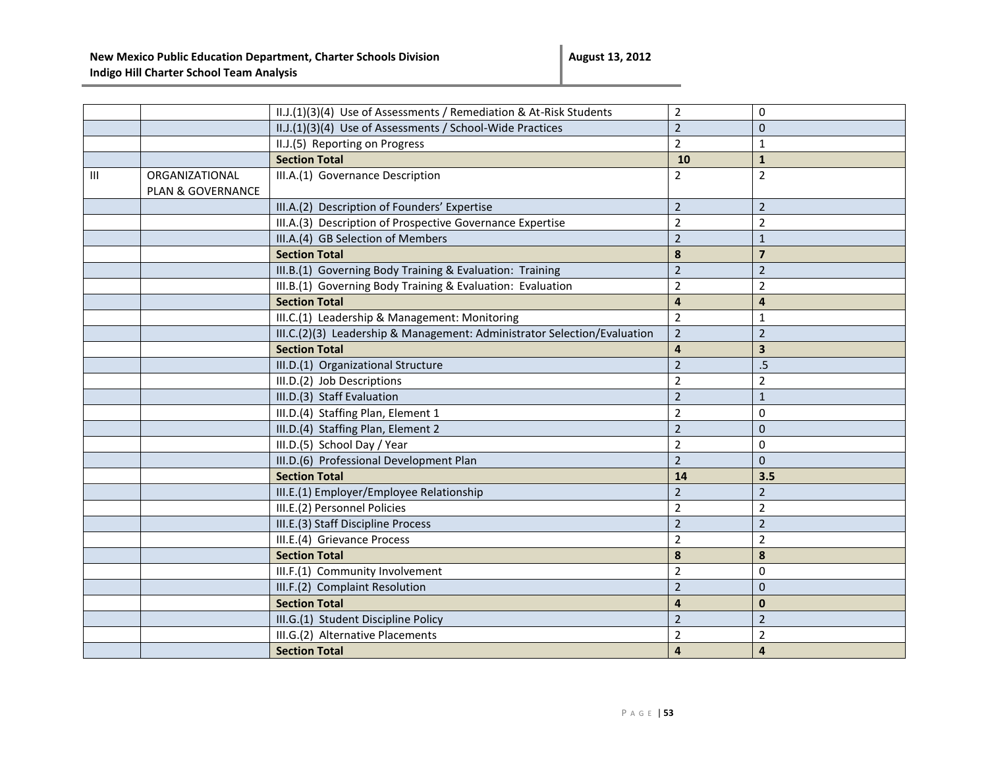|   |                                     | II.J.(1)(3)(4) Use of Assessments / Remediation & At-Risk Students       | $\overline{2}$          | $\mathbf 0$             |
|---|-------------------------------------|--------------------------------------------------------------------------|-------------------------|-------------------------|
|   |                                     | II.J.(1)(3)(4) Use of Assessments / School-Wide Practices                | $\overline{2}$          | $\mathbf{0}$            |
|   |                                     | II.J.(5) Reporting on Progress                                           | $\overline{2}$          | $\mathbf{1}$            |
|   |                                     | <b>Section Total</b>                                                     | 10                      | $\mathbf 1$             |
| Ш | ORGANIZATIONAL<br>PLAN & GOVERNANCE | III.A.(1) Governance Description                                         | $\overline{2}$          | $\overline{2}$          |
|   |                                     | III.A.(2) Description of Founders' Expertise                             | $\overline{2}$          | $\overline{2}$          |
|   |                                     | III.A.(3) Description of Prospective Governance Expertise                | $\overline{2}$          | $\overline{2}$          |
|   |                                     | III.A.(4) GB Selection of Members                                        | $\overline{2}$          | $\mathbf{1}$            |
|   |                                     | <b>Section Total</b>                                                     | $\boldsymbol{8}$        | $\overline{\mathbf{z}}$ |
|   |                                     | III.B.(1) Governing Body Training & Evaluation: Training                 | $\overline{2}$          | $\overline{2}$          |
|   |                                     | III.B.(1) Governing Body Training & Evaluation: Evaluation               | $\overline{2}$          | $\overline{2}$          |
|   |                                     | <b>Section Total</b>                                                     | $\overline{\mathbf{4}}$ | $\overline{4}$          |
|   |                                     | III.C.(1) Leadership & Management: Monitoring                            | $\overline{2}$          | $\mathbf{1}$            |
|   |                                     | III.C.(2)(3) Leadership & Management: Administrator Selection/Evaluation | $\overline{2}$          | $\overline{2}$          |
|   |                                     | <b>Section Total</b>                                                     | $\overline{\mathbf{4}}$ | $\overline{\mathbf{3}}$ |
|   |                                     | III.D.(1) Organizational Structure                                       | $\overline{2}$          | .5                      |
|   |                                     | III.D.(2) Job Descriptions                                               | $\overline{2}$          | $\overline{2}$          |
|   |                                     | III.D.(3) Staff Evaluation                                               | $\overline{2}$          | $\mathbf{1}$            |
|   |                                     | III.D.(4) Staffing Plan, Element 1                                       | $\overline{2}$          | $\mathbf 0$             |
|   |                                     | III.D.(4) Staffing Plan, Element 2                                       | $\overline{2}$          | $\Omega$                |
|   |                                     | III.D.(5) School Day / Year                                              | $\overline{2}$          | $\mathbf 0$             |
|   |                                     | III.D.(6) Professional Development Plan                                  | $\overline{2}$          | $\Omega$                |
|   |                                     | <b>Section Total</b>                                                     | 14                      | 3.5                     |
|   |                                     | III.E.(1) Employer/Employee Relationship                                 | $\overline{2}$          | $\overline{2}$          |
|   |                                     | III.E.(2) Personnel Policies                                             | $\overline{2}$          | $\overline{2}$          |
|   |                                     | III.E.(3) Staff Discipline Process                                       | $\overline{2}$          | $\overline{2}$          |
|   |                                     | III.E.(4) Grievance Process                                              | $\overline{2}$          | $\overline{2}$          |
|   |                                     | <b>Section Total</b>                                                     | 8                       | $\pmb{8}$               |
|   |                                     | III.F.(1) Community Involvement                                          | $\overline{2}$          | $\mathbf 0$             |
|   |                                     | III.F.(2) Complaint Resolution                                           | $\overline{2}$          | $\mathbf{0}$            |
|   |                                     | <b>Section Total</b>                                                     | $\overline{\mathbf{a}}$ | $\mathbf{0}$            |
|   |                                     | III.G.(1) Student Discipline Policy                                      | $\overline{2}$          | $\overline{2}$          |
|   |                                     | III.G.(2) Alternative Placements                                         | $\overline{2}$          | $\overline{2}$          |
|   |                                     | <b>Section Total</b>                                                     | $\overline{\mathbf{4}}$ | $\overline{4}$          |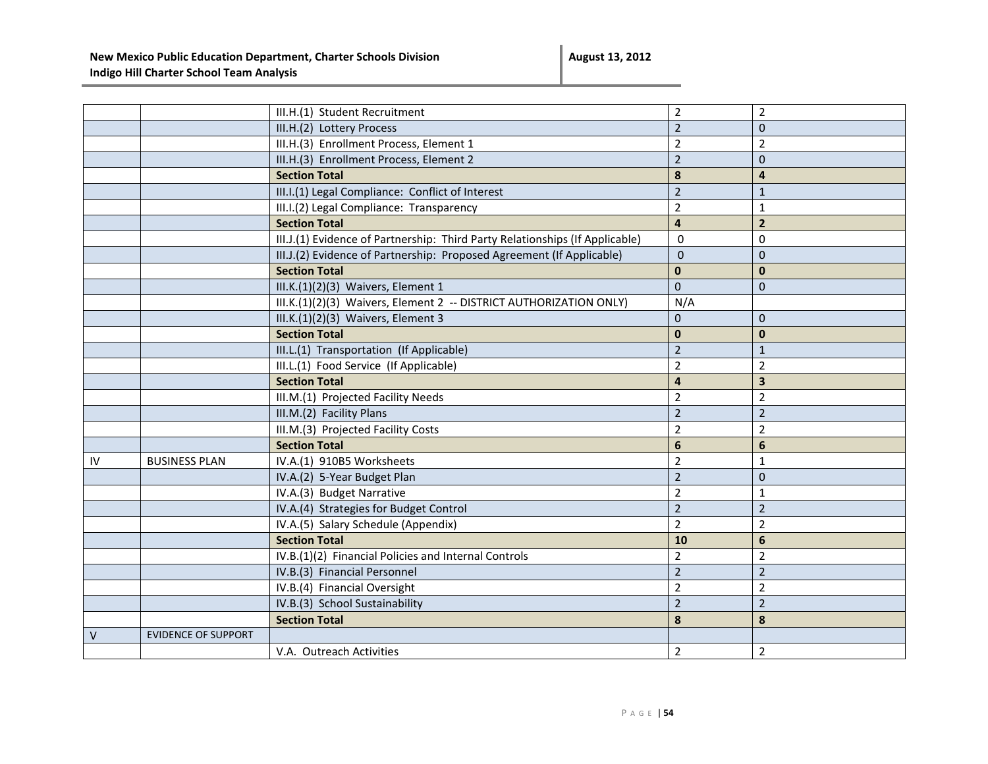|    |                            | III.H.(1) Student Recruitment                                                | $\overline{2}$          | $\overline{2}$          |
|----|----------------------------|------------------------------------------------------------------------------|-------------------------|-------------------------|
|    |                            | III.H.(2) Lottery Process                                                    | $\overline{2}$          | $\mathbf{0}$            |
|    |                            | III.H.(3) Enrollment Process, Element 1                                      | $\overline{2}$          | $\overline{2}$          |
|    |                            | III.H.(3) Enrollment Process, Element 2                                      | $\overline{2}$          | $\mathbf{0}$            |
|    |                            | <b>Section Total</b>                                                         | 8                       | $\overline{4}$          |
|    |                            | III.I.(1) Legal Compliance: Conflict of Interest                             | $\overline{2}$          | $\mathbf{1}$            |
|    |                            | III.I.(2) Legal Compliance: Transparency                                     | $\overline{2}$          | $\mathbf 1$             |
|    |                            | <b>Section Total</b>                                                         | $\overline{\mathbf{4}}$ | $\overline{2}$          |
|    |                            | III.J.(1) Evidence of Partnership: Third Party Relationships (If Applicable) | $\mathbf 0$             | $\mathbf 0$             |
|    |                            | III.J.(2) Evidence of Partnership: Proposed Agreement (If Applicable)        | $\overline{0}$          | $\mathbf{0}$            |
|    |                            | <b>Section Total</b>                                                         | $\mathbf{0}$            | $\mathbf{0}$            |
|    |                            | III.K.(1)(2)(3) Waivers, Element 1                                           | $\mathbf{0}$            | $\Omega$                |
|    |                            | III.K.(1)(2)(3) Waivers, Element 2 -- DISTRICT AUTHORIZATION ONLY)           | N/A                     |                         |
|    |                            | III.K.(1)(2)(3) Waivers, Element 3                                           | $\mathbf{0}$            | $\mathbf 0$             |
|    |                            | <b>Section Total</b>                                                         | $\mathbf 0$             | $\mathbf{0}$            |
|    |                            | III.L.(1) Transportation (If Applicable)                                     | $\overline{2}$          | $\mathbf{1}$            |
|    |                            | III.L.(1) Food Service (If Applicable)                                       | $\overline{2}$          | $\overline{2}$          |
|    |                            | <b>Section Total</b>                                                         | $\overline{\mathbf{4}}$ | $\overline{\mathbf{3}}$ |
|    |                            | III.M.(1) Projected Facility Needs                                           | $\overline{2}$          | $\overline{2}$          |
|    |                            | III.M.(2) Facility Plans                                                     | $\overline{2}$          | $\overline{2}$          |
|    |                            | III.M.(3) Projected Facility Costs                                           | $\overline{2}$          | $\overline{2}$          |
|    |                            | <b>Section Total</b>                                                         | $6\phantom{1}$          | $6\phantom{1}$          |
| IV | <b>BUSINESS PLAN</b>       | IV.A.(1) 910B5 Worksheets                                                    | $\overline{2}$          | $\mathbf{1}$            |
|    |                            | IV.A.(2) 5-Year Budget Plan                                                  | $\overline{2}$          | $\mathbf 0$             |
|    |                            | IV.A.(3) Budget Narrative                                                    | $\overline{2}$          | 1                       |
|    |                            | IV.A.(4) Strategies for Budget Control                                       | $\overline{2}$          | $\overline{2}$          |
|    |                            | IV.A.(5) Salary Schedule (Appendix)                                          | $\overline{2}$          | $\overline{2}$          |
|    |                            | <b>Section Total</b>                                                         | 10                      | $\boldsymbol{6}$        |
|    |                            | IV.B.(1)(2) Financial Policies and Internal Controls                         | $\overline{2}$          | $\overline{2}$          |
|    |                            | IV.B.(3) Financial Personnel                                                 | $\overline{2}$          | $\overline{2}$          |
|    |                            | IV.B.(4) Financial Oversight                                                 | $\overline{2}$          | $\overline{2}$          |
|    |                            | IV.B.(3) School Sustainability                                               | $\overline{2}$          | $\overline{2}$          |
|    |                            | <b>Section Total</b>                                                         | 8                       | $\pmb{8}$               |
| V  | <b>EVIDENCE OF SUPPORT</b> |                                                                              |                         |                         |
|    |                            | V.A. Outreach Activities                                                     | $\overline{2}$          | $\overline{2}$          |